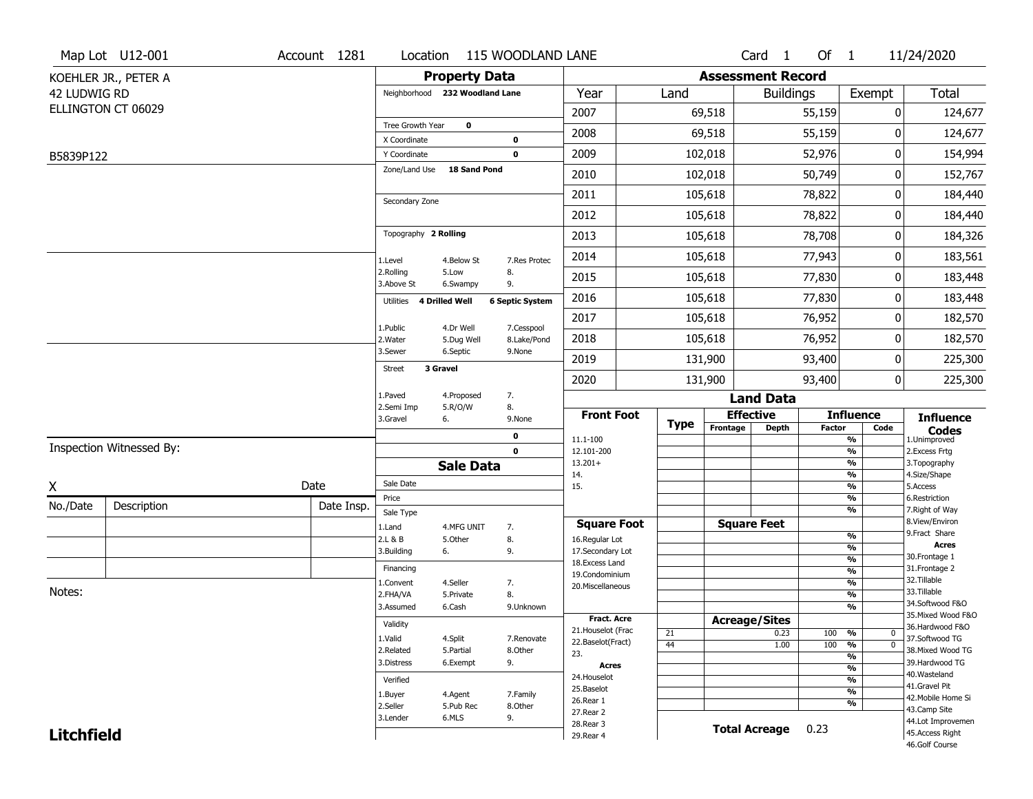|                   | Map Lot U12-001          | Account 1281 |                                |                         | Location 115 WOODLAND LANE |                                     |      |             |                      | Card 1                   | Of $1$        |                                | 11/24/2020     |                                   |
|-------------------|--------------------------|--------------|--------------------------------|-------------------------|----------------------------|-------------------------------------|------|-------------|----------------------|--------------------------|---------------|--------------------------------|----------------|-----------------------------------|
|                   | KOEHLER JR., PETER A     |              |                                | <b>Property Data</b>    |                            |                                     |      |             |                      | <b>Assessment Record</b> |               |                                |                |                                   |
| 42 LUDWIG RD      |                          |              | Neighborhood 232 Woodland Lane |                         |                            | Year                                | Land |             |                      | <b>Buildings</b>         |               | Exempt                         |                | <b>Total</b>                      |
|                   | ELLINGTON CT 06029       |              |                                |                         |                            | 2007                                |      | 69,518      |                      |                          | 55,159        |                                | 0              | 124,677                           |
|                   |                          |              | Tree Growth Year               | $\mathbf 0$             |                            | 2008                                |      | 69,518      |                      |                          | 55,159        |                                | 0              | 124,677                           |
| B5839P122         |                          |              | X Coordinate<br>Y Coordinate   |                         | 0<br>$\mathbf 0$           | 2009                                |      | 102,018     |                      |                          | 52,976        |                                | 0              | 154,994                           |
|                   |                          |              | Zone/Land Use                  | 18 Sand Pond            |                            | 2010                                |      | 102,018     |                      |                          | 50,749        |                                | 0              | 152,767                           |
|                   |                          |              |                                |                         |                            |                                     |      |             |                      |                          |               |                                |                |                                   |
|                   |                          |              | Secondary Zone                 |                         |                            | 2011                                |      | 105,618     |                      |                          | 78,822        |                                | 0              | 184,440                           |
|                   |                          |              |                                |                         |                            | 2012                                |      | 105,618     |                      |                          | 78,822        |                                | 0              | 184,440                           |
|                   |                          |              | Topography 2 Rolling           |                         |                            | 2013                                |      | 105,618     |                      |                          | 78,708        |                                | 0              | 184,326                           |
|                   |                          |              | 1.Level                        | 4.Below St              | 7.Res Protec               | 2014                                |      | 105,618     |                      |                          | 77,943        |                                | 0              | 183,561                           |
|                   |                          |              | 2.Rolling<br>3.Above St        | 5.Low<br>6.Swampy       | 8.<br>9.                   | 2015                                |      | 105,618     |                      |                          | 77,830        |                                | 0              | 183,448                           |
|                   |                          |              | Utilities                      | 4 Drilled Well          | <b>6 Septic System</b>     | 2016                                |      | 105,618     |                      |                          | 77,830        |                                | 0              | 183,448                           |
|                   |                          |              |                                |                         |                            | 2017                                |      | 105,618     |                      |                          | 76,952        |                                | 0              | 182,570                           |
|                   |                          |              | 1.Public<br>2. Water           | 4.Dr Well<br>5.Dug Well | 7.Cesspool<br>8.Lake/Pond  | 2018                                |      | 105,618     |                      |                          | 76,952        |                                | 0              | 182,570                           |
|                   |                          |              | 3.Sewer                        | 6.Septic                | 9.None                     | 2019                                |      | 131,900     |                      |                          | 93,400        |                                | 0              | 225,300                           |
|                   |                          |              | Street                         | 3 Gravel                |                            | 2020                                |      | 131,900     |                      |                          | 93,400        |                                | $\overline{0}$ | 225,300                           |
|                   |                          |              | 1.Paved                        | 4.Proposed              | 7.                         |                                     |      |             |                      | <b>Land Data</b>         |               |                                |                |                                   |
|                   |                          |              | 2.Semi Imp<br>3.Gravel         | 5.R/O/W<br>6.           | 8.<br>9.None               | <b>Front Foot</b>                   |      |             | <b>Effective</b>     |                          |               | <b>Influence</b>               |                | <b>Influence</b>                  |
|                   |                          |              |                                |                         | 0                          | 11.1-100                            |      | <b>Type</b> | Frontage             | <b>Depth</b>             | <b>Factor</b> | Code<br>%                      |                | <b>Codes</b><br>1.Unimproved      |
|                   | Inspection Witnessed By: |              |                                |                         | $\mathbf 0$                | 12.101-200                          |      |             |                      |                          |               | $\frac{9}{6}$                  |                | 2.Excess Frtg                     |
|                   |                          |              |                                | <b>Sale Data</b>        |                            | $13.201+$<br>14.                    |      |             |                      |                          |               | %<br>%                         |                | 3. Topography<br>4.Size/Shape     |
| X                 |                          | Date         | Sale Date                      |                         |                            | 15.                                 |      |             |                      |                          |               | %                              | 5.Access       |                                   |
| No./Date          | Description              | Date Insp.   | Price<br>Sale Type             |                         |                            |                                     |      |             |                      |                          |               | %<br>%                         |                | 6.Restriction<br>7. Right of Way  |
|                   |                          |              | 1.Land                         | 4.MFG UNIT              | 7.                         | <b>Square Foot</b>                  |      |             | <b>Square Feet</b>   |                          |               |                                |                | 8.View/Environ                    |
|                   |                          |              | 2.L & B                        | 5.Other                 | 8.                         | 16.Regular Lot                      |      |             |                      |                          |               | %                              |                | 9.Fract Share<br><b>Acres</b>     |
|                   |                          |              | 3.Building                     | 6.                      | 9.                         | 17.Secondary Lot<br>18. Excess Land |      |             |                      |                          |               | $\frac{9}{6}$<br>$\frac{9}{6}$ |                | 30.Frontage 1                     |
|                   |                          |              | Financing                      |                         |                            | 19.Condominium                      |      |             |                      |                          |               | $\frac{9}{6}$                  |                | 31. Frontage 2                    |
| Notes:            |                          |              | 1.Convent                      | 4.Seller                | 7.                         | 20.Miscellaneous                    |      |             |                      |                          |               | $\frac{9}{6}$                  |                | 32.Tillable                       |
|                   |                          |              | 2.FHA/VA                       | 5.Private               | 8.                         |                                     |      |             |                      |                          |               | $\frac{9}{6}$                  |                | 33.Tillable<br>34.Softwood F&O    |
|                   |                          |              | 3.Assumed                      | 6.Cash                  | 9.Unknown                  | Fract. Acre                         |      |             |                      |                          |               | $\frac{9}{6}$                  |                | 35. Mixed Wood F&O                |
|                   |                          |              | Validity                       |                         |                            | 21. Houselot (Frac                  | 21   |             | <b>Acreage/Sites</b> | 0.23                     | 100           | %                              | $\mathbf 0$    | 36.Hardwood F&O                   |
|                   |                          |              | 1.Valid                        | 4.Split                 | 7.Renovate                 | 22.Baselot(Fract)                   | 44   |             |                      | 1.00                     | 100           | $\frac{9}{6}$                  | $\mathbf{0}$   | 37.Softwood TG                    |
|                   |                          |              | 2.Related                      | 5.Partial               | 8.Other                    | 23.                                 |      |             |                      |                          |               | $\frac{9}{6}$                  |                | 38. Mixed Wood TG                 |
|                   |                          |              | 3.Distress                     | 6.Exempt                | 9.                         | <b>Acres</b>                        |      |             |                      |                          |               | $\frac{9}{6}$                  |                | 39.Hardwood TG<br>40. Wasteland   |
|                   |                          |              | Verified                       |                         |                            | 24. Houselot<br>25.Baselot          |      |             |                      |                          |               | $\frac{9}{6}$                  |                | 41.Gravel Pit                     |
|                   |                          |              | 1.Buyer                        | 4.Agent                 | 7.Family                   | 26.Rear 1                           |      |             |                      |                          |               | $\frac{9}{6}$                  |                | 42. Mobile Home Si                |
|                   |                          |              | 2.Seller                       | 5.Pub Rec               | 8.Other                    | 27.Rear 2                           |      |             |                      |                          |               | %                              |                | 43.Camp Site                      |
|                   |                          |              | 3.Lender                       | 6.MLS                   | 9.                         | 28. Rear 3                          |      |             | <b>Total Acreage</b> |                          | 0.23          |                                |                | 44.Lot Improvemen                 |
| <b>Litchfield</b> |                          |              |                                |                         |                            | 29. Rear 4                          |      |             |                      |                          |               |                                |                | 45.Access Right<br>46.Golf Course |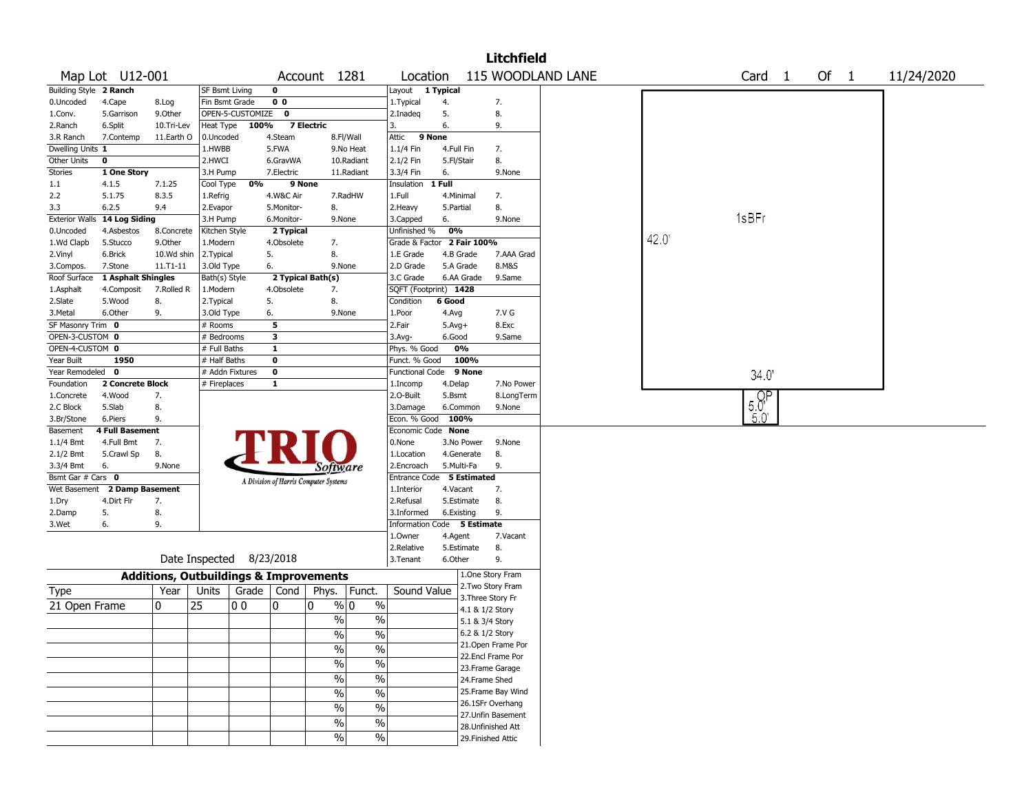|                        |                        |                                                   |                       |                          |                |                                       |                                  |                             |              |             | <b>Litchfield</b>  |                   |      |              |        |        |            |
|------------------------|------------------------|---------------------------------------------------|-----------------------|--------------------------|----------------|---------------------------------------|----------------------------------|-----------------------------|--------------|-------------|--------------------|-------------------|------|--------------|--------|--------|------------|
|                        | Map Lot U12-001        |                                                   |                       |                          |                | Account 1281                          |                                  | Location                    |              |             |                    | 115 WOODLAND LANE |      |              | Card 1 | Of $1$ | 11/24/2020 |
| Building Style 2 Ranch |                        |                                                   | <b>SF Bsmt Living</b> |                          | $\mathbf 0$    |                                       |                                  | Layout                      | 1 Typical    |             |                    |                   |      |              |        |        |            |
| 0.Uncoded              | 4.Cape                 | 8.Log                                             | Fin Bsmt Grade        |                          | 0 <sub>0</sub> |                                       |                                  | 1. Typical                  | 4.           |             | 7.                 |                   |      |              |        |        |            |
| 1.Conv.                | 5.Garrison             | 9.Other                                           |                       | OPEN-5-CUSTOMIZE         | $\mathbf 0$    |                                       |                                  | 2.Inadeg                    | 5.           |             | 8.                 |                   |      |              |        |        |            |
| 2.Ranch                | 6.Split                | 10.Tri-Lev                                        | Heat Type             | 100%                     |                | <b>7 Electric</b>                     |                                  | 3.                          | 6.           |             | 9.                 |                   |      |              |        |        |            |
| 3.R Ranch              | 7.Contemp              | 11.Earth O                                        | 0.Uncoded             |                          | 4.Steam        |                                       | 8.Fl/Wall                        | 9 None<br>Attic             |              |             |                    |                   |      |              |        |        |            |
| Dwelling Units 1       |                        |                                                   | 1.HWBB                |                          | 5.FWA          |                                       | 9.No Heat                        | 1.1/4 Fin                   | 4.Full Fin   |             | 7.                 |                   |      |              |        |        |            |
| Other Units            | 0                      |                                                   | 2.HWCI                |                          | 6.GravWA       |                                       | 10.Radiant                       | 2.1/2 Fin                   | 5.Fl/Stair   |             | 8.                 |                   |      |              |        |        |            |
| Stories                | 1 One Story            |                                                   | 3.H Pump              |                          | 7.Electric     |                                       | 11.Radiant                       | 3.3/4 Fin                   | 6.           |             | 9.None             |                   |      |              |        |        |            |
| 1.1                    | 4.1.5                  | 7.1.25                                            | Cool Type             | 0%                       | 9 None         |                                       |                                  | Insulation                  | 1 Full       |             |                    |                   |      |              |        |        |            |
| 2.2                    | 5.1.75                 | 8.3.5                                             | 1.Refrig              |                          | 4.W&C Air      |                                       | 7.RadHW                          | 1.Full                      | 4.Minimal    |             | 7.                 |                   |      |              |        |        |            |
| 3.3                    | 6.2.5                  | 9.4                                               | 2.Evapor              |                          | 5.Monitor-     | 8.                                    |                                  | 2.Heavy                     | 5.Partial    |             | 8.                 |                   |      |              |        |        |            |
| <b>Exterior Walls</b>  | 14 Log Siding          |                                                   | 3.H Pump              |                          | 6.Monitor-     | 9.None                                |                                  | 3.Capped                    | 6.           |             | 9.None             |                   |      | 1sBFr        |        |        |            |
| 0.Uncoded              | 4.Asbestos             | 8.Concrete                                        | Kitchen Style         |                          | 2 Typical      |                                       |                                  | Unfinished %                | 0%           |             |                    |                   |      |              |        |        |            |
| 1.Wd Clapb             | 5.Stucco               | 9.Other                                           | 1.Modern              |                          | 4.Obsolete     | 7.                                    |                                  | Grade & Factor 2 Fair 100%  |              |             |                    |                   | 42.0 |              |        |        |            |
| 2.Vinyl                | 6.Brick                | 10.Wd shin                                        | 2. Typical            |                          | 5.             | 8.                                    |                                  | 1.E Grade                   |              | 4.B Grade   | 7.AAA Grad         |                   |      |              |        |        |            |
| 3.Compos.              | 7.Stone                | 11.T1-11                                          | 3.Old Type            |                          | 6.             | 9.None                                |                                  | 2.D Grade                   | 5.A Grade    |             | 8.M&S              |                   |      |              |        |        |            |
| Roof Surface           | 1 Asphalt Shingles     |                                                   | Bath(s) Style         |                          |                | 2 Typical Bath(s)                     |                                  | 3.C Grade                   |              | 6.AA Grade  | 9.Same             |                   |      |              |        |        |            |
| 1.Asphalt              | 4.Composit             | 7.Rolled R                                        | 1.Modern              |                          | 4.Obsolete     | 7.                                    |                                  | SQFT (Footprint) 1428       |              |             |                    |                   |      |              |        |        |            |
| 2.Slate                | 5.Wood                 | 8.                                                | 2.Typical             |                          | 5.             | 8.                                    |                                  | Condition                   | 6 Good       |             |                    |                   |      |              |        |        |            |
| 3.Metal                | 6.Other                | 9.                                                | 3.Old Type            |                          | 6.             | 9.None                                |                                  | 1.Poor                      | 4.Avg        |             | 7.V G              |                   |      |              |        |        |            |
| SF Masonry Trim 0      |                        |                                                   | # Rooms               |                          | 5              |                                       |                                  | 2.Fair                      | $5.$ Avg $+$ |             | 8.Exc              |                   |      |              |        |        |            |
| OPEN-3-CUSTOM 0        |                        |                                                   | # Bedrooms            |                          | 3              |                                       |                                  | 3.Avg-                      | 6.Good       |             | 9.Same             |                   |      |              |        |        |            |
| OPEN-4-CUSTOM 0        |                        |                                                   | # Full Baths          |                          | $\mathbf{1}$   |                                       |                                  | Phys. % Good                |              | 0%          |                    |                   |      |              |        |        |            |
| Year Built             | 1950                   |                                                   | # Half Baths          |                          | $\mathbf 0$    |                                       |                                  | Funct. % Good               |              | 100%        |                    |                   |      |              |        |        |            |
| Year Remodeled 0       |                        |                                                   | # Addn Fixtures       |                          | $\mathbf 0$    |                                       |                                  | <b>Functional Code</b>      |              | 9 None      |                    |                   |      |              | 34.0'  |        |            |
| Foundation             | 2 Concrete Block       |                                                   | # Fireplaces          |                          | $\mathbf{1}$   |                                       |                                  | 1.Incomp                    | 4.Delap      |             | 7.No Power         |                   |      |              |        |        |            |
| 1.Concrete             | 4.Wood                 | 7.                                                |                       |                          |                |                                       |                                  | 2.O-Built                   | 5.Bsmt       |             | 8.LongTerm         |                   |      | $50^{\circ}$ |        |        |            |
| 2.C Block              | 5.Slab                 | 8.                                                |                       |                          |                |                                       |                                  | 3.Damage                    |              | 6.Common    | 9.None             |                   |      |              |        |        |            |
| 3.Br/Stone             | 6.Piers                | 9.                                                |                       |                          |                |                                       |                                  | Econ. % Good                | 100%         |             |                    |                   |      | $5.0^\circ$  |        |        |            |
| Basement               | <b>4 Full Basement</b> |                                                   |                       |                          |                |                                       |                                  | Economic Code None          |              |             |                    |                   |      |              |        |        |            |
| $1.1/4$ Bmt            | 4.Full Bmt             | 7.                                                |                       |                          |                |                                       |                                  | 0.None                      |              | 3.No Power  | 9.None             |                   |      |              |        |        |            |
| $2.1/2$ Bmt            | 5.Crawl Sp             | 8.                                                |                       |                          |                |                                       |                                  | 1.Location                  |              | 4.Generate  | 8.                 |                   |      |              |        |        |            |
| 3.3/4 Bmt              | 6.                     | 9.None                                            |                       |                          |                | Software                              |                                  | 2.Encroach                  | 5.Multi-Fa   |             | 9.                 |                   |      |              |        |        |            |
| Bsmt Gar # Cars 0      |                        |                                                   |                       |                          |                | A Division of Harris Computer Systems |                                  | Entrance Code               |              | 5 Estimated |                    |                   |      |              |        |        |            |
| Wet Basement           | 2 Damp Basement        |                                                   |                       |                          |                |                                       |                                  | 1.Interior                  | 4.Vacant     |             | 7.                 |                   |      |              |        |        |            |
| 1.Dry                  | 4.Dirt Flr             | 7.                                                |                       |                          |                |                                       |                                  | 2.Refusal                   |              | 5.Estimate  | 8.                 |                   |      |              |        |        |            |
| 2.Damp                 | 5.                     | 8.                                                |                       |                          |                |                                       |                                  | 3.Informed                  | 6.Existing   |             | 9.                 |                   |      |              |        |        |            |
| 3.Wet                  | 6.                     | 9.                                                |                       |                          |                |                                       |                                  | Information Code 5 Estimate |              |             |                    |                   |      |              |        |        |            |
|                        |                        |                                                   |                       |                          |                |                                       |                                  | 1.Owner                     | 4.Agent      |             | 7.Vacant           |                   |      |              |        |        |            |
|                        |                        |                                                   |                       |                          |                |                                       |                                  | 2.Relative                  |              | 5.Estimate  | 8.                 |                   |      |              |        |        |            |
|                        |                        |                                                   |                       | Date Inspected 8/23/2018 |                |                                       |                                  | 3.Tenant                    | 6.Other      |             | 9.                 |                   |      |              |        |        |            |
|                        |                        | <b>Additions, Outbuildings &amp; Improvements</b> |                       |                          |                |                                       |                                  |                             |              |             | 1.One Story Fram   |                   |      |              |        |        |            |
| Type                   |                        | Year                                              | Units                 | Grade                    | Cond           | Phys.                                 | Funct.                           | Sound Value                 |              |             | 2. Two Story Fram  |                   |      |              |        |        |            |
| 21 Open Frame          |                        | 0                                                 | 25                    | 00                       | 0              | 0                                     | $\frac{9}{0}$ 0<br>$\frac{0}{0}$ |                             |              |             | 3. Three Story Fr  |                   |      |              |        |        |            |
|                        |                        |                                                   |                       |                          |                |                                       |                                  |                             |              |             | 4.1 & 1/2 Story    |                   |      |              |        |        |            |
|                        |                        |                                                   |                       |                          |                | $\frac{0}{0}$                         | $\%$                             |                             |              |             | 5.1 & 3/4 Story    |                   |      |              |        |        |            |
|                        |                        |                                                   |                       |                          |                | $\frac{1}{2}$                         | $\frac{1}{2}$                    |                             |              |             | 6.2 & 1/2 Story    |                   |      |              |        |        |            |
|                        |                        |                                                   |                       |                          |                | $\frac{0}{0}$                         | $\frac{0}{0}$                    |                             |              |             | 21. Open Frame Por |                   |      |              |        |        |            |
|                        |                        |                                                   |                       |                          |                | $\%$                                  | $\%$                             |                             |              |             | 22.Encl Frame Por  |                   |      |              |        |        |            |
|                        |                        |                                                   |                       |                          |                |                                       |                                  |                             |              |             | 23. Frame Garage   |                   |      |              |        |        |            |
|                        |                        |                                                   |                       |                          |                | $\frac{0}{0}$                         | $\frac{0}{0}$                    |                             |              |             | 24.Frame Shed      |                   |      |              |        |        |            |
|                        |                        |                                                   |                       |                          |                | $\frac{0}{0}$                         | $\%$                             |                             |              |             | 25. Frame Bay Wind |                   |      |              |        |        |            |
|                        |                        |                                                   |                       |                          |                | $\frac{1}{2}$                         | $\overline{\frac{0}{6}}$         |                             |              |             | 26.1SFr Overhang   |                   |      |              |        |        |            |
|                        |                        |                                                   |                       |                          |                | $\frac{0}{0}$                         | $\%$                             |                             |              |             | 27.Unfin Basement  |                   |      |              |        |        |            |
|                        |                        |                                                   |                       |                          |                |                                       |                                  |                             |              |             | 28. Unfinished Att |                   |      |              |        |        |            |
|                        |                        |                                                   |                       |                          |                | $\%$                                  | $\frac{0}{0}$                    |                             |              |             | 29. Finished Attic |                   |      |              |        |        |            |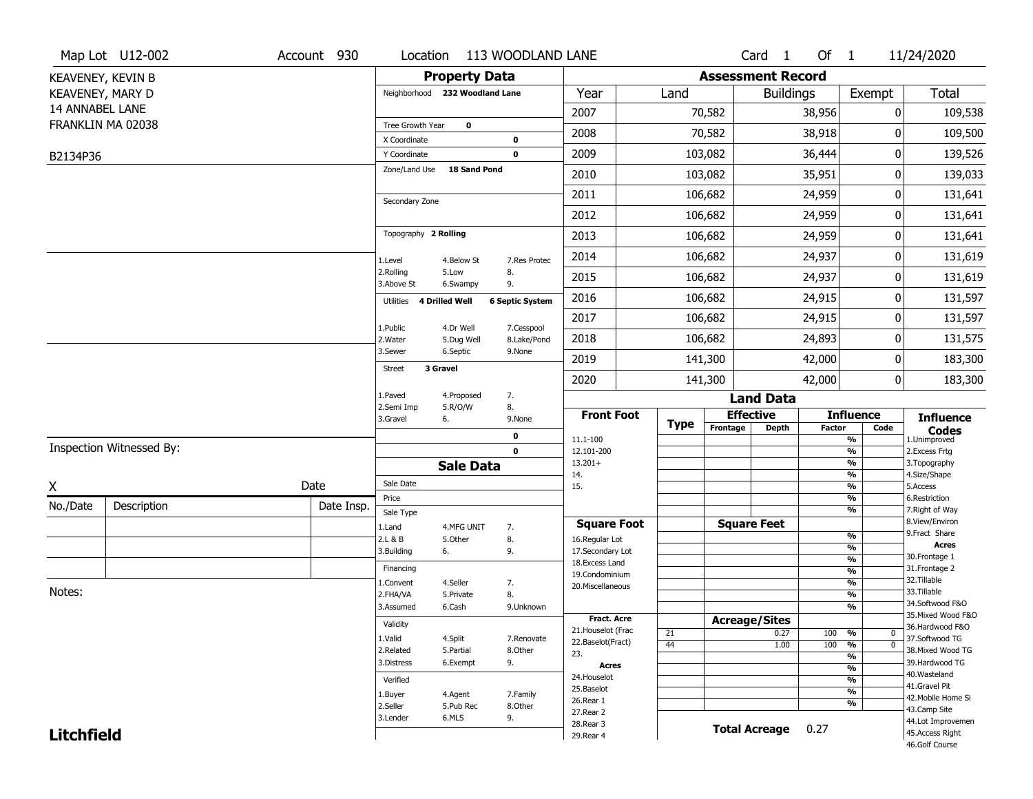|                   | Map Lot U12-002          | Account 930 | Location                       |                      | 113 WOODLAND LANE      |                          |             |                          | Card <sub>1</sub>    | Of $1$ |                                | 11/24/2020                         |
|-------------------|--------------------------|-------------|--------------------------------|----------------------|------------------------|--------------------------|-------------|--------------------------|----------------------|--------|--------------------------------|------------------------------------|
|                   | KEAVENEY, KEVIN B        |             |                                | <b>Property Data</b> |                        |                          |             | <b>Assessment Record</b> |                      |        |                                |                                    |
| KEAVENEY, MARY D  |                          |             | Neighborhood 232 Woodland Lane |                      |                        | Year                     | Land        |                          | <b>Buildings</b>     |        | Exempt                         | <b>Total</b>                       |
| 14 ANNABEL LANE   |                          |             |                                |                      |                        | 2007                     |             | 70,582                   |                      | 38,956 | 0                              | 109,538                            |
|                   | FRANKLIN MA 02038        |             | Tree Growth Year               | $\mathbf 0$          |                        | 2008                     |             | 70,582                   |                      | 38,918 | 0                              | 109,500                            |
|                   |                          |             | X Coordinate                   |                      | $\mathbf 0$            |                          |             |                          |                      |        |                                |                                    |
| B2134P36          |                          |             | Y Coordinate<br>Zone/Land Use  | <b>18 Sand Pond</b>  | $\mathbf 0$            | 2009                     |             | 103,082                  |                      | 36,444 | 0                              | 139,526                            |
|                   |                          |             |                                |                      |                        | 2010                     |             | 103,082                  |                      | 35,951 | 0                              | 139,033                            |
|                   |                          |             | Secondary Zone                 |                      |                        | 2011                     |             | 106,682                  |                      | 24,959 | 0                              | 131,641                            |
|                   |                          |             |                                |                      |                        | 2012                     |             | 106,682                  |                      | 24,959 | 0                              | 131,641                            |
|                   |                          |             | Topography 2 Rolling           |                      |                        | 2013                     |             | 106,682                  |                      | 24,959 | 0                              | 131,641                            |
|                   |                          |             | 1.Level                        | 4.Below St           | 7.Res Protec           | 2014                     |             | 106,682                  |                      | 24,937 | 0                              | 131,619                            |
|                   |                          |             | 2.Rolling<br>3.Above St        | 5.Low<br>6.Swampy    | 8.<br>9.               | 2015                     |             | 106,682                  |                      | 24,937 | 0                              | 131,619                            |
|                   |                          |             | 4 Drilled Well<br>Utilities    |                      | <b>6 Septic System</b> | 2016                     |             | 106,682                  |                      | 24,915 | 0                              | 131,597                            |
|                   |                          |             |                                | 4.Dr Well            | 7.Cesspool             | 2017                     |             | 106,682                  |                      | 24,915 | 0                              | 131,597                            |
|                   |                          |             | 1.Public<br>2. Water           | 5.Dug Well           | 8.Lake/Pond            | 2018                     |             | 106,682                  |                      | 24,893 | 0                              | 131,575                            |
|                   |                          |             | 3.Sewer                        | 6.Septic             | 9.None                 | 2019                     |             | 141,300                  |                      | 42,000 | 0                              | 183,300                            |
|                   |                          |             | 3 Gravel<br><b>Street</b>      |                      |                        | 2020                     |             | 141,300                  |                      | 42,000 | 0                              | 183,300                            |
|                   |                          |             | 1.Paved                        | 4.Proposed           | 7.                     |                          |             |                          | <b>Land Data</b>     |        |                                |                                    |
|                   |                          |             | 2.Semi Imp<br>3.Gravel         | 5.R/O/W<br>6.        | 8.<br>9.None           | <b>Front Foot</b>        | <b>Type</b> | <b>Effective</b>         |                      |        | <b>Influence</b>               | <b>Influence</b>                   |
|                   |                          |             |                                |                      | 0                      | 11.1-100                 |             | Frontage                 | <b>Depth</b>         | Factor | Code<br>%                      | <b>Codes</b><br>1.Unimproved       |
|                   | Inspection Witnessed By: |             |                                |                      | $\mathbf 0$            | 12.101-200               |             |                          |                      |        | $\frac{9}{6}$                  | 2. Excess Frtg                     |
|                   |                          |             |                                | <b>Sale Data</b>     |                        | $13.201+$<br>14.         |             |                          |                      |        | $\frac{9}{6}$<br>$\frac{9}{6}$ | 3. Topography<br>4.Size/Shape      |
| X                 |                          | Date        | Sale Date                      |                      |                        | 15.                      |             |                          |                      |        | $\frac{9}{6}$                  | 5.Access                           |
| No./Date          | Description              | Date Insp.  | Price                          |                      |                        |                          |             |                          |                      |        | %<br>%                         | 6.Restriction<br>7. Right of Way   |
|                   |                          |             | Sale Type<br>1.Land            | 4.MFG UNIT           |                        | <b>Square Foot</b>       |             |                          | <b>Square Feet</b>   |        |                                | 8.View/Environ                     |
|                   |                          |             |                                |                      |                        |                          |             |                          |                      |        |                                |                                    |
|                   |                          |             | 2.L & B                        | 5.Other              | 7.<br>8.               | 16.Regular Lot           |             |                          |                      |        | $\frac{9}{6}$                  | 9.Fract Share                      |
|                   |                          |             | 3.Building                     | 6.                   | 9.                     | 17.Secondary Lot         |             |                          |                      |        | $\frac{9}{6}$                  | <b>Acres</b>                       |
|                   |                          |             | Financing                      |                      |                        | 18.Excess Land           |             |                          |                      |        | $\frac{9}{6}$<br>$\frac{9}{6}$ | 30. Frontage 1<br>31. Frontage 2   |
|                   |                          |             | 1.Convent                      | 4.Seller             | 7.                     | 19.Condominium           |             |                          |                      |        | $\frac{9}{6}$                  | 32.Tillable                        |
| Notes:            |                          |             | 2.FHA/VA                       | 5.Private            | 8.                     | 20.Miscellaneous         |             |                          |                      |        | $\frac{9}{6}$                  | 33.Tillable                        |
|                   |                          |             | 3.Assumed                      | 6.Cash               | 9.Unknown              |                          |             |                          |                      |        | $\frac{9}{6}$                  | 34.Softwood F&O                    |
|                   |                          |             | Validity                       |                      |                        | <b>Fract. Acre</b>       |             | <b>Acreage/Sites</b>     |                      |        |                                | 35. Mixed Wood F&O                 |
|                   |                          |             | 1.Valid                        | 4.Split              | 7.Renovate             | 21. Houselot (Frac       | 21          |                          | 0.27                 | 100    | %<br>0                         | 36.Hardwood F&O<br>37.Softwood TG  |
|                   |                          |             | 2.Related                      | 5.Partial            | 8.Other                | 22.Baselot(Fract)<br>23. | 44          |                          | 1.00                 | 100    | $\frac{9}{6}$<br>$\mathbf 0$   | 38. Mixed Wood TG                  |
|                   |                          |             | 3.Distress                     | 6.Exempt             | 9.                     | <b>Acres</b>             |             |                          |                      |        | $\frac{9}{6}$<br>$\frac{9}{6}$ | 39.Hardwood TG                     |
|                   |                          |             | Verified                       |                      |                        | 24. Houselot             |             |                          |                      |        | $\overline{\frac{9}{6}}$       | 40. Wasteland                      |
|                   |                          |             |                                |                      | 7.Family               | 25.Baselot               |             |                          |                      |        | $\frac{9}{6}$                  | 41.Gravel Pit                      |
|                   |                          |             | 1.Buyer<br>2.Seller            | 4.Agent<br>5.Pub Rec | 8.Other                | 26.Rear 1                |             |                          |                      |        | %                              | 42. Mobile Home Si                 |
|                   |                          |             | 3.Lender                       | 6.MLS                | 9.                     | 27.Rear 2                |             |                          |                      |        |                                | 43.Camp Site<br>44.Lot Improvemen  |
| <b>Litchfield</b> |                          |             |                                |                      |                        | 28. Rear 3<br>29. Rear 4 |             |                          | <b>Total Acreage</b> | 0.27   |                                | 45. Access Right<br>46.Golf Course |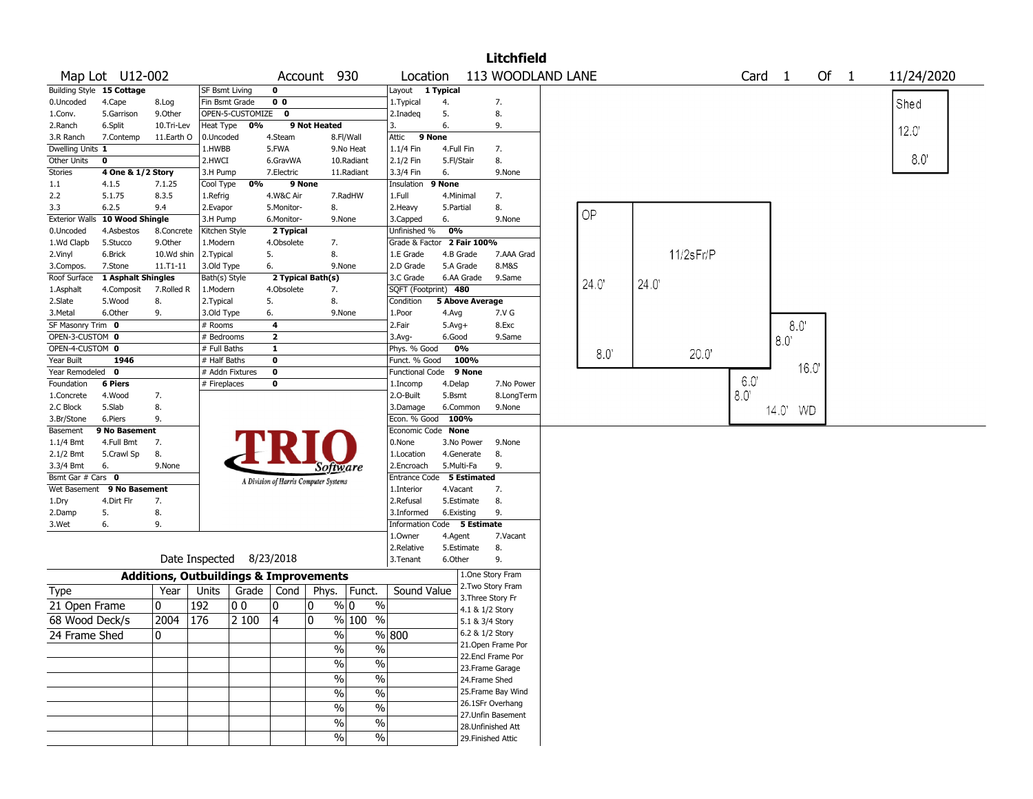|                                |                           |                                                   |                                 |                          |                   |                                       |                      |                             |              |                        | <b>Litchfield</b>                  |               |      |           |        |          |      |      |            |
|--------------------------------|---------------------------|---------------------------------------------------|---------------------------------|--------------------------|-------------------|---------------------------------------|----------------------|-----------------------------|--------------|------------------------|------------------------------------|---------------|------|-----------|--------|----------|------|------|------------|
|                                | Map Lot U12-002           |                                                   |                                 |                          |                   | Account 930                           |                      | Location                    |              |                        | 113 WOODLAND LANE                  |               |      |           | Card 1 |          |      | Of 1 | 11/24/2020 |
|                                | Building Style 15 Cottage |                                                   | <b>SF Bsmt Living</b>           |                          | 0                 |                                       |                      | Layout 1 Typical            |              |                        |                                    |               |      |           |        |          |      |      |            |
| 0.Uncoded                      | 4.Cape                    | 8.Log                                             | Fin Bsmt Grade                  |                          | 0 <sub>0</sub>    |                                       |                      | 1. Typical                  | 4.           |                        | 7.                                 |               |      |           |        |          |      |      | Shed       |
| 1.Conv.                        | 5.Garrison                | 9.Other                                           |                                 | OPEN-5-CUSTOMIZE         | $\mathbf 0$       |                                       |                      | 2.Inadeg                    | 5.           |                        | 8.                                 |               |      |           |        |          |      |      |            |
| 2.Ranch                        | 6.Split                   | 10.Tri-Lev                                        | Heat Type                       | 0%                       |                   | 9 Not Heated                          |                      | 3.                          | 6.           |                        | 9.                                 |               |      |           |        |          |      |      | 12.0       |
| 3.R Ranch                      | 7.Contemp                 | 11.Earth O                                        | 0.Uncoded                       |                          | 4.Steam           |                                       | 8.Fl/Wall            | 9 None<br>Attic             |              |                        |                                    |               |      |           |        |          |      |      |            |
| Dwelling Units 1               |                           |                                                   | 1.HWBB                          |                          | 5.FWA             |                                       | 9.No Heat            | 1.1/4 Fin                   | 4.Full Fin   |                        | 7.                                 |               |      |           |        |          |      |      |            |
| Other Units                    | 0                         |                                                   | 2.HWCI                          |                          | 6.GravWA          |                                       | 10.Radiant           | 2.1/2 Fin                   | 5.Fl/Stair   |                        | 8.                                 |               |      |           |        |          |      |      | 8.0        |
| Stories                        | 4 One & 1/2 Story         |                                                   | 3.H Pump                        |                          | 7.Electric        |                                       | 11.Radiant           | 3.3/4 Fin                   | 6.           |                        | 9.None                             |               |      |           |        |          |      |      |            |
| 1.1                            | 4.1.5                     | 7.1.25                                            | Cool Type                       | 0%                       |                   | 9 None                                |                      | Insulation                  | 9 None       |                        |                                    |               |      |           |        |          |      |      |            |
| 2.2                            | 5.1.75                    | 8.3.5                                             | 1.Refrig                        |                          | 4.W&C Air         |                                       | 7.RadHW              | 1.Full                      |              | 4.Minimal              | 7.                                 |               |      |           |        |          |      |      |            |
| 3.3                            | 6.2.5                     | 9.4                                               | 2.Evapor                        |                          | 5.Monitor-        | 8.                                    |                      | 2. Heavy                    | 5.Partial    |                        | 8.                                 | OP            |      |           |        |          |      |      |            |
| <b>Exterior Walls</b>          | 10 Wood Shingle           |                                                   | 3.H Pump                        |                          | 6.Monitor-        | 9.None                                |                      | 3.Capped                    | 6.           |                        | 9.None                             |               |      |           |        |          |      |      |            |
| 0.Uncoded                      | 4.Asbestos                | 8.Concrete                                        | Kitchen Style                   |                          | 2 Typical         |                                       |                      | Unfinished %                | 0%           |                        |                                    |               |      |           |        |          |      |      |            |
| 1.Wd Clapb                     | 5.Stucco                  | 9.Other                                           | 1.Modern                        |                          | 4.Obsolete        | 7.                                    |                      | Grade & Factor 2 Fair 100%  |              |                        |                                    |               |      |           |        |          |      |      |            |
| 2.Vinyl                        | 6.Brick                   | 10.Wd shin                                        | 2.Typical                       |                          | 5.                | 8.                                    |                      | 1.E Grade                   |              | 4.B Grade              | 7.AAA Grad                         |               |      | 11/2sFr/P |        |          |      |      |            |
| 3.Compos.                      | 7.Stone                   | $11. T1 - 11$                                     | 3.Old Type                      |                          | 6.                | 9.None                                |                      | 2.D Grade                   |              | 5.A Grade              | 8.M&S                              |               |      |           |        |          |      |      |            |
| Roof Surface                   | 1 Asphalt Shingles        |                                                   | Bath(s) Style                   |                          |                   | 2 Typical Bath(s)                     |                      | 3.C Grade                   |              | 6.AA Grade             | 9.Same                             | 24.0          | 24.0 |           |        |          |      |      |            |
| 1.Asphalt                      | 4.Composit                | 7.Rolled R                                        | 1.Modern                        |                          | 4.Obsolete        | 7.                                    |                      | SQFT (Footprint) 480        |              |                        |                                    |               |      |           |        |          |      |      |            |
| 2.Slate                        | 5.Wood                    | 8.                                                | 2.Typical                       |                          | 5.                | 8.                                    |                      | Condition                   |              | <b>5 Above Average</b> |                                    |               |      |           |        |          |      |      |            |
| 3.Metal                        | 6.Other                   | 9.                                                | 3.Old Type                      |                          | 6.                | 9.None                                |                      | 1.Poor                      | 4.Avg        |                        | 7.V G                              |               |      |           |        |          |      |      |            |
| SF Masonry Trim 0              |                           |                                                   | # Rooms                         |                          | 4                 |                                       |                      | 2.Fair                      | $5.$ Avg $+$ |                        | 8.Exc                              |               |      |           |        | 8.0      |      |      |            |
| OPEN-3-CUSTOM 0                |                           |                                                   | # Bedrooms                      |                          | $\mathbf{2}$      |                                       |                      | 3.Avg-                      | 6.Good       |                        | 9.Same                             |               |      |           |        | 8.0      |      |      |            |
| OPEN-4-CUSTOM 0                | 1946                      |                                                   | # Full Baths                    |                          | $\mathbf{1}$<br>0 |                                       |                      | Phys. % Good                |              | 0%<br>100%             |                                    | $8.0^{\circ}$ |      | 20.0      |        |          |      |      |            |
| Year Built<br>Year Remodeled 0 |                           |                                                   | # Half Baths<br># Addn Fixtures |                          | $\bf o$           |                                       |                      | Funct. % Good               |              | 9 None                 |                                    |               |      |           |        |          | 16.0 |      |            |
| Foundation                     | 6 Piers                   |                                                   | # Fireplaces                    |                          | 0                 |                                       |                      | Functional Code<br>1.Incomp | 4.Delap      |                        | 7.No Power                         |               |      |           | 6.0    |          |      |      |            |
| 1.Concrete                     | 4.Wood                    | 7.                                                |                                 |                          |                   |                                       |                      | 2.O-Built                   | 5.Bsmt       |                        | 8.LongTerm                         |               |      |           | 8.0    |          |      |      |            |
| 2.C Block                      | 5.Slab                    | 8.                                                |                                 |                          |                   |                                       |                      | 3.Damage                    |              | 6.Common               | 9.None                             |               |      |           |        |          |      |      |            |
| 3.Br/Stone                     | 6.Piers                   | 9.                                                |                                 |                          |                   |                                       |                      | Econ. % Good                |              | 100%                   |                                    |               |      |           |        | 14.0' WD |      |      |            |
| Basement                       | 9 No Basement             |                                                   |                                 |                          |                   |                                       |                      | Economic Code None          |              |                        |                                    |               |      |           |        |          |      |      |            |
| 1.1/4 Bmt                      | 4.Full Bmt                | 7.                                                |                                 |                          |                   |                                       |                      | 0.None                      |              | 3.No Power             | 9.None                             |               |      |           |        |          |      |      |            |
| 2.1/2 Bmt                      | 5.Crawl Sp                | 8.                                                |                                 |                          |                   |                                       |                      | 1.Location                  |              | 4.Generate             | 8.                                 |               |      |           |        |          |      |      |            |
| 3.3/4 Bmt                      | 6.                        | 9.None                                            |                                 |                          |                   | Software                              |                      | 2.Encroach                  |              | 5.Multi-Fa             | 9.                                 |               |      |           |        |          |      |      |            |
| Bsmt Gar # Cars 0              |                           |                                                   |                                 |                          |                   | A Division of Harris Computer Systems |                      | Entrance Code               |              | 5 Estimated            |                                    |               |      |           |        |          |      |      |            |
| Wet Basement                   | 9 No Basement             |                                                   |                                 |                          |                   |                                       |                      | 1.Interior                  | 4.Vacant     |                        | 7.                                 |               |      |           |        |          |      |      |            |
| 1.Dry                          | 4.Dirt Flr                | 7.                                                |                                 |                          |                   |                                       |                      | 2.Refusal                   |              | 5.Estimate             | 8.                                 |               |      |           |        |          |      |      |            |
| 2.Damp                         | 5.                        | 8.                                                |                                 |                          |                   |                                       |                      | 3.Informed                  |              | 6.Existing             | 9.                                 |               |      |           |        |          |      |      |            |
| 3.Wet                          | 6.                        | 9.                                                |                                 |                          |                   |                                       |                      | Information Code 5 Estimate |              |                        |                                    |               |      |           |        |          |      |      |            |
|                                |                           |                                                   |                                 |                          |                   |                                       |                      | 1.Owner                     | 4.Agent      |                        | 7.Vacant                           |               |      |           |        |          |      |      |            |
|                                |                           |                                                   |                                 |                          |                   |                                       |                      | 2.Relative                  |              | 5.Estimate             | 8.                                 |               |      |           |        |          |      |      |            |
|                                |                           |                                                   |                                 | Date Inspected 8/23/2018 |                   |                                       |                      | 3.Tenant                    | 6.Other      |                        | 9.                                 |               |      |           |        |          |      |      |            |
|                                |                           | <b>Additions, Outbuildings &amp; Improvements</b> |                                 |                          |                   |                                       |                      |                             |              |                        | 1.One Story Fram                   |               |      |           |        |          |      |      |            |
| Type                           |                           | Year                                              | Units                           | Grade   Cond             |                   | Phys.                                 | Funct.               | Sound Value                 |              |                        | 2. Two Story Fram                  |               |      |           |        |          |      |      |            |
| 21 Open Frame                  |                           | 0                                                 | 192                             | 0 <sub>0</sub>           | 10                | 10                                    | $\frac{0}{0}$<br>% 0 |                             |              |                        | 3. Three Story Fr                  |               |      |           |        |          |      |      |            |
| 68 Wood Deck/s                 |                           | 2004                                              | 176                             | 2 100                    | 4                 | 10                                    | % 100 %              |                             |              |                        | 4.1 & 1/2 Story                    |               |      |           |        |          |      |      |            |
|                                |                           |                                                   |                                 |                          |                   |                                       |                      |                             |              |                        | 5.1 & 3/4 Story<br>6.2 & 1/2 Story |               |      |           |        |          |      |      |            |
| 24 Frame Shed                  |                           | 0                                                 |                                 |                          |                   | $\%$                                  |                      | $\frac{800}{100}$           |              |                        | 21. Open Frame Por                 |               |      |           |        |          |      |      |            |
|                                |                           |                                                   |                                 |                          |                   | $\%$                                  | $\sqrt{6}$           |                             |              |                        | 22.Encl Frame Por                  |               |      |           |        |          |      |      |            |
|                                |                           |                                                   |                                 |                          |                   | $\%$                                  | $\sqrt{6}$           |                             |              |                        | 23. Frame Garage                   |               |      |           |        |          |      |      |            |
|                                |                           |                                                   |                                 |                          |                   | $\%$                                  | $\sqrt{6}$           |                             |              |                        | 24.Frame Shed                      |               |      |           |        |          |      |      |            |
|                                |                           |                                                   |                                 |                          |                   |                                       | %                    |                             |              |                        | 25. Frame Bay Wind                 |               |      |           |        |          |      |      |            |
|                                |                           |                                                   |                                 |                          |                   | $\%$                                  |                      |                             |              |                        | 26.1SFr Overhang                   |               |      |           |        |          |      |      |            |
|                                |                           |                                                   |                                 |                          |                   | $\%$                                  | $\sqrt{6}$           |                             |              |                        | 27.Unfin Basement                  |               |      |           |        |          |      |      |            |
|                                |                           |                                                   |                                 |                          |                   | $\%$                                  | $\sqrt{6}$           |                             |              |                        | 28. Unfinished Att                 |               |      |           |        |          |      |      |            |
|                                |                           |                                                   |                                 |                          |                   | $\%$                                  | $\frac{0}{6}$        |                             |              |                        | 29. Finished Attic                 |               |      |           |        |          |      |      |            |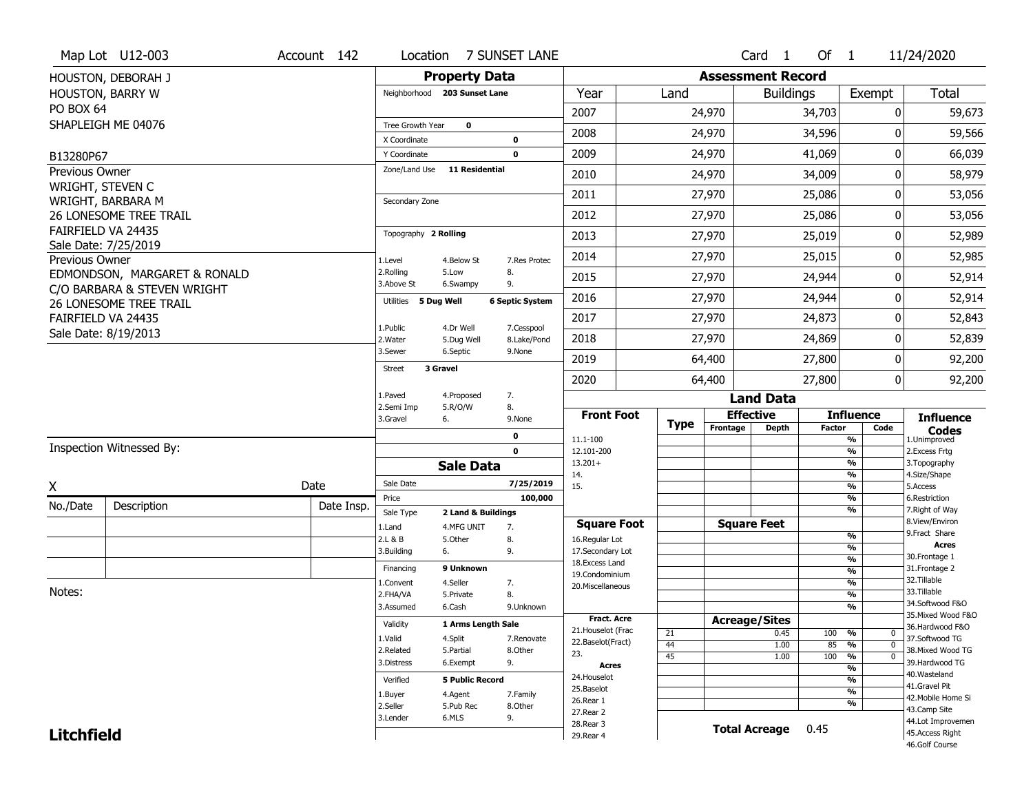| <b>Property Data</b><br><b>Assessment Record</b><br>HOUSTON, DEBORAH J<br><b>Total</b><br>HOUSTON, BARRY W<br>Year<br>Neighborhood 203 Sunset Lane<br>Land<br><b>Buildings</b><br>Exempt<br>PO BOX 64<br>2007<br>24,970<br>34,703<br>$\mathbf{0}$<br>SHAPLEIGH ME 04076<br>Tree Growth Year<br>$\mathbf 0$<br>2008<br>34,596<br>24,970<br>0<br>$\mathbf 0$<br>X Coordinate<br>2009<br>24,970<br>41,069<br>0<br>66,039<br>$\mathbf 0$<br>Y Coordinate<br>B13280P67<br>Zone/Land Use<br><b>11 Residential</b><br><b>Previous Owner</b><br>24,970<br>34,009<br>0<br>2010<br>WRIGHT, STEVEN C<br>2011<br>27,970<br>25,086<br>0<br>WRIGHT, BARBARA M<br>Secondary Zone<br><b>26 LONESOME TREE TRAIL</b><br>2012<br>27,970<br>25,086<br>0<br>FAIRFIELD VA 24435<br>Topography 2 Rolling<br>27,970<br>25,019<br>0<br>2013<br>Sale Date: 7/25/2019<br>2014<br>27,970<br>25,015<br>0<br>Previous Owner<br>1.Level<br>7.Res Protec<br>4.Below St<br>2.Rolling<br>8.<br>5.Low<br>EDMONDSON, MARGARET & RONALD<br>2015<br>27,970<br>24,944<br>0<br>3.Above St<br>9.<br>6.Swampy<br>C/O BARBARA & STEVEN WRIGHT<br>24,944<br>2016<br>27,970<br>0<br>5 Dug Well<br><b>6 Septic System</b><br>Utilities<br>26 LONESOME TREE TRAIL |                    |      |        |        |   | 11/24/2020         |
|--------------------------------------------------------------------------------------------------------------------------------------------------------------------------------------------------------------------------------------------------------------------------------------------------------------------------------------------------------------------------------------------------------------------------------------------------------------------------------------------------------------------------------------------------------------------------------------------------------------------------------------------------------------------------------------------------------------------------------------------------------------------------------------------------------------------------------------------------------------------------------------------------------------------------------------------------------------------------------------------------------------------------------------------------------------------------------------------------------------------------------------------------------------------------------------------------------------------|--------------------|------|--------|--------|---|--------------------|
|                                                                                                                                                                                                                                                                                                                                                                                                                                                                                                                                                                                                                                                                                                                                                                                                                                                                                                                                                                                                                                                                                                                                                                                                                    |                    |      |        |        |   |                    |
|                                                                                                                                                                                                                                                                                                                                                                                                                                                                                                                                                                                                                                                                                                                                                                                                                                                                                                                                                                                                                                                                                                                                                                                                                    |                    |      |        |        |   |                    |
|                                                                                                                                                                                                                                                                                                                                                                                                                                                                                                                                                                                                                                                                                                                                                                                                                                                                                                                                                                                                                                                                                                                                                                                                                    |                    |      |        |        |   | 59,673             |
|                                                                                                                                                                                                                                                                                                                                                                                                                                                                                                                                                                                                                                                                                                                                                                                                                                                                                                                                                                                                                                                                                                                                                                                                                    |                    |      |        |        |   | 59,566             |
|                                                                                                                                                                                                                                                                                                                                                                                                                                                                                                                                                                                                                                                                                                                                                                                                                                                                                                                                                                                                                                                                                                                                                                                                                    |                    |      |        |        |   |                    |
|                                                                                                                                                                                                                                                                                                                                                                                                                                                                                                                                                                                                                                                                                                                                                                                                                                                                                                                                                                                                                                                                                                                                                                                                                    |                    |      |        |        |   |                    |
|                                                                                                                                                                                                                                                                                                                                                                                                                                                                                                                                                                                                                                                                                                                                                                                                                                                                                                                                                                                                                                                                                                                                                                                                                    |                    |      |        |        |   | 58,979             |
|                                                                                                                                                                                                                                                                                                                                                                                                                                                                                                                                                                                                                                                                                                                                                                                                                                                                                                                                                                                                                                                                                                                                                                                                                    |                    |      |        |        |   | 53,056             |
|                                                                                                                                                                                                                                                                                                                                                                                                                                                                                                                                                                                                                                                                                                                                                                                                                                                                                                                                                                                                                                                                                                                                                                                                                    |                    |      |        |        |   | 53,056             |
|                                                                                                                                                                                                                                                                                                                                                                                                                                                                                                                                                                                                                                                                                                                                                                                                                                                                                                                                                                                                                                                                                                                                                                                                                    |                    |      |        |        |   | 52,989             |
|                                                                                                                                                                                                                                                                                                                                                                                                                                                                                                                                                                                                                                                                                                                                                                                                                                                                                                                                                                                                                                                                                                                                                                                                                    |                    |      |        |        |   | 52,985             |
|                                                                                                                                                                                                                                                                                                                                                                                                                                                                                                                                                                                                                                                                                                                                                                                                                                                                                                                                                                                                                                                                                                                                                                                                                    |                    |      |        |        |   | 52,914             |
|                                                                                                                                                                                                                                                                                                                                                                                                                                                                                                                                                                                                                                                                                                                                                                                                                                                                                                                                                                                                                                                                                                                                                                                                                    |                    |      |        |        |   | 52,914             |
|                                                                                                                                                                                                                                                                                                                                                                                                                                                                                                                                                                                                                                                                                                                                                                                                                                                                                                                                                                                                                                                                                                                                                                                                                    | FAIRFIELD VA 24435 | 2017 | 27,970 | 24,873 | 0 | 52,843             |
| 1.Public<br>4.Dr Well<br>7.Cesspool<br>Sale Date: 8/19/2013<br>2018<br>27,970<br>24,869<br>0<br>2. Water<br>8.Lake/Pond<br>5.Dug Well                                                                                                                                                                                                                                                                                                                                                                                                                                                                                                                                                                                                                                                                                                                                                                                                                                                                                                                                                                                                                                                                              |                    |      |        |        |   | 52,839             |
| 3.Sewer<br>6.Septic<br>9.None<br>27,800<br>2019<br>64,400<br>0                                                                                                                                                                                                                                                                                                                                                                                                                                                                                                                                                                                                                                                                                                                                                                                                                                                                                                                                                                                                                                                                                                                                                     |                    |      |        |        |   | 92,200             |
| <b>Street</b><br>3 Gravel<br>2020<br>64,400<br>27,800<br>0                                                                                                                                                                                                                                                                                                                                                                                                                                                                                                                                                                                                                                                                                                                                                                                                                                                                                                                                                                                                                                                                                                                                                         |                    |      |        |        |   | 92,200             |
| 1.Paved<br>4.Proposed<br>7.<br><b>Land Data</b>                                                                                                                                                                                                                                                                                                                                                                                                                                                                                                                                                                                                                                                                                                                                                                                                                                                                                                                                                                                                                                                                                                                                                                    |                    |      |        |        |   |                    |
| 2.Semi Imp<br>5.R/O/W<br>8.<br><b>Front Foot</b><br><b>Effective</b><br><b>Influence</b><br>3.Gravel<br>6.<br>9.None                                                                                                                                                                                                                                                                                                                                                                                                                                                                                                                                                                                                                                                                                                                                                                                                                                                                                                                                                                                                                                                                                               |                    |      |        |        |   | <b>Influence</b>   |
| <b>Type</b><br>Frontage<br>Depth<br><b>Factor</b><br>Code<br><b>Codes</b><br>0<br>$\frac{9}{6}$<br>11.1-100<br>1.Unimproved                                                                                                                                                                                                                                                                                                                                                                                                                                                                                                                                                                                                                                                                                                                                                                                                                                                                                                                                                                                                                                                                                        |                    |      |        |        |   |                    |
| Inspection Witnessed By:<br>$\mathbf 0$<br>$\frac{9}{6}$<br>2.Excess Frtg<br>12.101-200                                                                                                                                                                                                                                                                                                                                                                                                                                                                                                                                                                                                                                                                                                                                                                                                                                                                                                                                                                                                                                                                                                                            |                    |      |        |        |   |                    |
| $\frac{9}{6}$<br>$13.201+$<br>3. Topography<br><b>Sale Data</b><br>$\frac{9}{6}$<br>4.Size/Shape<br>14.                                                                                                                                                                                                                                                                                                                                                                                                                                                                                                                                                                                                                                                                                                                                                                                                                                                                                                                                                                                                                                                                                                            |                    |      |        |        |   |                    |
| Sale Date<br>7/25/2019<br>Date<br>Χ<br>15.<br>$\frac{9}{6}$<br>5.Access                                                                                                                                                                                                                                                                                                                                                                                                                                                                                                                                                                                                                                                                                                                                                                                                                                                                                                                                                                                                                                                                                                                                            |                    |      |        |        |   |                    |
| $\frac{9}{6}$<br>Price<br>100,000<br>6.Restriction<br>No./Date<br>Description<br>Date Insp.<br>$\frac{9}{6}$<br>7. Right of Way                                                                                                                                                                                                                                                                                                                                                                                                                                                                                                                                                                                                                                                                                                                                                                                                                                                                                                                                                                                                                                                                                    |                    |      |        |        |   |                    |
| Sale Type<br>2 Land & Buildings<br>8.View/Environ<br><b>Square Feet</b><br><b>Square Foot</b><br>4.MFG UNIT<br>1.Land<br>7.                                                                                                                                                                                                                                                                                                                                                                                                                                                                                                                                                                                                                                                                                                                                                                                                                                                                                                                                                                                                                                                                                        |                    |      |        |        |   |                    |
| 9.Fract Share<br>%<br>2.L & B<br>5.Other<br>8.<br>16.Regular Lot<br><b>Acres</b>                                                                                                                                                                                                                                                                                                                                                                                                                                                                                                                                                                                                                                                                                                                                                                                                                                                                                                                                                                                                                                                                                                                                   |                    |      |        |        |   |                    |
| $\frac{9}{6}$<br>9.<br>6.<br>17.Secondary Lot<br>3.Building<br>30. Frontage 1<br>$\frac{9}{6}$                                                                                                                                                                                                                                                                                                                                                                                                                                                                                                                                                                                                                                                                                                                                                                                                                                                                                                                                                                                                                                                                                                                     |                    |      |        |        |   |                    |
| 18.Excess Land<br>9 Unknown<br>31. Frontage 2<br>Financing<br>$\frac{9}{6}$<br>19.Condominium                                                                                                                                                                                                                                                                                                                                                                                                                                                                                                                                                                                                                                                                                                                                                                                                                                                                                                                                                                                                                                                                                                                      |                    |      |        |        |   |                    |
| 32.Tillable<br>$\frac{9}{6}$<br>4.Seller<br>7.<br>1.Convent<br>20.Miscellaneous<br>33.Tillable                                                                                                                                                                                                                                                                                                                                                                                                                                                                                                                                                                                                                                                                                                                                                                                                                                                                                                                                                                                                                                                                                                                     |                    |      |        |        |   |                    |
| Notes:<br>$\frac{9}{6}$<br>2.FHA/VA<br>5.Private<br>8.<br>34.Softwood F&O                                                                                                                                                                                                                                                                                                                                                                                                                                                                                                                                                                                                                                                                                                                                                                                                                                                                                                                                                                                                                                                                                                                                          |                    |      |        |        |   |                    |
| $\frac{9}{6}$<br>3.Assumed<br>9.Unknown<br>6.Cash<br><b>Fract. Acre</b>                                                                                                                                                                                                                                                                                                                                                                                                                                                                                                                                                                                                                                                                                                                                                                                                                                                                                                                                                                                                                                                                                                                                            |                    |      |        |        |   | 35. Mixed Wood F&O |
| <b>Acreage/Sites</b><br>1 Arms Length Sale<br>Validity<br>21. Houselot (Frac                                                                                                                                                                                                                                                                                                                                                                                                                                                                                                                                                                                                                                                                                                                                                                                                                                                                                                                                                                                                                                                                                                                                       |                    |      |        |        |   | 36.Hardwood F&O    |
| 21<br>0.45<br>100 %<br>0<br>1.Valid<br>37.Softwood TG<br>4.Split<br>7.Renovate<br>22.Baselot(Fract)<br>44<br>85<br>1.00<br>$\frac{9}{6}$<br>$\mathbf 0$                                                                                                                                                                                                                                                                                                                                                                                                                                                                                                                                                                                                                                                                                                                                                                                                                                                                                                                                                                                                                                                            |                    |      |        |        |   |                    |
| 2.Related<br>8.Other<br>5.Partial<br>23.<br>45<br>100<br>$\overline{\frac{9}{6}}$<br>1.00<br>$\mathbf{0}$                                                                                                                                                                                                                                                                                                                                                                                                                                                                                                                                                                                                                                                                                                                                                                                                                                                                                                                                                                                                                                                                                                          |                    |      |        |        |   | 38. Mixed Wood TG  |
| 39.Hardwood TG<br>9.<br>3.Distress<br>6.Exempt<br>Acres<br>$\frac{9}{6}$                                                                                                                                                                                                                                                                                                                                                                                                                                                                                                                                                                                                                                                                                                                                                                                                                                                                                                                                                                                                                                                                                                                                           |                    |      |        |        |   |                    |
| 40. Wasteland<br>24. Houselot<br>$\frac{9}{6}$<br>Verified<br><b>5 Public Record</b><br>41.Gravel Pit                                                                                                                                                                                                                                                                                                                                                                                                                                                                                                                                                                                                                                                                                                                                                                                                                                                                                                                                                                                                                                                                                                              |                    |      |        |        |   |                    |
| 25.Baselot<br>$\overline{\frac{9}{6}}$<br>4.Agent<br>7.Family<br>1.Buyer<br>26.Rear 1                                                                                                                                                                                                                                                                                                                                                                                                                                                                                                                                                                                                                                                                                                                                                                                                                                                                                                                                                                                                                                                                                                                              |                    |      |        |        |   | 42. Mobile Home Si |
| %<br>2.Seller<br>5.Pub Rec<br>8.Other<br>43.Camp Site<br>27. Rear 2                                                                                                                                                                                                                                                                                                                                                                                                                                                                                                                                                                                                                                                                                                                                                                                                                                                                                                                                                                                                                                                                                                                                                |                    |      |        |        |   |                    |
| 9.<br>3.Lender<br>6.MLS<br>28. Rear 3                                                                                                                                                                                                                                                                                                                                                                                                                                                                                                                                                                                                                                                                                                                                                                                                                                                                                                                                                                                                                                                                                                                                                                              |                    |      |        |        |   | 44.Lot Improvemen  |
| <b>Total Acreage</b><br>0.45<br><b>Litchfield</b><br>45.Access Right<br>29. Rear 4<br>46.Golf Course                                                                                                                                                                                                                                                                                                                                                                                                                                                                                                                                                                                                                                                                                                                                                                                                                                                                                                                                                                                                                                                                                                               |                    |      |        |        |   |                    |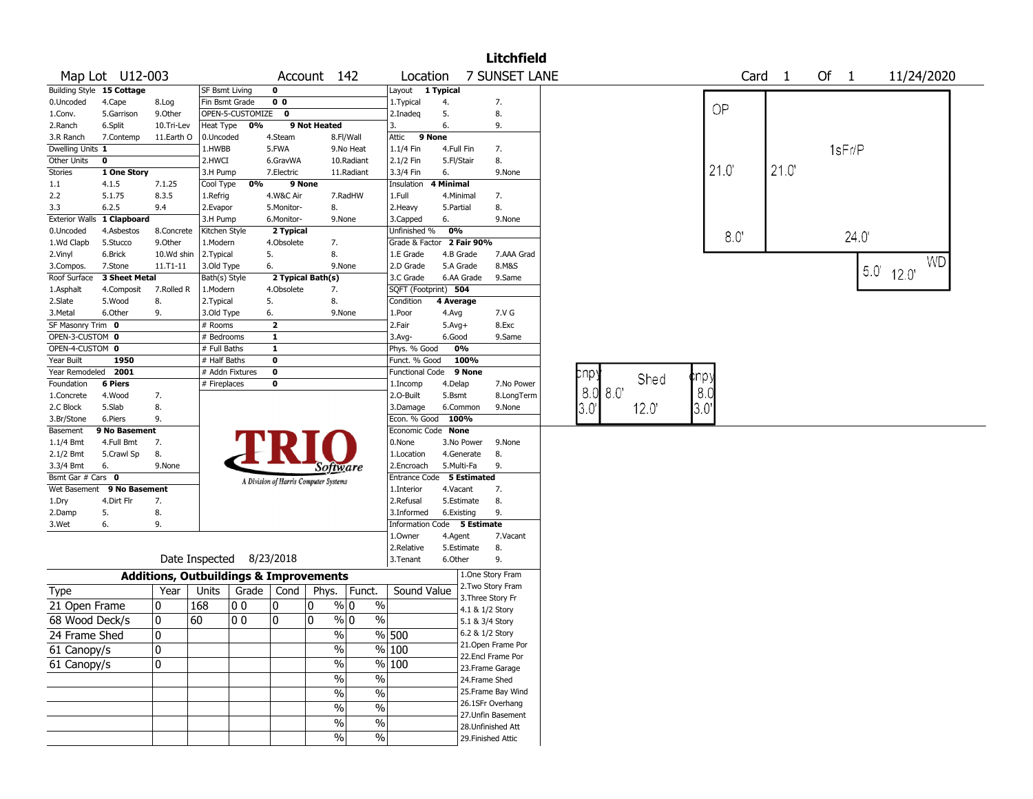|                                 |                           |            |                                                   |                  |                                       |              |                                  |                             |           |                                  | <b>Litchfield</b>                  |             |       |      |      |                   |        |      |              |           |
|---------------------------------|---------------------------|------------|---------------------------------------------------|------------------|---------------------------------------|--------------|----------------------------------|-----------------------------|-----------|----------------------------------|------------------------------------|-------------|-------|------|------|-------------------|--------|------|--------------|-----------|
|                                 | Map Lot U12-003           |            |                                                   |                  |                                       | Account 142  |                                  | Location                    |           |                                  | 7 SUNSET LANE                      |             |       |      |      | Card <sub>1</sub> | Of $1$ |      | 11/24/2020   |           |
|                                 | Building Style 15 Cottage |            | SF Bsmt Living                                    |                  | 0                                     |              |                                  | Layout 1 Typical            |           |                                  |                                    |             |       |      |      |                   |        |      |              |           |
| 0.Uncoded                       | 4.Cape                    | 8.Log      | Fin Bsmt Grade                                    |                  | 0 <sub>0</sub>                        |              |                                  | 1. Typical                  | 4.        |                                  | 7.                                 |             |       |      | OP   |                   |        |      |              |           |
| 1.Conv.                         | 5.Garrison                | 9.Other    |                                                   | OPEN-5-CUSTOMIZE | $\mathbf 0$                           |              |                                  | 2.Inadeq                    | 5.        |                                  | 8.                                 |             |       |      |      |                   |        |      |              |           |
| 2.Ranch                         | 6.Split                   | 10.Tri-Lev | Heat Type                                         | 0%               |                                       | 9 Not Heated |                                  | 3.                          | 6.        |                                  | 9.                                 |             |       |      |      |                   |        |      |              |           |
| 3.R Ranch                       | 7.Contemp                 | 11.Earth O | 0.Uncoded                                         |                  | 4.Steam                               |              | 8.Fl/Wall                        | Attic                       | 9 None    |                                  |                                    |             |       |      |      |                   |        |      |              |           |
| Dwelling Units 1<br>Other Units | $\mathbf 0$               |            | 1.HWBB<br>2.HWCI                                  |                  | 5.FWA                                 |              | 9.No Heat                        | 1.1/4 Fin                   |           | 4.Full Fin                       | 7.<br>8.                           |             |       |      |      |                   | 1sFr/P |      |              |           |
| Stories                         | 1 One Story               |            | 3.H Pump                                          |                  | 6.GravWA<br>7.Electric                |              | 10.Radiant<br>11.Radiant         | 2.1/2 Fin<br>3.3/4 Fin      | 6.        | 5.Fl/Stair                       | 9.None                             |             |       |      | 21.0 | 21.0              |        |      |              |           |
| 1.1                             | 4.1.5                     | 7.1.25     | Cool Type                                         | 0%               | 9 None                                |              |                                  | Insulation                  | 4 Minimal |                                  |                                    |             |       |      |      |                   |        |      |              |           |
| 2.2                             | 5.1.75                    | 8.3.5      | 1.Refrig                                          |                  | 4.W&C Air                             |              | 7.RadHW                          | 1.Full                      |           | 4.Minimal                        | 7.                                 |             |       |      |      |                   |        |      |              |           |
| 3.3                             | 6.2.5                     | 9.4        | 2.Evapor                                          |                  | 5.Monitor-                            | 8.           |                                  | 2.Heavy                     | 5.Partial |                                  | 8.                                 |             |       |      |      |                   |        |      |              |           |
| <b>Exterior Walls</b>           | 1 Clapboard               |            | 3.H Pump                                          |                  | 6.Monitor-                            |              | 9.None                           | 3.Capped                    | 6.        |                                  | 9.None                             |             |       |      |      |                   |        |      |              |           |
| 0.Uncoded                       | 4.Asbestos                | 8.Concrete | Kitchen Style                                     |                  | 2 Typical                             |              |                                  | Unfinished %                | 0%        |                                  |                                    |             |       |      |      |                   |        |      |              |           |
| 1.Wd Clapb                      | 5.Stucco                  | 9.Other    | 1.Modern                                          |                  | 4.Obsolete                            |              | 7.                               | Grade & Factor 2 Fair 90%   |           |                                  |                                    |             |       |      | 8.0  |                   |        | 24.0 |              |           |
| 2.Vinyl                         | 6.Brick                   | 10.Wd shin | 2. Typical                                        |                  | 5.                                    | 8.           |                                  | 1.E Grade                   |           | 4.B Grade                        | 7.AAA Grad                         |             |       |      |      |                   |        |      |              |           |
| 3.Compos.                       | 7.Stone                   | 11.T1-11   | 3.Old Type                                        |                  | 6.                                    |              | 9.None                           | 2.D Grade                   |           | 5.A Grade                        | 8.M&S                              |             |       |      |      |                   |        |      |              | <b>WD</b> |
| Roof Surface                    | 3 Sheet Metal             |            | Bath(s) Style                                     |                  | 2 Typical Bath(s)                     |              |                                  | 3.C Grade                   |           | 6.AA Grade                       | 9.Same                             |             |       |      |      |                   |        |      | $5.0'$ 12.0' |           |
| 1.Asphalt                       | 4.Composit                | 7.Rolled R | 1.Modern                                          |                  | 4.Obsolete                            | 7.           |                                  | SQFT (Footprint) 504        |           |                                  |                                    |             |       |      |      |                   |        |      |              |           |
| 2.Slate                         | 5.Wood                    | 8.         | 2. Typical                                        |                  | 5.                                    | 8.           |                                  | Condition                   | 4 Average |                                  |                                    |             |       |      |      |                   |        |      |              |           |
| 3.Metal                         | 6.Other                   | 9.         | 3.Old Type                                        |                  | 6.                                    |              | 9.None                           | 1.Poor                      | 4.Avg     |                                  | 7.V G                              |             |       |      |      |                   |        |      |              |           |
| SF Masonry Trim 0               |                           |            | # Rooms                                           |                  | $\overline{\mathbf{2}}$               |              |                                  | 2.Fair                      | $5.Avg+$  |                                  | 8.Exc                              |             |       |      |      |                   |        |      |              |           |
| OPEN-3-CUSTOM 0                 |                           |            | # Bedrooms                                        |                  | $\mathbf{1}$                          |              |                                  | $3.$ Avg-                   | 6.Good    |                                  | 9.Same                             |             |       |      |      |                   |        |      |              |           |
| OPEN-4-CUSTOM 0                 |                           |            | # Full Baths                                      |                  | $\mathbf{1}$                          |              |                                  | Phys. % Good                |           | 0%                               |                                    |             |       |      |      |                   |        |      |              |           |
| Year Built                      | 1950                      |            | # Half Baths                                      |                  | $\mathbf 0$                           |              |                                  | Funct. % Good               |           | 100%                             |                                    |             |       |      |      |                   |        |      |              |           |
| Year Remodeled                  | 2001                      |            | # Addn Fixtures                                   |                  | $\mathbf 0$                           |              |                                  | <b>Functional Code</b>      |           | 9 None                           |                                    | pnp:        | Shed  | pnpy |      |                   |        |      |              |           |
| Foundation                      | <b>6 Piers</b>            |            | # Fireplaces                                      |                  | 0                                     |              |                                  | 1.Incomp                    | 4.Delap   |                                  | 7.No Power                         | 8.0 8.0'    |       | 8.0  |      |                   |        |      |              |           |
| 1.Concrete                      | 4.Wood                    | 7.         |                                                   |                  |                                       |              |                                  | 2.O-Built                   | 5.Bsmt    |                                  | 8.LongTerm                         |             |       |      |      |                   |        |      |              |           |
| 2.C Block                       | 5.Slab                    | 8.         |                                                   |                  |                                       |              |                                  | 3.Damage                    |           | 6.Common                         | 9.None                             | $3.0^\circ$ | 12.0' | 3.0' |      |                   |        |      |              |           |
| 3.Br/Stone                      | 6.Piers                   | 9.         |                                                   |                  |                                       |              |                                  | Econ. % Good                |           | 100%                             |                                    |             |       |      |      |                   |        |      |              |           |
| Basement                        | 9 No Basement             |            |                                                   |                  |                                       |              |                                  | Economic Code None          |           |                                  |                                    |             |       |      |      |                   |        |      |              |           |
| 1.1/4 Bmt                       | 4.Full Bmt                | 7.         |                                                   |                  |                                       |              |                                  | 0.None                      |           | 3.No Power                       | 9.None                             |             |       |      |      |                   |        |      |              |           |
| 2.1/2 Bmt                       | 5.Crawl Sp                | 8.         |                                                   |                  |                                       |              |                                  | 1.Location                  |           | 4.Generate                       | 8.                                 |             |       |      |      |                   |        |      |              |           |
| 3.3/4 Bmt<br>Bsmt Gar # Cars 0  | 6.                        | 9.None     |                                                   |                  |                                       |              | Software                         | 2.Encroach                  |           | 5.Multi-Fa<br><b>5 Estimated</b> | 9.                                 |             |       |      |      |                   |        |      |              |           |
| Wet Basement                    | 9 No Basement             |            |                                                   |                  | A Division of Harris Computer Systems |              |                                  | Entrance Code<br>1.Interior |           | 4.Vacant                         | 7.                                 |             |       |      |      |                   |        |      |              |           |
| 1.Dry                           | 4.Dirt Flr                | 7.         |                                                   |                  |                                       |              |                                  | 2.Refusal                   |           | 5.Estimate                       | 8.                                 |             |       |      |      |                   |        |      |              |           |
| 2.Damp                          | 5.                        | 8.         |                                                   |                  |                                       |              |                                  | 3.Informed                  |           | 6.Existing                       | 9.                                 |             |       |      |      |                   |        |      |              |           |
| 3.Wet                           | 6.                        | 9.         |                                                   |                  |                                       |              |                                  | Information Code 5 Estimate |           |                                  |                                    |             |       |      |      |                   |        |      |              |           |
|                                 |                           |            |                                                   |                  |                                       |              |                                  | 1.0wner                     | 4.Agent   |                                  | 7.Vacant                           |             |       |      |      |                   |        |      |              |           |
|                                 |                           |            |                                                   |                  |                                       |              |                                  | 2.Relative                  |           | 5.Estimate                       | 8.                                 |             |       |      |      |                   |        |      |              |           |
|                                 |                           |            | Date Inspected 8/23/2018                          |                  |                                       |              |                                  | 3.Tenant                    | 6.Other   |                                  | 9.                                 |             |       |      |      |                   |        |      |              |           |
|                                 |                           |            | <b>Additions, Outbuildings &amp; Improvements</b> |                  |                                       |              |                                  |                             |           |                                  | 1.One Story Fram                   |             |       |      |      |                   |        |      |              |           |
| Type                            |                           | Year       | Units                                             | Grade            | Cond                                  | Phys.        | Funct.                           | Sound Value                 |           |                                  | 2.Two Story Fram                   |             |       |      |      |                   |        |      |              |           |
| 21 Open Frame                   |                           | 10         | 168                                               | 00               | 0                                     | 10           | $\%$<br>% 0                      |                             |           |                                  | 3. Three Story Fr                  |             |       |      |      |                   |        |      |              |           |
| 68 Wood Deck/s                  |                           | 0          | 60                                                | 0 <sub>0</sub>   | 0                                     | 10           | $\%$<br>$\frac{9}{0}$ 0          |                             |           |                                  | 4.1 & 1/2 Story<br>5.1 & 3/4 Story |             |       |      |      |                   |        |      |              |           |
|                                 |                           | ١o         |                                                   |                  |                                       |              |                                  |                             |           |                                  | 6.2 & 1/2 Story                    |             |       |      |      |                   |        |      |              |           |
| 24 Frame Shed                   |                           |            |                                                   |                  |                                       |              | $\%$                             | % 500                       |           |                                  | 21. Open Frame Por                 |             |       |      |      |                   |        |      |              |           |
| 61 Canopy/s                     |                           | 10         |                                                   |                  |                                       |              | $\%$                             | $\sqrt{20}$ 100             |           |                                  | 22.Encl Frame Por                  |             |       |      |      |                   |        |      |              |           |
| 61 Canopy/s                     |                           | 10         |                                                   |                  |                                       |              | $\%$                             | $\frac{9}{6}$ 100           |           |                                  | 23. Frame Garage                   |             |       |      |      |                   |        |      |              |           |
|                                 |                           |            |                                                   |                  |                                       |              | $\sqrt{6}$<br>$\%$               |                             |           |                                  | 24.Frame Shed                      |             |       |      |      |                   |        |      |              |           |
|                                 |                           |            |                                                   |                  |                                       |              | $\frac{9}{6}$<br>$\%$            |                             |           |                                  | 25. Frame Bay Wind                 |             |       |      |      |                   |        |      |              |           |
|                                 |                           |            |                                                   |                  |                                       |              |                                  |                             |           |                                  | 26.1SFr Overhang                   |             |       |      |      |                   |        |      |              |           |
|                                 |                           |            |                                                   |                  |                                       |              | $\overline{\frac{0}{0}}$<br>$\%$ |                             |           |                                  | 27.Unfin Basement                  |             |       |      |      |                   |        |      |              |           |
|                                 |                           |            |                                                   |                  |                                       |              | $\overline{\frac{0}{0}}$<br>$\%$ |                             |           |                                  | 28. Unfinished Att                 |             |       |      |      |                   |        |      |              |           |
|                                 |                           |            |                                                   |                  |                                       |              | $\sqrt{6}$<br>$\%$               |                             |           |                                  | 29. Finished Attic                 |             |       |      |      |                   |        |      |              |           |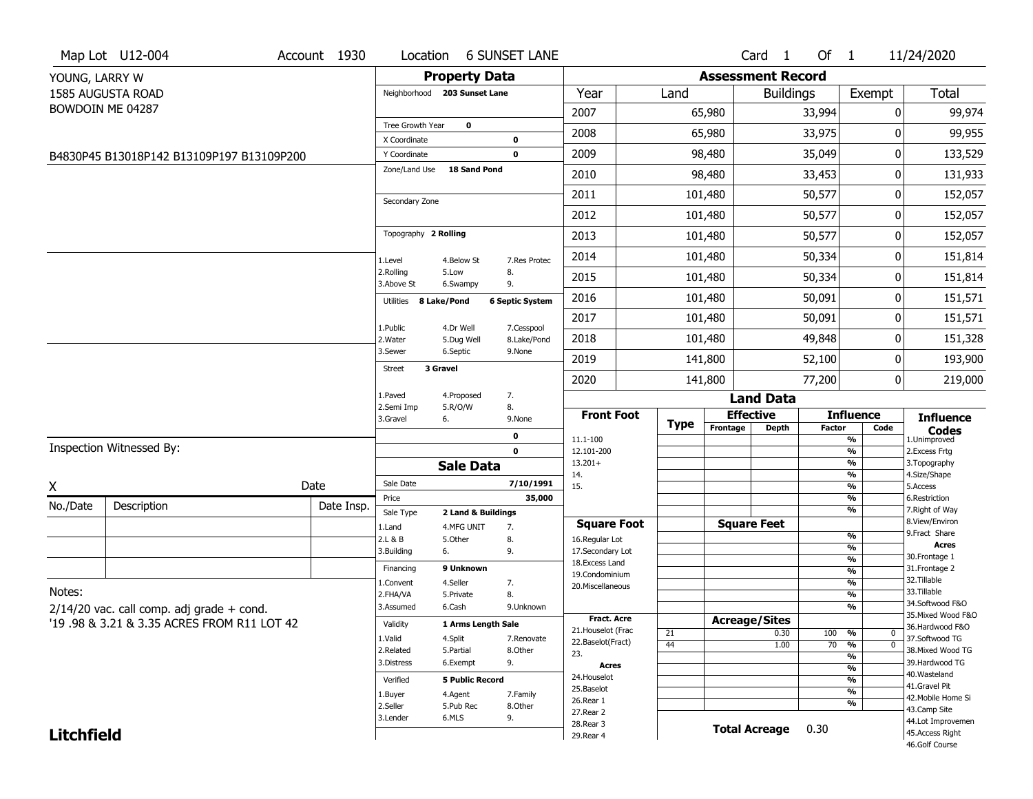| <b>Property Data</b><br><b>Assessment Record</b><br>YOUNG, LARRY W<br>Total<br>1585 AUGUSTA ROAD<br>Year<br>Land<br>Exempt<br>Neighborhood 203 Sunset Lane<br><b>Buildings</b><br>BOWDOIN ME 04287<br>2007<br>65,980<br>33,994<br>99,974<br>0<br>$\mathbf 0$<br>Tree Growth Year<br>2008<br>33,975<br>99,955<br>65,980<br>0<br>X Coordinate<br>$\bf{0}$<br>2009<br>98,480<br>35,049<br>0<br>133,529<br>$\mathbf 0$<br>Y Coordinate<br>B4830P45 B13018P142 B13109P197 B13109P200<br>Zone/Land Use<br><b>18 Sand Pond</b><br>2010<br>98,480<br>33,453<br>131,933<br>0<br>50,577<br>2011<br>101,480<br>0<br>Secondary Zone<br>2012<br>101,480<br>50,577<br>0<br>Topography 2 Rolling<br>2013<br>50,577<br>101,480<br>0<br>2014<br>101,480<br>50,334<br>0<br>7.Res Protec<br>1.Level<br>4.Below St<br>2.Rolling<br>8.<br>5.Low<br>2015<br>101,480<br>50,334<br>0<br>3.Above St<br>9.<br>6.Swampy<br>2016<br>50,091<br>0<br>101,480<br>Utilities 8 Lake/Pond<br><b>6 Septic System</b><br>2017<br>101,480<br>50,091<br>0<br>7.Cesspool<br>1.Public<br>4.Dr Well<br>49,848<br>2018<br>101,480<br>0<br>2. Water<br>5.Dug Well<br>8.Lake/Pond<br>3.Sewer<br>6.Septic<br>9.None<br>2019<br>141,800<br>52,100<br>0<br>3 Gravel<br><b>Street</b><br>141,800<br>77,200<br>0<br>2020<br>1.Paved<br>4.Proposed<br>7.<br><b>Land Data</b><br>8.<br>2.Semi Imp<br>5.R/O/W<br><b>Front Foot</b><br><b>Effective</b><br><b>Influence</b><br><b>Influence</b><br>3.Gravel<br>6.<br>9.None<br><b>Type</b><br>Frontage<br><b>Depth</b><br><b>Factor</b><br>Code<br><b>Codes</b><br>0<br>11.1-100<br>%<br>1.Unimproved<br>Inspection Witnessed By:<br>$\overline{\frac{9}{6}}$<br>$\mathbf 0$<br>12.101-200<br>2.Excess Frtg<br>$13.201+$<br>%<br>3. Topography<br><b>Sale Data</b><br>4.Size/Shape<br>%<br>14.<br>Sale Date<br>7/10/1991<br>Date<br>X<br>15.<br>%<br>5.Access<br>35,000<br>%<br>6.Restriction<br>Price<br>No./Date<br>Description<br>Date Insp.<br>%<br>7. Right of Way<br>Sale Type<br>2 Land & Buildings<br>8.View/Environ<br><b>Square Foot</b><br><b>Square Feet</b><br>1.Land<br>4.MFG UNIT<br>7.<br>9.Fract Share<br>$\frac{9}{6}$<br>2.L & B<br>5.Other<br>8.<br>16.Regular Lot<br><b>Acres</b><br>$\frac{9}{6}$<br>3.Building<br>9.<br>17.Secondary Lot<br>6. | Map Lot U12-004 | Account 1930 | Location | <b>6 SUNSET LANE</b> |  |  | Card <sub>1</sub> | Of $1$ |               | 11/24/2020     |
|------------------------------------------------------------------------------------------------------------------------------------------------------------------------------------------------------------------------------------------------------------------------------------------------------------------------------------------------------------------------------------------------------------------------------------------------------------------------------------------------------------------------------------------------------------------------------------------------------------------------------------------------------------------------------------------------------------------------------------------------------------------------------------------------------------------------------------------------------------------------------------------------------------------------------------------------------------------------------------------------------------------------------------------------------------------------------------------------------------------------------------------------------------------------------------------------------------------------------------------------------------------------------------------------------------------------------------------------------------------------------------------------------------------------------------------------------------------------------------------------------------------------------------------------------------------------------------------------------------------------------------------------------------------------------------------------------------------------------------------------------------------------------------------------------------------------------------------------------------------------------------------------------------------------------------------------------------------------------------------------------------------------------------------------------------------------------------------------------------------------------------------------------------------------------------------------------------------------------------------------------------------|-----------------|--------------|----------|----------------------|--|--|-------------------|--------|---------------|----------------|
|                                                                                                                                                                                                                                                                                                                                                                                                                                                                                                                                                                                                                                                                                                                                                                                                                                                                                                                                                                                                                                                                                                                                                                                                                                                                                                                                                                                                                                                                                                                                                                                                                                                                                                                                                                                                                                                                                                                                                                                                                                                                                                                                                                                                                                                                  |                 |              |          |                      |  |  |                   |        |               |                |
|                                                                                                                                                                                                                                                                                                                                                                                                                                                                                                                                                                                                                                                                                                                                                                                                                                                                                                                                                                                                                                                                                                                                                                                                                                                                                                                                                                                                                                                                                                                                                                                                                                                                                                                                                                                                                                                                                                                                                                                                                                                                                                                                                                                                                                                                  |                 |              |          |                      |  |  |                   |        |               |                |
|                                                                                                                                                                                                                                                                                                                                                                                                                                                                                                                                                                                                                                                                                                                                                                                                                                                                                                                                                                                                                                                                                                                                                                                                                                                                                                                                                                                                                                                                                                                                                                                                                                                                                                                                                                                                                                                                                                                                                                                                                                                                                                                                                                                                                                                                  |                 |              |          |                      |  |  |                   |        |               |                |
|                                                                                                                                                                                                                                                                                                                                                                                                                                                                                                                                                                                                                                                                                                                                                                                                                                                                                                                                                                                                                                                                                                                                                                                                                                                                                                                                                                                                                                                                                                                                                                                                                                                                                                                                                                                                                                                                                                                                                                                                                                                                                                                                                                                                                                                                  |                 |              |          |                      |  |  |                   |        |               |                |
|                                                                                                                                                                                                                                                                                                                                                                                                                                                                                                                                                                                                                                                                                                                                                                                                                                                                                                                                                                                                                                                                                                                                                                                                                                                                                                                                                                                                                                                                                                                                                                                                                                                                                                                                                                                                                                                                                                                                                                                                                                                                                                                                                                                                                                                                  |                 |              |          |                      |  |  |                   |        |               |                |
|                                                                                                                                                                                                                                                                                                                                                                                                                                                                                                                                                                                                                                                                                                                                                                                                                                                                                                                                                                                                                                                                                                                                                                                                                                                                                                                                                                                                                                                                                                                                                                                                                                                                                                                                                                                                                                                                                                                                                                                                                                                                                                                                                                                                                                                                  |                 |              |          |                      |  |  |                   |        |               |                |
|                                                                                                                                                                                                                                                                                                                                                                                                                                                                                                                                                                                                                                                                                                                                                                                                                                                                                                                                                                                                                                                                                                                                                                                                                                                                                                                                                                                                                                                                                                                                                                                                                                                                                                                                                                                                                                                                                                                                                                                                                                                                                                                                                                                                                                                                  |                 |              |          |                      |  |  |                   |        |               |                |
|                                                                                                                                                                                                                                                                                                                                                                                                                                                                                                                                                                                                                                                                                                                                                                                                                                                                                                                                                                                                                                                                                                                                                                                                                                                                                                                                                                                                                                                                                                                                                                                                                                                                                                                                                                                                                                                                                                                                                                                                                                                                                                                                                                                                                                                                  |                 |              |          |                      |  |  |                   |        |               | 152,057        |
|                                                                                                                                                                                                                                                                                                                                                                                                                                                                                                                                                                                                                                                                                                                                                                                                                                                                                                                                                                                                                                                                                                                                                                                                                                                                                                                                                                                                                                                                                                                                                                                                                                                                                                                                                                                                                                                                                                                                                                                                                                                                                                                                                                                                                                                                  |                 |              |          |                      |  |  |                   |        |               | 152,057        |
|                                                                                                                                                                                                                                                                                                                                                                                                                                                                                                                                                                                                                                                                                                                                                                                                                                                                                                                                                                                                                                                                                                                                                                                                                                                                                                                                                                                                                                                                                                                                                                                                                                                                                                                                                                                                                                                                                                                                                                                                                                                                                                                                                                                                                                                                  |                 |              |          |                      |  |  |                   |        |               | 152,057        |
|                                                                                                                                                                                                                                                                                                                                                                                                                                                                                                                                                                                                                                                                                                                                                                                                                                                                                                                                                                                                                                                                                                                                                                                                                                                                                                                                                                                                                                                                                                                                                                                                                                                                                                                                                                                                                                                                                                                                                                                                                                                                                                                                                                                                                                                                  |                 |              |          |                      |  |  |                   |        |               | 151,814        |
|                                                                                                                                                                                                                                                                                                                                                                                                                                                                                                                                                                                                                                                                                                                                                                                                                                                                                                                                                                                                                                                                                                                                                                                                                                                                                                                                                                                                                                                                                                                                                                                                                                                                                                                                                                                                                                                                                                                                                                                                                                                                                                                                                                                                                                                                  |                 |              |          |                      |  |  |                   |        |               | 151,814        |
|                                                                                                                                                                                                                                                                                                                                                                                                                                                                                                                                                                                                                                                                                                                                                                                                                                                                                                                                                                                                                                                                                                                                                                                                                                                                                                                                                                                                                                                                                                                                                                                                                                                                                                                                                                                                                                                                                                                                                                                                                                                                                                                                                                                                                                                                  |                 |              |          |                      |  |  |                   |        |               | 151,571        |
|                                                                                                                                                                                                                                                                                                                                                                                                                                                                                                                                                                                                                                                                                                                                                                                                                                                                                                                                                                                                                                                                                                                                                                                                                                                                                                                                                                                                                                                                                                                                                                                                                                                                                                                                                                                                                                                                                                                                                                                                                                                                                                                                                                                                                                                                  |                 |              |          |                      |  |  |                   |        |               | 151,571        |
|                                                                                                                                                                                                                                                                                                                                                                                                                                                                                                                                                                                                                                                                                                                                                                                                                                                                                                                                                                                                                                                                                                                                                                                                                                                                                                                                                                                                                                                                                                                                                                                                                                                                                                                                                                                                                                                                                                                                                                                                                                                                                                                                                                                                                                                                  |                 |              |          |                      |  |  |                   |        |               | 151,328        |
|                                                                                                                                                                                                                                                                                                                                                                                                                                                                                                                                                                                                                                                                                                                                                                                                                                                                                                                                                                                                                                                                                                                                                                                                                                                                                                                                                                                                                                                                                                                                                                                                                                                                                                                                                                                                                                                                                                                                                                                                                                                                                                                                                                                                                                                                  |                 |              |          |                      |  |  |                   |        |               | 193,900        |
|                                                                                                                                                                                                                                                                                                                                                                                                                                                                                                                                                                                                                                                                                                                                                                                                                                                                                                                                                                                                                                                                                                                                                                                                                                                                                                                                                                                                                                                                                                                                                                                                                                                                                                                                                                                                                                                                                                                                                                                                                                                                                                                                                                                                                                                                  |                 |              |          |                      |  |  |                   |        |               | 219,000        |
|                                                                                                                                                                                                                                                                                                                                                                                                                                                                                                                                                                                                                                                                                                                                                                                                                                                                                                                                                                                                                                                                                                                                                                                                                                                                                                                                                                                                                                                                                                                                                                                                                                                                                                                                                                                                                                                                                                                                                                                                                                                                                                                                                                                                                                                                  |                 |              |          |                      |  |  |                   |        |               |                |
|                                                                                                                                                                                                                                                                                                                                                                                                                                                                                                                                                                                                                                                                                                                                                                                                                                                                                                                                                                                                                                                                                                                                                                                                                                                                                                                                                                                                                                                                                                                                                                                                                                                                                                                                                                                                                                                                                                                                                                                                                                                                                                                                                                                                                                                                  |                 |              |          |                      |  |  |                   |        |               |                |
|                                                                                                                                                                                                                                                                                                                                                                                                                                                                                                                                                                                                                                                                                                                                                                                                                                                                                                                                                                                                                                                                                                                                                                                                                                                                                                                                                                                                                                                                                                                                                                                                                                                                                                                                                                                                                                                                                                                                                                                                                                                                                                                                                                                                                                                                  |                 |              |          |                      |  |  |                   |        |               |                |
|                                                                                                                                                                                                                                                                                                                                                                                                                                                                                                                                                                                                                                                                                                                                                                                                                                                                                                                                                                                                                                                                                                                                                                                                                                                                                                                                                                                                                                                                                                                                                                                                                                                                                                                                                                                                                                                                                                                                                                                                                                                                                                                                                                                                                                                                  |                 |              |          |                      |  |  |                   |        |               |                |
|                                                                                                                                                                                                                                                                                                                                                                                                                                                                                                                                                                                                                                                                                                                                                                                                                                                                                                                                                                                                                                                                                                                                                                                                                                                                                                                                                                                                                                                                                                                                                                                                                                                                                                                                                                                                                                                                                                                                                                                                                                                                                                                                                                                                                                                                  |                 |              |          |                      |  |  |                   |        |               |                |
|                                                                                                                                                                                                                                                                                                                                                                                                                                                                                                                                                                                                                                                                                                                                                                                                                                                                                                                                                                                                                                                                                                                                                                                                                                                                                                                                                                                                                                                                                                                                                                                                                                                                                                                                                                                                                                                                                                                                                                                                                                                                                                                                                                                                                                                                  |                 |              |          |                      |  |  |                   |        |               |                |
|                                                                                                                                                                                                                                                                                                                                                                                                                                                                                                                                                                                                                                                                                                                                                                                                                                                                                                                                                                                                                                                                                                                                                                                                                                                                                                                                                                                                                                                                                                                                                                                                                                                                                                                                                                                                                                                                                                                                                                                                                                                                                                                                                                                                                                                                  |                 |              |          |                      |  |  |                   |        |               |                |
|                                                                                                                                                                                                                                                                                                                                                                                                                                                                                                                                                                                                                                                                                                                                                                                                                                                                                                                                                                                                                                                                                                                                                                                                                                                                                                                                                                                                                                                                                                                                                                                                                                                                                                                                                                                                                                                                                                                                                                                                                                                                                                                                                                                                                                                                  |                 |              |          |                      |  |  |                   |        |               |                |
|                                                                                                                                                                                                                                                                                                                                                                                                                                                                                                                                                                                                                                                                                                                                                                                                                                                                                                                                                                                                                                                                                                                                                                                                                                                                                                                                                                                                                                                                                                                                                                                                                                                                                                                                                                                                                                                                                                                                                                                                                                                                                                                                                                                                                                                                  |                 |              |          |                      |  |  |                   |        |               |                |
|                                                                                                                                                                                                                                                                                                                                                                                                                                                                                                                                                                                                                                                                                                                                                                                                                                                                                                                                                                                                                                                                                                                                                                                                                                                                                                                                                                                                                                                                                                                                                                                                                                                                                                                                                                                                                                                                                                                                                                                                                                                                                                                                                                                                                                                                  |                 |              |          |                      |  |  |                   |        | $\frac{9}{6}$ | 30. Frontage 1 |
| 18.Excess Land<br>9 Unknown<br>31. Frontage 2<br>Financing<br>$\frac{9}{6}$<br>19.Condominium                                                                                                                                                                                                                                                                                                                                                                                                                                                                                                                                                                                                                                                                                                                                                                                                                                                                                                                                                                                                                                                                                                                                                                                                                                                                                                                                                                                                                                                                                                                                                                                                                                                                                                                                                                                                                                                                                                                                                                                                                                                                                                                                                                    |                 |              |          |                      |  |  |                   |        |               |                |
| 32.Tillable<br>4.Seller<br>$\overline{\frac{9}{6}}$<br>7.<br>1.Convent<br>20.Miscellaneous                                                                                                                                                                                                                                                                                                                                                                                                                                                                                                                                                                                                                                                                                                                                                                                                                                                                                                                                                                                                                                                                                                                                                                                                                                                                                                                                                                                                                                                                                                                                                                                                                                                                                                                                                                                                                                                                                                                                                                                                                                                                                                                                                                       |                 |              |          |                      |  |  |                   |        |               |                |
| Notes:<br>33.Tillable<br>$\overline{\frac{9}{6}}$<br>2.FHA/VA<br>8.<br>5.Private<br>34.Softwood F&O                                                                                                                                                                                                                                                                                                                                                                                                                                                                                                                                                                                                                                                                                                                                                                                                                                                                                                                                                                                                                                                                                                                                                                                                                                                                                                                                                                                                                                                                                                                                                                                                                                                                                                                                                                                                                                                                                                                                                                                                                                                                                                                                                              |                 |              |          |                      |  |  |                   |        |               |                |
| $\frac{9}{6}$<br>3.Assumed<br>6.Cash<br>9.Unknown<br>$2/14/20$ vac. call comp. adj grade + cond.<br>35. Mixed Wood F&O<br><b>Fract. Acre</b>                                                                                                                                                                                                                                                                                                                                                                                                                                                                                                                                                                                                                                                                                                                                                                                                                                                                                                                                                                                                                                                                                                                                                                                                                                                                                                                                                                                                                                                                                                                                                                                                                                                                                                                                                                                                                                                                                                                                                                                                                                                                                                                     |                 |              |          |                      |  |  |                   |        |               |                |
| <b>Acreage/Sites</b><br>'19.98 & 3.21 & 3.35 ACRES FROM R11 LOT 42<br>Validity<br>1 Arms Length Sale<br>36.Hardwood F&O<br>21. Houselot (Frac                                                                                                                                                                                                                                                                                                                                                                                                                                                                                                                                                                                                                                                                                                                                                                                                                                                                                                                                                                                                                                                                                                                                                                                                                                                                                                                                                                                                                                                                                                                                                                                                                                                                                                                                                                                                                                                                                                                                                                                                                                                                                                                    |                 |              |          |                      |  |  |                   |        |               |                |
| 21<br>0.30<br>100 %<br>0<br>1.Valid<br>4.Split<br>37.Softwood TG<br>7.Renovate<br>22.Baselot(Fract)<br>44<br>70<br>1.00<br>$\frac{9}{6}$<br>$\mathbf 0$                                                                                                                                                                                                                                                                                                                                                                                                                                                                                                                                                                                                                                                                                                                                                                                                                                                                                                                                                                                                                                                                                                                                                                                                                                                                                                                                                                                                                                                                                                                                                                                                                                                                                                                                                                                                                                                                                                                                                                                                                                                                                                          |                 |              |          |                      |  |  |                   |        |               |                |
| 38. Mixed Wood TG<br>2.Related<br>5.Partial<br>8.Other<br>23.<br>$\frac{9}{6}$                                                                                                                                                                                                                                                                                                                                                                                                                                                                                                                                                                                                                                                                                                                                                                                                                                                                                                                                                                                                                                                                                                                                                                                                                                                                                                                                                                                                                                                                                                                                                                                                                                                                                                                                                                                                                                                                                                                                                                                                                                                                                                                                                                                   |                 |              |          |                      |  |  |                   |        |               |                |
| 3.Distress<br>6.Exempt<br>9.<br>39.Hardwood TG<br><b>Acres</b><br>$\frac{9}{6}$                                                                                                                                                                                                                                                                                                                                                                                                                                                                                                                                                                                                                                                                                                                                                                                                                                                                                                                                                                                                                                                                                                                                                                                                                                                                                                                                                                                                                                                                                                                                                                                                                                                                                                                                                                                                                                                                                                                                                                                                                                                                                                                                                                                  |                 |              |          |                      |  |  |                   |        |               |                |
| 40. Wasteland<br>24. Houselot<br>$\frac{9}{6}$<br><b>5 Public Record</b><br>Verified<br>41.Gravel Pit                                                                                                                                                                                                                                                                                                                                                                                                                                                                                                                                                                                                                                                                                                                                                                                                                                                                                                                                                                                                                                                                                                                                                                                                                                                                                                                                                                                                                                                                                                                                                                                                                                                                                                                                                                                                                                                                                                                                                                                                                                                                                                                                                            |                 |              |          |                      |  |  |                   |        |               |                |
| 25.Baselot<br>$\frac{9}{6}$<br>1.Buyer<br>4.Agent<br>7.Family<br>42. Mobile Home Si<br>26.Rear 1                                                                                                                                                                                                                                                                                                                                                                                                                                                                                                                                                                                                                                                                                                                                                                                                                                                                                                                                                                                                                                                                                                                                                                                                                                                                                                                                                                                                                                                                                                                                                                                                                                                                                                                                                                                                                                                                                                                                                                                                                                                                                                                                                                 |                 |              |          |                      |  |  |                   |        |               |                |
| %<br>2.Seller<br>8.Other<br>5.Pub Rec<br>43.Camp Site<br>27.Rear 2                                                                                                                                                                                                                                                                                                                                                                                                                                                                                                                                                                                                                                                                                                                                                                                                                                                                                                                                                                                                                                                                                                                                                                                                                                                                                                                                                                                                                                                                                                                                                                                                                                                                                                                                                                                                                                                                                                                                                                                                                                                                                                                                                                                               |                 |              |          |                      |  |  |                   |        |               |                |
| 6.MLS<br>9.<br>3.Lender<br>44.Lot Improvemen<br>28. Rear 3                                                                                                                                                                                                                                                                                                                                                                                                                                                                                                                                                                                                                                                                                                                                                                                                                                                                                                                                                                                                                                                                                                                                                                                                                                                                                                                                                                                                                                                                                                                                                                                                                                                                                                                                                                                                                                                                                                                                                                                                                                                                                                                                                                                                       |                 |              |          |                      |  |  |                   |        |               |                |
| <b>Total Acreage</b><br>0.30<br><b>Litchfield</b><br>45. Access Right<br>29. Rear 4<br>46.Golf Course                                                                                                                                                                                                                                                                                                                                                                                                                                                                                                                                                                                                                                                                                                                                                                                                                                                                                                                                                                                                                                                                                                                                                                                                                                                                                                                                                                                                                                                                                                                                                                                                                                                                                                                                                                                                                                                                                                                                                                                                                                                                                                                                                            |                 |              |          |                      |  |  |                   |        |               |                |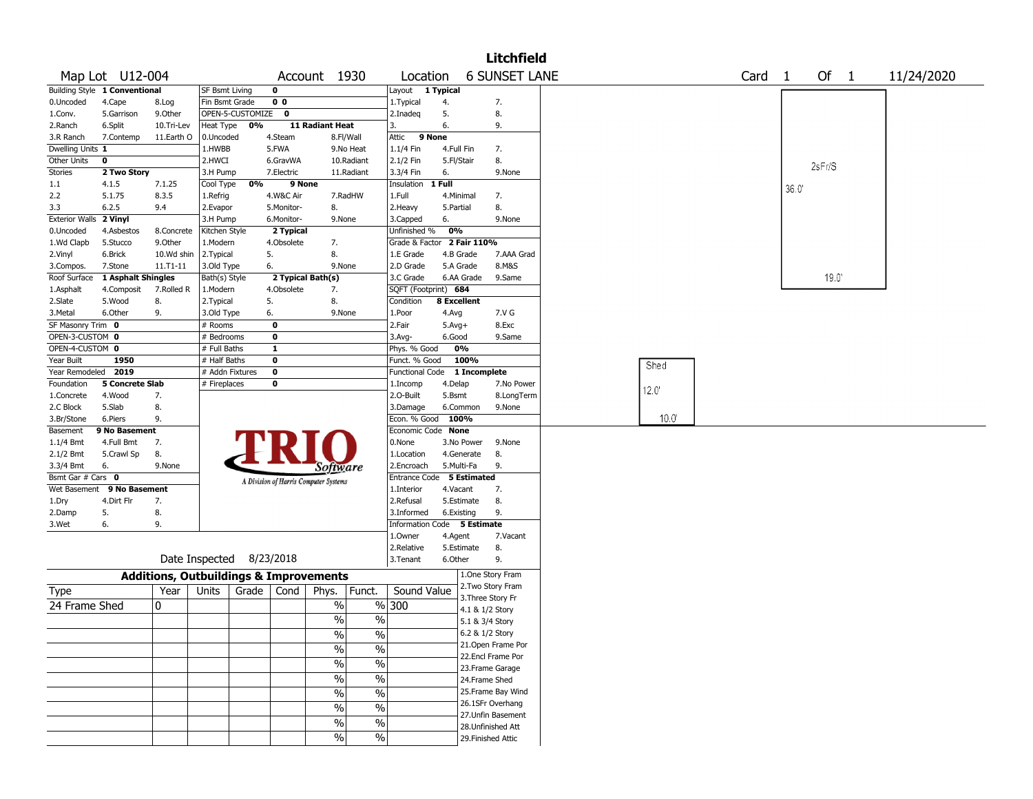|                       |                               |                                                   |                          |       |                   |                                       |               |                             |              |                      | <b>Litchfield</b>  |                   |  |        |            |  |
|-----------------------|-------------------------------|---------------------------------------------------|--------------------------|-------|-------------------|---------------------------------------|---------------|-----------------------------|--------------|----------------------|--------------------|-------------------|--|--------|------------|--|
|                       | Map Lot U12-004               |                                                   |                          |       | Account 1930      |                                       | Location      |                             |              | <b>6 SUNSET LANE</b> |                    | Card <sub>1</sub> |  | Of $1$ | 11/24/2020 |  |
|                       | Building Style 1 Conventional |                                                   | <b>SF Bsmt Living</b>    |       | $\mathbf 0$       |                                       |               | Layout 1 Typical            |              |                      |                    |                   |  |        |            |  |
| 0.Uncoded             | 4.Cape                        | 8.Log                                             | Fin Bsmt Grade           |       | 0 <sub>0</sub>    |                                       |               | 1. Typical                  | 4.           |                      | 7.                 |                   |  |        |            |  |
| 1.Conv.               | 5.Garrison                    | 9.0ther                                           | OPEN-5-CUSTOMIZE 0       |       |                   |                                       |               | 2.Inadeq                    | 5.           |                      | 8.                 |                   |  |        |            |  |
| 2.Ranch               | 6.Split                       | 10.Tri-Lev                                        | Heat Type                | 0%    |                   | 11 Radiant Heat                       |               | 3.                          | 6.           |                      | 9.                 |                   |  |        |            |  |
| 3.R Ranch             | 7.Contemp                     | 11.Earth O                                        | 0.Uncoded                |       | 4.Steam           | 8.Fl/Wall                             |               | Attic<br>9 None             |              |                      |                    |                   |  |        |            |  |
| Dwelling Units 1      |                               |                                                   | 1.HWBB                   |       | 5.FWA             |                                       | 9.No Heat     | 1.1/4 Fin                   |              | 4.Full Fin           | 7.                 |                   |  |        |            |  |
| Other Units           | $\pmb{0}$                     |                                                   | 2.HWCI                   |       | 6.GravWA          |                                       | 10.Radiant    | 2.1/2 Fin                   |              | 5.Fl/Stair           | 8.                 |                   |  |        | 2sFr/S     |  |
| <b>Stories</b>        | 2 Two Story                   |                                                   | 3.H Pump                 |       | 7.Electric        |                                       | 11.Radiant    | 3.3/4 Fin                   | 6.           |                      | 9.None             |                   |  |        |            |  |
| 1.1                   | 4.1.5                         | 7.1.25                                            | Cool Type                | 0%    | 9 None            |                                       |               | Insulation                  | 1 Full       |                      |                    |                   |  | 36.0   |            |  |
| 2.2                   | 5.1.75                        | 8.3.5                                             | 1.Refrig                 |       | 4.W&C Air         |                                       | 7.RadHW       | 1.Full                      |              | 4.Minimal            | 7.                 |                   |  |        |            |  |
| 3.3                   | 6.2.5                         | 9.4                                               | 2.Evapor                 |       | 5.Monitor-        | 8.                                    |               | 2. Heavy                    | 5.Partial    |                      | 8.                 |                   |  |        |            |  |
| <b>Exterior Walls</b> | 2 Vinyl                       |                                                   | 3.H Pump                 |       | 6.Monitor-        | 9.None                                |               | 3.Capped                    | 6.           |                      | 9.None             |                   |  |        |            |  |
| 0.Uncoded             | 4.Asbestos                    | 8.Concrete                                        | Kitchen Style            |       | 2 Typical         |                                       |               | Unfinished %                | 0%           |                      |                    |                   |  |        |            |  |
| 1.Wd Clapb            | 5.Stucco                      | 9.0ther                                           | 1.Modern                 |       | 4.Obsolete        | 7.                                    |               | Grade & Factor 2 Fair 110%  |              |                      |                    |                   |  |        |            |  |
| 2.Vinyl               | 6.Brick                       | 10.Wd shin                                        | 2. Typical               |       | 5.                | 8.                                    |               | 1.E Grade                   |              | 4.B Grade            | 7.AAA Grad         |                   |  |        |            |  |
| 3.Compos.             | 7.Stone                       | $11. T1 - 11$                                     | 3.Old Type               |       | 6.                | 9.None                                |               | 2.D Grade                   |              | 5.A Grade            | 8.M&S              |                   |  |        |            |  |
| Roof Surface          | 1 Asphalt Shingles            |                                                   | Bath(s) Style            |       | 2 Typical Bath(s) |                                       |               | 3.C Grade                   |              | 6.AA Grade           | 9.Same             |                   |  |        | 19.0       |  |
| 1.Asphalt             | 4.Composit                    | 7.Rolled R                                        | 1.Modern                 |       | 4.Obsolete        | 7.                                    |               | SQFT (Footprint) 684        |              |                      |                    |                   |  |        |            |  |
| 2.Slate               | 5.Wood                        | 8.                                                | 2. Typical               |       | 5.                | 8.                                    |               | Condition                   |              | 8 Excellent          |                    |                   |  |        |            |  |
| 3. Metal              | 6.Other                       | 9.                                                | 3.Old Type               |       | 6.                | 9.None                                |               | 1.Poor                      | 4.Avg        |                      | 7.V G              |                   |  |        |            |  |
| SF Masonry Trim 0     |                               |                                                   | # Rooms                  |       | $\mathbf 0$       |                                       |               | 2.Fair                      | $5.$ Avg $+$ |                      | 8.Exc              |                   |  |        |            |  |
| OPEN-3-CUSTOM 0       |                               |                                                   | # Bedrooms               |       | $\mathbf 0$       |                                       |               | 3.Avg-                      | 6.Good       |                      | 9.Same             |                   |  |        |            |  |
| OPEN-4-CUSTOM 0       |                               |                                                   | # Full Baths             |       | $\mathbf{1}$      |                                       |               | Phys. % Good                |              | 0%                   |                    |                   |  |        |            |  |
| Year Built            | 1950                          |                                                   | # Half Baths             |       | $\mathbf 0$       |                                       |               | Funct. % Good               |              | 100%                 |                    |                   |  |        |            |  |
| Year Remodeled 2019   |                               |                                                   | # Addn Fixtures          |       | $\mathbf 0$       |                                       |               | <b>Functional Code</b>      |              | 1 Incomplete         |                    | Shed              |  |        |            |  |
| Foundation            | <b>5 Concrete Slab</b>        |                                                   | # Fireplaces             |       | 0                 |                                       |               | 1.Incomp                    | 4.Delap      |                      | 7.No Power         |                   |  |        |            |  |
| 1.Concrete            | 4.Wood                        | 7.                                                |                          |       |                   |                                       |               | 2.O-Built                   | 5.Bsmt       |                      | 8.LongTerm         | 12.0'             |  |        |            |  |
| 2.C Block             | 5.Slab                        | 8.                                                |                          |       |                   |                                       |               | 3.Damage                    |              | 6.Common             | 9.None             |                   |  |        |            |  |
| 3.Br/Stone            | 6.Piers                       | 9.                                                |                          |       |                   |                                       |               | Econ. % Good                |              | 100%                 |                    | 10.0 <sup>°</sup> |  |        |            |  |
| Basement              | 9 No Basement                 |                                                   |                          |       |                   |                                       |               | Economic Code None          |              |                      |                    |                   |  |        |            |  |
| $1.1/4$ Bmt           | 4.Full Bmt                    | 7.                                                |                          |       |                   |                                       |               | 0.None                      |              | 3.No Power           | 9.None             |                   |  |        |            |  |
| 2.1/2 Bmt             | 5.Crawl Sp                    | 8.                                                |                          |       |                   |                                       |               | 1.Location                  |              | 4.Generate           | 8.                 |                   |  |        |            |  |
| 3.3/4 Bmt             | 6.                            | 9.None                                            |                          |       |                   | Software                              |               | 2.Encroach                  |              | 5.Multi-Fa           | 9.                 |                   |  |        |            |  |
| Bsmt Gar # Cars 0     |                               |                                                   |                          |       |                   | A Division of Harris Computer Systems |               | Entrance Code               |              | 5 Estimated          |                    |                   |  |        |            |  |
|                       | Wet Basement 9 No Basement    |                                                   |                          |       |                   |                                       |               | 1.Interior                  |              | 4.Vacant             | 7.                 |                   |  |        |            |  |
| 1.Dry                 | 4.Dirt Flr                    | 7.                                                |                          |       |                   |                                       |               | 2.Refusal                   |              | 5.Estimate           | 8.                 |                   |  |        |            |  |
| 2.Damp                | 5.                            | 8.                                                |                          |       |                   |                                       |               | 3.Informed                  |              | 6.Existing           | 9.                 |                   |  |        |            |  |
| 3.Wet                 | 6.                            | 9.                                                |                          |       |                   |                                       |               | Information Code 5 Estimate |              |                      |                    |                   |  |        |            |  |
|                       |                               |                                                   |                          |       |                   |                                       |               | 1.Owner                     | 4.Agent      |                      | 7.Vacant           |                   |  |        |            |  |
|                       |                               |                                                   |                          |       |                   |                                       |               | 2.Relative                  |              | 5.Estimate           | 8.                 |                   |  |        |            |  |
|                       |                               |                                                   | Date Inspected 8/23/2018 |       |                   |                                       |               | 3.Tenant                    | 6.Other      |                      | 9.                 |                   |  |        |            |  |
|                       |                               | <b>Additions, Outbuildings &amp; Improvements</b> |                          |       |                   |                                       |               |                             |              |                      | 1.One Story Fram   |                   |  |        |            |  |
|                       |                               |                                                   |                          |       |                   |                                       |               |                             |              |                      | 2. Two Story Fram  |                   |  |        |            |  |
| <b>Type</b>           |                               | Year                                              | Units                    | Grade | Cond              | Phys.                                 | Funct.        | Sound Value                 |              |                      | 3. Three Story Fr  |                   |  |        |            |  |
| 24 Frame Shed         |                               | 0                                                 |                          |       |                   | %                                     |               | %300                        |              |                      | 4.1 & 1/2 Story    |                   |  |        |            |  |
|                       |                               |                                                   |                          |       |                   | %                                     | $\%$          |                             |              | 5.1 & 3/4 Story      |                    |                   |  |        |            |  |
|                       |                               |                                                   |                          |       |                   | %                                     | %             |                             |              |                      | 6.2 & 1/2 Story    |                   |  |        |            |  |
|                       |                               |                                                   |                          |       |                   | $\frac{0}{6}$                         | $\frac{9}{6}$ |                             |              |                      | 21. Open Frame Por |                   |  |        |            |  |
|                       |                               |                                                   |                          |       |                   |                                       |               |                             |              |                      | 22.Encl Frame Por  |                   |  |        |            |  |
|                       |                               |                                                   |                          |       |                   | $\frac{1}{2}$                         | $\frac{1}{2}$ |                             |              |                      | 23.Frame Garage    |                   |  |        |            |  |
|                       |                               |                                                   |                          |       |                   | $\frac{1}{2}$                         | $\frac{9}{6}$ |                             |              |                      | 24.Frame Shed      |                   |  |        |            |  |
|                       |                               |                                                   |                          |       |                   | $\%$                                  | $\frac{9}{6}$ |                             |              |                      | 25. Frame Bay Wind |                   |  |        |            |  |
|                       |                               |                                                   |                          |       |                   |                                       |               |                             |              |                      | 26.1SFr Overhang   |                   |  |        |            |  |
|                       |                               |                                                   |                          |       |                   | $\%$                                  | $\frac{9}{6}$ |                             |              |                      | 27. Unfin Basement |                   |  |        |            |  |
|                       |                               |                                                   |                          |       |                   | $\%$                                  | $\%$          |                             |              |                      | 28. Unfinished Att |                   |  |        |            |  |
|                       |                               |                                                   |                          |       |                   | $\%$                                  | $\sqrt{6}$    |                             |              |                      | 29. Finished Attic |                   |  |        |            |  |
|                       |                               |                                                   |                          |       |                   |                                       |               |                             |              |                      |                    |                   |  |        |            |  |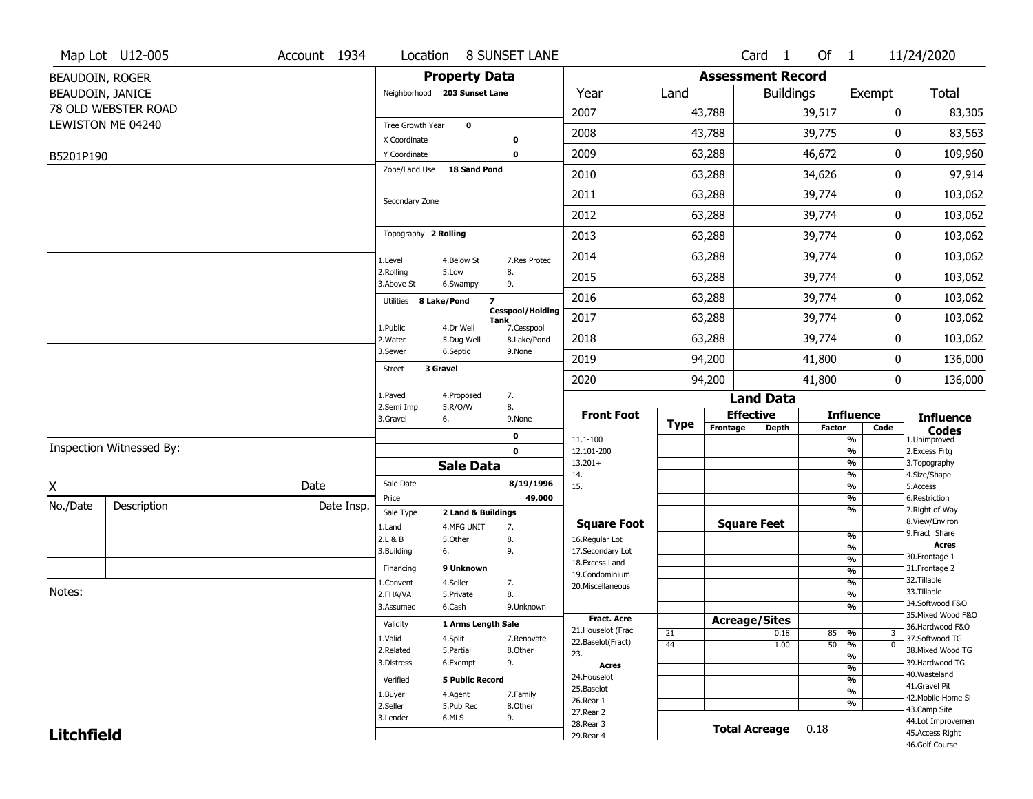|                   | Map Lot U12-005          | Account 1934 | Location                      |                                        | <b>8 SUNSET LANE</b>                          |                                    |      |                          | Card <sub>1</sub> | Of 1          |                                | 11/24/2020                            |
|-------------------|--------------------------|--------------|-------------------------------|----------------------------------------|-----------------------------------------------|------------------------------------|------|--------------------------|-------------------|---------------|--------------------------------|---------------------------------------|
| BEAUDOIN, ROGER   |                          |              |                               | <b>Property Data</b>                   |                                               |                                    |      | <b>Assessment Record</b> |                   |               |                                |                                       |
| BEAUDOIN, JANICE  |                          |              |                               | Neighborhood 203 Sunset Lane           |                                               | Year                               | Land |                          | <b>Buildings</b>  |               | Exempt                         | Total                                 |
|                   | 78 OLD WEBSTER ROAD      |              |                               |                                        |                                               | 2007                               |      | 43,788                   |                   | 39,517        | 0                              | 83,305                                |
|                   | LEWISTON ME 04240        |              | Tree Growth Year              | $\bf{0}$                               |                                               | 2008                               |      | 43,788                   |                   | 39,775        | 0                              | 83,563                                |
|                   |                          |              | X Coordinate                  |                                        | 0<br>$\mathbf 0$                              | 2009                               |      | 63,288                   |                   | 46,672        | 0                              | 109,960                               |
| B5201P190         |                          |              | Y Coordinate<br>Zone/Land Use | <b>18 Sand Pond</b>                    |                                               |                                    |      |                          |                   |               |                                |                                       |
|                   |                          |              |                               |                                        |                                               | 2010                               |      | 63,288                   |                   | 34,626        | 0                              | 97,914                                |
|                   |                          |              | Secondary Zone                |                                        |                                               | 2011                               |      | 63,288                   |                   | 39,774        | 0                              | 103,062                               |
|                   |                          |              |                               |                                        |                                               | 2012                               |      | 63,288                   |                   | 39,774        | 0                              | 103,062                               |
|                   |                          |              | Topography 2 Rolling          |                                        |                                               | 2013                               |      | 63,288                   |                   | 39,774        | 0                              | 103,062                               |
|                   |                          |              | 1.Level                       | 4.Below St                             | 7.Res Protec                                  | 2014                               |      | 63,288                   |                   | 39,774        | 0                              | 103,062                               |
|                   |                          |              | 2.Rolling<br>3.Above St       | 5.Low<br>6.Swampy                      | 8.<br>9.                                      | 2015                               |      | 63,288                   |                   | 39,774        | 0                              | 103,062                               |
|                   |                          |              | Utilities                     | $\overline{\mathbf{z}}$<br>8 Lake/Pond |                                               | 2016                               |      | 63,288                   |                   | 39,774        | 0                              | 103,062                               |
|                   |                          |              | 1.Public                      | 4.Dr Well                              | <b>Cesspool/Holding</b><br>Tank<br>7.Cesspool | 2017                               |      | 63,288                   |                   | 39,774        | 0                              | 103,062                               |
|                   |                          |              | 2. Water                      | 5.Dug Well                             | 8.Lake/Pond                                   | 2018                               |      | 63,288                   |                   | 39,774        | 0                              | 103,062                               |
|                   |                          |              | 3.Sewer                       | 6.Septic                               | 9.None                                        | 2019                               |      | 94,200                   |                   | 41,800        | 0                              | 136,000                               |
|                   |                          |              | <b>Street</b>                 | 3 Gravel                               |                                               | 2020                               |      | 94,200                   |                   | 41,800        | 0                              | 136,000                               |
|                   |                          |              | 1.Paved                       | 4.Proposed                             | 7.                                            |                                    |      |                          | <b>Land Data</b>  |               |                                |                                       |
|                   |                          |              | 2.Semi Imp<br>3.Gravel        | 5.R/O/W<br>6.                          | 8.<br>9.None                                  | <b>Front Foot</b>                  |      | <b>Effective</b>         |                   |               | <b>Influence</b>               | <b>Influence</b>                      |
|                   |                          |              |                               |                                        | 0                                             | 11.1-100                           | Type | Frontage                 | Depth             | <b>Factor</b> | Code<br>$\frac{9}{6}$          | <b>Codes</b><br>1.Unimproved          |
|                   | Inspection Witnessed By: |              |                               |                                        | $\mathbf 0$                                   | 12.101-200                         |      |                          |                   |               | $\frac{9}{6}$                  | 2. Excess Frtg                        |
|                   |                          |              |                               | <b>Sale Data</b>                       |                                               | $13.201+$<br>14.                   |      |                          |                   |               | $\frac{9}{6}$<br>$\frac{9}{6}$ | 3. Topography<br>4.Size/Shape         |
| X                 |                          | Date         | Sale Date                     |                                        | 8/19/1996                                     | 15.                                |      |                          |                   |               | $\frac{9}{6}$                  | 5.Access                              |
| No./Date          | Description              | Date Insp.   | Price                         |                                        | 49,000                                        |                                    |      |                          |                   |               | $\frac{9}{6}$<br>$\frac{9}{6}$ | 6.Restriction                         |
|                   |                          |              | Sale Type                     | 2 Land & Buildings                     |                                               | <b>Square Foot</b>                 |      | <b>Square Feet</b>       |                   |               |                                | 7. Right of Way<br>8.View/Environ     |
|                   |                          |              | 1.Land<br>2.L & B             | 4.MFG UNIT<br>5.Other                  | 7.<br>8.                                      | 16.Regular Lot                     |      |                          |                   |               | %                              | 9.Fract Share                         |
|                   |                          |              | 3.Building                    | 6.                                     | 9.                                            | 17.Secondary Lot                   |      |                          |                   |               | $\frac{9}{6}$                  | <b>Acres</b><br>30. Frontage 1        |
|                   |                          |              | Financing                     | 9 Unknown                              |                                               | 18. Excess Land                    |      |                          |                   |               | $\frac{9}{6}$<br>$\frac{9}{6}$ | 31. Frontage 2                        |
|                   |                          |              | 1.Convent                     | 4.Seller                               | 7.                                            | 19.Condominium<br>20.Miscellaneous |      |                          |                   |               | $\frac{9}{6}$                  | 32.Tillable                           |
| Notes:            |                          |              | 2.FHA/VA                      | 5.Private                              | 8.                                            |                                    |      |                          |                   |               | $\frac{9}{6}$                  | 33.Tillable                           |
|                   |                          |              | 3.Assumed                     | 6.Cash                                 | 9.Unknown                                     |                                    |      |                          |                   |               | $\frac{9}{6}$                  | 34.Softwood F&O                       |
|                   |                          |              | Validity                      | 1 Arms Length Sale                     |                                               | <b>Fract. Acre</b>                 |      | <b>Acreage/Sites</b>     |                   |               |                                | 35. Mixed Wood F&O<br>36.Hardwood F&O |
|                   |                          |              | 1.Valid                       | 4.Split                                | 7.Renovate                                    | 21. Houselot (Frac                 | 21   |                          | 0.18              | 85            | %<br>3                         | 37.Softwood TG                        |
|                   |                          |              | 2.Related                     | 5.Partial                              | 8.Other                                       | 22.Baselot(Fract)<br>23.           | 44   |                          | 1.00              | $50 - 96$     | $\overline{0}$                 | 38. Mixed Wood TG                     |
|                   |                          |              | 3.Distress                    | 6.Exempt                               | 9.                                            | Acres                              |      |                          |                   |               | $\frac{9}{6}$<br>$\frac{9}{6}$ | 39.Hardwood TG                        |
|                   |                          |              | Verified                      | <b>5 Public Record</b>                 |                                               | 24. Houselot                       |      |                          |                   |               | $\frac{9}{6}$                  | 40. Wasteland                         |
|                   |                          |              |                               |                                        |                                               | 25.Baselot                         |      |                          |                   |               | $\overline{\frac{9}{6}}$       | 41.Gravel Pit                         |
|                   |                          |              | 1.Buyer<br>2.Seller           | 4.Agent<br>5.Pub Rec                   | 7.Family<br>8.Other                           | 26.Rear 1                          |      |                          |                   |               | %                              | 42. Mobile Home Si                    |
|                   |                          |              |                               |                                        |                                               |                                    |      |                          |                   |               |                                | 43.Camp Site                          |
| <b>Litchfield</b> |                          |              | 3.Lender                      | 6.MLS                                  | 9.                                            | 27.Rear 2                          |      |                          |                   |               |                                |                                       |
|                   |                          |              |                               |                                        |                                               | 28. Rear 3<br>29. Rear 4           |      | <b>Total Acreage</b>     |                   | 0.18          |                                | 44.Lot Improvemen<br>45.Access Right  |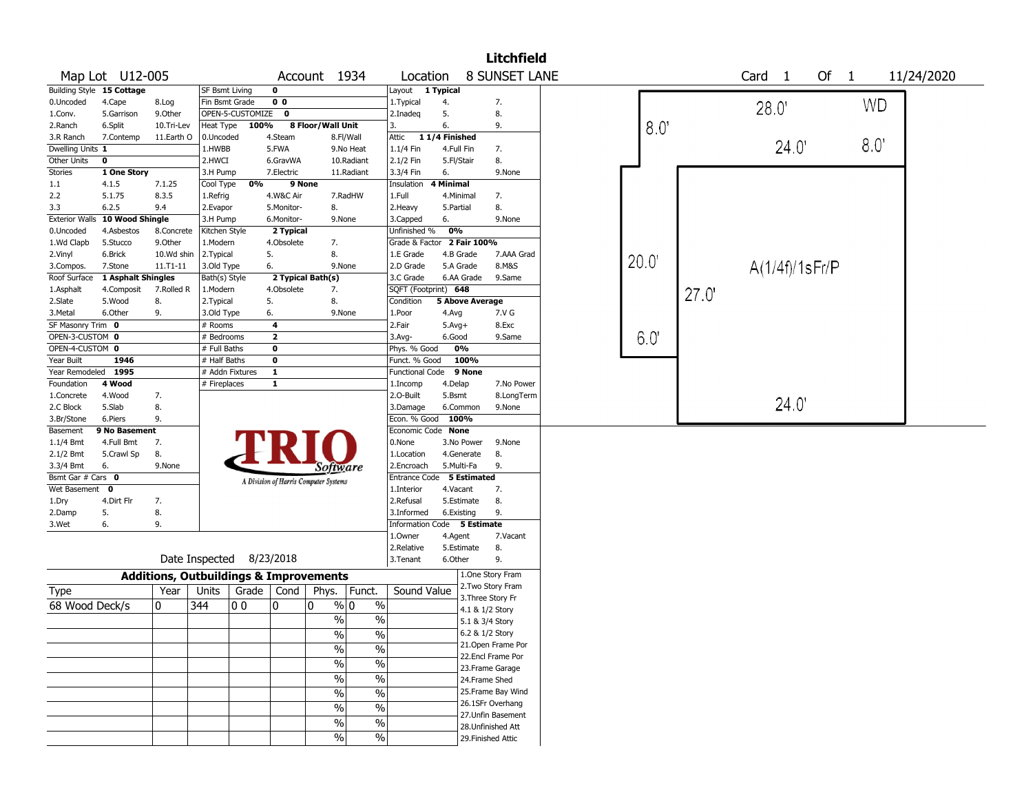|                       |                           |                                                   |                       |                          |                         |                                       |                          |                             |                        |                    | <b>Litchfield</b>    |      |       |                   |                |                      |               |            |
|-----------------------|---------------------------|---------------------------------------------------|-----------------------|--------------------------|-------------------------|---------------------------------------|--------------------------|-----------------------------|------------------------|--------------------|----------------------|------|-------|-------------------|----------------|----------------------|---------------|------------|
|                       | Map Lot U12-005           |                                                   |                       |                          |                         | Account 1934                          |                          | Location                    |                        |                    | <b>8 SUNSET LANE</b> |      |       | Card <sub>1</sub> |                | Of<br>$\overline{1}$ |               | 11/24/2020 |
|                       | Building Style 15 Cottage |                                                   | <b>SF Bsmt Living</b> |                          | 0                       |                                       |                          | Layout 1 Typical            |                        |                    |                      |      |       |                   |                |                      |               |            |
| 0.Uncoded             | 4.Cape                    | 8.Log                                             | Fin Bsmt Grade        |                          | 0 <sub>0</sub>          |                                       |                          | 1. Typical                  | 4.                     |                    | 7.                   |      |       | 28.0'             |                |                      | <b>WD</b>     |            |
| 1.Conv.               | 5.Garrison                | 9.Other                                           |                       | OPEN-5-CUSTOMIZE         | $\mathbf{o}$            |                                       |                          | 2.Inadeq                    | 5.                     |                    | 8.                   |      |       |                   |                |                      |               |            |
| 2.Ranch               | 6.Split                   | 10.Tri-Lev                                        | Heat Type             | 100%                     |                         | 8 Floor/Wall Unit                     |                          | 3.                          | 6.                     |                    | 9.                   | 8.0  |       |                   |                |                      |               |            |
| 3.R Ranch             | 7.Contemp                 | 11.Earth O                                        | 0.Uncoded             |                          | 4.Steam                 |                                       | 8.Fl/Wall                | Attic                       | 11/4 Finished          |                    |                      |      |       |                   |                |                      |               |            |
| Dwelling Units 1      |                           |                                                   | 1.HWBB                |                          | 5.FWA                   |                                       | 9.No Heat                | 1.1/4 Fin                   | 4.Full Fin             |                    | 7.                   |      |       |                   | 24.0'          |                      | $8.0^{\circ}$ |            |
| Other Units           | $\mathbf 0$               |                                                   | 2.HWCI                |                          | 6.GravWA                |                                       | 10.Radiant               | 2.1/2 Fin                   | 5.Fl/Stair             |                    | 8.                   |      |       |                   |                |                      |               |            |
| <b>Stories</b>        | 1 One Story               |                                                   | 3.H Pump              |                          | 7.Electric              |                                       | 11.Radiant               | 3.3/4 Fin                   | 6.                     |                    | 9.None               |      |       |                   |                |                      |               |            |
| 1.1                   | 4.1.5                     | 7.1.25                                            | Cool Type             | 0%                       |                         | 9 None                                |                          | Insulation                  | <b>4 Minimal</b>       |                    |                      |      |       |                   |                |                      |               |            |
| 2.2                   | 5.1.75                    | 8.3.5                                             | 1.Refrig              |                          | 4.W&C Air               |                                       | 7.RadHW                  | 1.Full                      | 4.Minimal              |                    | 7.                   |      |       |                   |                |                      |               |            |
| 3.3                   | 6.2.5                     | 9.4                                               | 2.Evapor              |                          | 5.Monitor-              | 8.                                    |                          | 2.Heavy                     | 5.Partial              |                    | 8.                   |      |       |                   |                |                      |               |            |
| <b>Exterior Walls</b> | 10 Wood Shingle           |                                                   | 3.H Pump              |                          | 6.Monitor-              | 9.None                                |                          | 3.Capped                    | 6.                     |                    | 9.None               |      |       |                   |                |                      |               |            |
| 0.Uncoded             | 4.Asbestos                | 8.Concrete                                        | Kitchen Style         |                          | 2 Typical               |                                       |                          | Unfinished %                | 0%                     |                    |                      |      |       |                   |                |                      |               |            |
| 1.Wd Clapb            | 5.Stucco                  | 9.Other                                           | 1.Modern              |                          | 4.Obsolete              | 7.                                    |                          | Grade & Factor 2 Fair 100%  |                        |                    |                      |      |       |                   |                |                      |               |            |
| 2.Vinyl               | 6.Brick                   | 10.Wd shin                                        | 2.Typical             |                          | 5.                      | 8.                                    |                          | 1.E Grade                   | 4.B Grade              |                    | 7.AAA Grad           |      |       |                   |                |                      |               |            |
| 3.Compos.             | 7.Stone                   | $11. T1 - 11$                                     | 3.Old Type            |                          | 6.                      | 9.None                                |                          | 2.D Grade                   | 5.A Grade              |                    | 8.M&S                | 20.0 |       |                   | A(1/4f)/1sFr/P |                      |               |            |
| Roof Surface          | 1 Asphalt Shingles        |                                                   | Bath(s) Style         |                          |                         | 2 Typical Bath(s)                     |                          | 3.C Grade                   | 6.AA Grade             |                    | 9.Same               |      |       |                   |                |                      |               |            |
| 1.Asphalt             | 4.Composit                | 7.Rolled R                                        | 1.Modern              |                          | 4.Obsolete              | 7.                                    |                          | SQFT (Footprint) 648        |                        |                    |                      |      |       |                   |                |                      |               |            |
| 2.Slate               | 5.Wood                    | 8.                                                | 2. Typical            |                          | 5.                      | 8.                                    |                          | Condition                   | <b>5 Above Average</b> |                    |                      |      | 27.0' |                   |                |                      |               |            |
| 3.Metal               | 6.Other                   | 9.                                                | 3.Old Type            |                          | 6.                      | 9.None                                |                          | 1.Poor                      | 4.Avg                  |                    | 7.V G                |      |       |                   |                |                      |               |            |
| SF Masonry Trim 0     |                           |                                                   | # Rooms               |                          | 4                       |                                       |                          | 2.Fair                      | $5.Avg+$               |                    | 8.Exc                |      |       |                   |                |                      |               |            |
| OPEN-3-CUSTOM 0       |                           |                                                   | # Bedrooms            |                          | $\overline{\mathbf{2}}$ |                                       |                          | $3.$ Avg-                   | 6.Good                 |                    | 9.Same               | 6.0' |       |                   |                |                      |               |            |
| OPEN-4-CUSTOM 0       |                           |                                                   | # Full Baths          |                          | 0                       |                                       |                          | Phys. % Good                | 0%                     |                    |                      |      |       |                   |                |                      |               |            |
| Year Built            | 1946                      |                                                   | # Half Baths          |                          | 0                       |                                       |                          | Funct. % Good               | 100%                   |                    |                      |      |       |                   |                |                      |               |            |
| Year Remodeled 1995   |                           |                                                   |                       | # Addn Fixtures          | $\mathbf{1}$            |                                       |                          | <b>Functional Code</b>      | 9 None                 |                    |                      |      |       |                   |                |                      |               |            |
| Foundation            | 4 Wood                    |                                                   | # Fireplaces          |                          | $\mathbf{1}$            |                                       |                          | 1.Incomp                    | 4.Delap                |                    | 7.No Power           |      |       |                   |                |                      |               |            |
| 1.Concrete            | 4.Wood                    | 7.                                                |                       |                          |                         |                                       |                          | 2.O-Built                   | 5.Bsmt                 |                    | 8.LongTerm           |      |       |                   |                |                      |               |            |
| 2.C Block             | 5.Slab                    | 8.                                                |                       |                          |                         |                                       |                          | 3.Damage                    | 6.Common               |                    | 9.None               |      |       |                   | 24.0'          |                      |               |            |
| 3.Br/Stone            | 6.Piers                   | 9.                                                |                       |                          |                         |                                       |                          | Econ. % Good 100%           |                        |                    |                      |      |       |                   |                |                      |               |            |
| Basement              | 9 No Basement             |                                                   |                       |                          |                         |                                       |                          | Economic Code None          |                        |                    |                      |      |       |                   |                |                      |               |            |
| 1.1/4 Bmt             | 4.Full Bmt                | 7.                                                |                       |                          |                         |                                       |                          | 0.None                      | 3.No Power             |                    | 9.None               |      |       |                   |                |                      |               |            |
| 2.1/2 Bmt             | 5.Crawl Sp                | 8.                                                |                       |                          |                         |                                       |                          | 1.Location                  | 4.Generate             |                    | 8.                   |      |       |                   |                |                      |               |            |
| 3.3/4 Bmt             | 6.                        | 9.None                                            |                       |                          |                         |                                       |                          | 2.Encroach                  | 5.Multi-Fa             |                    | 9.                   |      |       |                   |                |                      |               |            |
| Bsmt Gar # Cars 0     |                           |                                                   |                       |                          |                         | Software                              |                          | Entrance Code 5 Estimated   |                        |                    |                      |      |       |                   |                |                      |               |            |
| Wet Basement 0        |                           |                                                   |                       |                          |                         | A Division of Harris Computer Systems |                          | 1.Interior                  | 4.Vacant               |                    | 7.                   |      |       |                   |                |                      |               |            |
| 1.Dry                 | 4.Dirt Flr                | 7.                                                |                       |                          |                         |                                       |                          | 2.Refusal                   | 5.Estimate             |                    | 8.                   |      |       |                   |                |                      |               |            |
| 2.Damp                | 5.                        | 8.                                                |                       |                          |                         |                                       |                          | 3.Informed                  | 6.Existing             |                    | 9.                   |      |       |                   |                |                      |               |            |
| 3.Wet                 | 6.                        | 9.                                                |                       |                          |                         |                                       |                          | Information Code 5 Estimate |                        |                    |                      |      |       |                   |                |                      |               |            |
|                       |                           |                                                   |                       |                          |                         |                                       |                          | 1.Owner                     | 4.Agent                |                    | 7.Vacant             |      |       |                   |                |                      |               |            |
|                       |                           |                                                   |                       |                          |                         |                                       |                          | 2.Relative                  | 5.Estimate             |                    | 8.                   |      |       |                   |                |                      |               |            |
|                       |                           |                                                   |                       | Date Inspected 8/23/2018 |                         |                                       |                          | 3.Tenant                    | 6.Other                |                    | 9.                   |      |       |                   |                |                      |               |            |
|                       |                           |                                                   |                       |                          |                         |                                       |                          |                             |                        |                    |                      |      |       |                   |                |                      |               |            |
|                       |                           | <b>Additions, Outbuildings &amp; Improvements</b> |                       |                          |                         |                                       |                          |                             |                        | 1.One Story Fram   |                      |      |       |                   |                |                      |               |            |
| Type                  |                           | Year                                              | Units                 | Grade   Cond             |                         |                                       | Phys.   Funct.           | Sound Value                 |                        | 2. Two Story Fram  |                      |      |       |                   |                |                      |               |            |
| 68 Wood Deck/s        |                           | 0                                                 | 344                   | 00                       | 10                      | 0                                     | $\frac{9}{0}$ 0<br>$\%$  |                             |                        | 3. Three Story Fr  |                      |      |       |                   |                |                      |               |            |
|                       |                           |                                                   |                       |                          |                         |                                       |                          |                             |                        | 4.1 & 1/2 Story    |                      |      |       |                   |                |                      |               |            |
|                       |                           |                                                   |                       |                          |                         | $\%$                                  | $\%$                     |                             |                        | 5.1 & 3/4 Story    |                      |      |       |                   |                |                      |               |            |
|                       |                           |                                                   |                       |                          |                         | $\sqrt{6}$                            | $\%$                     |                             |                        | 6.2 & 1/2 Story    |                      |      |       |                   |                |                      |               |            |
|                       |                           |                                                   |                       |                          |                         | $\%$                                  | $\frac{0}{0}$            |                             |                        |                    | 21.Open Frame Por    |      |       |                   |                |                      |               |            |
|                       |                           |                                                   |                       |                          |                         | $\%$                                  | $\overline{\frac{0}{6}}$ |                             |                        |                    | 22.Encl Frame Por    |      |       |                   |                |                      |               |            |
|                       |                           |                                                   |                       |                          |                         |                                       |                          |                             |                        | 23. Frame Garage   |                      |      |       |                   |                |                      |               |            |
|                       |                           |                                                   |                       |                          |                         | $\sqrt{6}$                            | $\frac{0}{6}$            |                             |                        | 24.Frame Shed      |                      |      |       |                   |                |                      |               |            |
|                       |                           |                                                   |                       |                          |                         | $\sqrt{0}$                            | $\overline{\frac{0}{0}}$ |                             |                        |                    | 25. Frame Bay Wind   |      |       |                   |                |                      |               |            |
|                       |                           |                                                   |                       |                          |                         | $\sqrt{6}$                            | $\overline{\frac{0}{0}}$ |                             |                        | 26.1SFr Overhang   |                      |      |       |                   |                |                      |               |            |
|                       |                           |                                                   |                       |                          |                         |                                       |                          |                             |                        |                    | 27.Unfin Basement    |      |       |                   |                |                      |               |            |
|                       |                           |                                                   |                       |                          |                         | $\%$                                  | $\overline{\frac{0}{0}}$ |                             |                        | 28. Unfinished Att |                      |      |       |                   |                |                      |               |            |
|                       |                           |                                                   |                       |                          |                         | $\sqrt{6}$                            | $\sqrt{6}$               |                             |                        | 29. Finished Attic |                      |      |       |                   |                |                      |               |            |
|                       |                           |                                                   |                       |                          |                         |                                       |                          |                             |                        |                    |                      |      |       |                   |                |                      |               |            |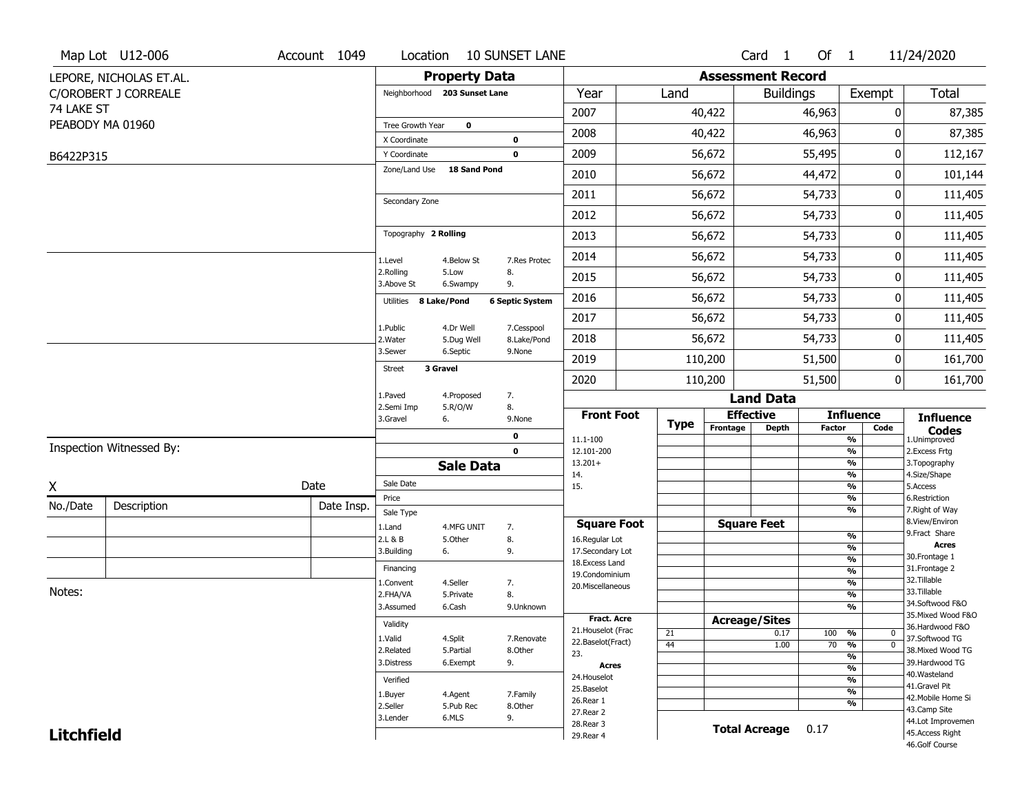|                   | Map Lot U12-006          | Account 1049 | Location                      |                       | <b>10 SUNSET LANE</b>  |                                    |                 |                          | Card 1               | Of 1          |                                | 11/24/2020                          |
|-------------------|--------------------------|--------------|-------------------------------|-----------------------|------------------------|------------------------------------|-----------------|--------------------------|----------------------|---------------|--------------------------------|-------------------------------------|
|                   | LEPORE, NICHOLAS ET.AL.  |              |                               | <b>Property Data</b>  |                        |                                    |                 | <b>Assessment Record</b> |                      |               |                                |                                     |
|                   | C/OROBERT J CORREALE     |              | Neighborhood 203 Sunset Lane  |                       |                        | Year                               | Land            |                          | <b>Buildings</b>     |               | Exempt                         | Total                               |
| 74 LAKE ST        |                          |              |                               |                       |                        | 2007                               |                 | 40,422                   |                      | 46,963        | 0                              | 87,385                              |
|                   | PEABODY MA 01960         |              | Tree Growth Year              | $\bf{0}$              |                        | 2008                               |                 | 40,422                   |                      | 46,963        | 0                              | 87,385                              |
|                   |                          |              | X Coordinate                  |                       | $\mathbf 0$            |                                    |                 |                          |                      |               |                                |                                     |
| B6422P315         |                          |              | Y Coordinate<br>Zone/Land Use | <b>18 Sand Pond</b>   | $\mathbf 0$            | 2009                               |                 | 56,672                   |                      | 55,495        | 0                              | 112,167                             |
|                   |                          |              |                               |                       |                        | 2010                               |                 | 56,672                   |                      | 44,472        | 0                              | 101,144                             |
|                   |                          |              | Secondary Zone                |                       |                        | 2011                               |                 | 56,672                   |                      | 54,733        | 0                              | 111,405                             |
|                   |                          |              |                               |                       |                        | 2012                               |                 | 56,672                   |                      | 54,733        | 0                              | 111,405                             |
|                   |                          |              | Topography 2 Rolling          |                       |                        | 2013                               |                 | 56,672                   |                      | 54,733        | 0                              | 111,405                             |
|                   |                          |              | 1.Level                       | 4.Below St            | 7.Res Protec           | 2014                               |                 | 56,672                   |                      | 54,733        | 0                              | 111,405                             |
|                   |                          |              | 2.Rolling<br>3.Above St       | 5.Low<br>6.Swampy     | 8.<br>9.               | 2015                               |                 | 56,672                   |                      | 54,733        | 0                              | 111,405                             |
|                   |                          |              | Utilities                     | 8 Lake/Pond           | <b>6 Septic System</b> | 2016                               |                 | 56,672                   |                      | 54,733        | 0                              | 111,405                             |
|                   |                          |              | 1.Public                      | 4.Dr Well             | 7.Cesspool             | 2017                               |                 | 56,672                   |                      | 54,733        | 0                              | 111,405                             |
|                   |                          |              | 2. Water                      | 5.Dug Well            | 8.Lake/Pond            | 2018                               |                 | 56,672                   |                      | 54,733        | 0                              | 111,405                             |
|                   |                          |              | 3.Sewer                       | 6.Septic              | 9.None                 | 2019                               |                 | 110,200                  |                      | 51,500        | 0                              | 161,700                             |
|                   |                          |              | <b>Street</b>                 | 3 Gravel              |                        | 2020                               |                 | 110,200                  |                      | 51,500        | 0                              | 161,700                             |
|                   |                          |              | 1.Paved                       | 4.Proposed            | 7.                     |                                    |                 |                          | <b>Land Data</b>     |               |                                |                                     |
|                   |                          |              | 2.Semi Imp<br>3.Gravel        | 5.R/O/W<br>6.         | 8.<br>9.None           | <b>Front Foot</b>                  |                 | <b>Effective</b>         |                      |               | <b>Influence</b>               | <b>Influence</b>                    |
|                   |                          |              |                               |                       | 0                      | 11.1-100                           | <b>Type</b>     | Frontage                 | <b>Depth</b>         | <b>Factor</b> | Code<br>$\frac{9}{6}$          | <b>Codes</b><br>1.Unimproved        |
|                   | Inspection Witnessed By: |              |                               |                       | $\mathbf 0$            | 12.101-200                         |                 |                          |                      |               | $\frac{9}{6}$                  | 2.Excess Frtg                       |
|                   |                          |              |                               | <b>Sale Data</b>      |                        | $13.201+$<br>14.                   |                 |                          |                      |               | $\frac{9}{6}$<br>$\frac{9}{6}$ | 3. Topography<br>4.Size/Shape       |
| X                 |                          | Date         | Sale Date                     |                       |                        | 15.                                |                 |                          |                      |               | $\frac{9}{6}$                  | 5.Access                            |
| No./Date          | Description              | Date Insp.   | Price<br>Sale Type            |                       |                        |                                    |                 |                          |                      |               | $\frac{9}{6}$<br>$\frac{9}{6}$ | 6.Restriction<br>7. Right of Way    |
|                   |                          |              | 1.Land                        | 4.MFG UNIT            | 7.                     | <b>Square Foot</b>                 |                 | <b>Square Feet</b>       |                      |               |                                | 8.View/Environ                      |
|                   |                          |              | 2.L & B                       | 5.Other               | 8.                     | 16.Regular Lot                     |                 |                          |                      |               | $\frac{9}{6}$<br>$\frac{9}{6}$ | 9.Fract Share<br><b>Acres</b>       |
|                   |                          |              | 3.Building                    | 6.                    | 9.                     | 17.Secondary Lot<br>18.Excess Land |                 |                          |                      |               | $\frac{9}{6}$                  | 30. Frontage 1                      |
|                   |                          |              | Financing                     |                       |                        | 19.Condominium                     |                 |                          |                      |               | $\frac{9}{6}$                  | 31. Frontage 2<br>32. Tillable      |
| Notes:            |                          |              | 1.Convent<br>2.FHA/VA         | 4.Seller<br>5.Private | 7.<br>8.               | 20.Miscellaneous                   |                 |                          |                      |               | $\frac{9}{6}$<br>$\frac{9}{6}$ | 33.Tillable                         |
|                   |                          |              | 3.Assumed                     | 6.Cash                | 9.Unknown              |                                    |                 |                          |                      |               | $\frac{9}{6}$                  | 34.Softwood F&O                     |
|                   |                          |              | Validity                      |                       |                        | <b>Fract. Acre</b>                 |                 | <b>Acreage/Sites</b>     |                      |               |                                | 35. Mixed Wood F&O                  |
|                   |                          |              |                               |                       |                        | 21. Houselot (Frac                 | 21              |                          | 0.17                 | 100 %         | 0                              | 36.Hardwood F&O                     |
|                   |                          |              | 1.Valid<br>2.Related          | 4.Split<br>5.Partial  | 7.Renovate<br>8.Other  | 22.Baselot(Fract)                  | $\overline{44}$ |                          | 1.00                 |               | $70 - 9/6$<br>$\overline{0}$   | 37.Softwood TG<br>38. Mixed Wood TG |
|                   |                          |              | 3.Distress                    | 6.Exempt              | 9.                     | 23.<br><b>Acres</b>                |                 |                          |                      |               | $\frac{9}{6}$                  | 39.Hardwood TG                      |
|                   |                          |              | Verified                      |                       |                        | 24. Houselot                       |                 |                          |                      |               | $\frac{9}{6}$<br>$\frac{9}{6}$ | 40. Wasteland                       |
|                   |                          |              |                               |                       |                        | 25.Baselot                         |                 |                          |                      |               | $\frac{9}{6}$                  | 41.Gravel Pit                       |
|                   |                          |              | 1.Buyer<br>2.Seller           | 4.Agent<br>5.Pub Rec  | 7.Family<br>8.Other    | 26.Rear 1                          |                 |                          |                      |               | $\frac{9}{6}$                  | 42. Mobile Home Si                  |
|                   |                          |              | 3.Lender                      | 6.MLS                 | 9.                     | 27. Rear 2                         |                 |                          |                      |               |                                | 43.Camp Site<br>44.Lot Improvemen   |
| <b>Litchfield</b> |                          |              |                               |                       |                        | 28. Rear 3<br>29. Rear 4           |                 |                          | <b>Total Acreage</b> | 0.17          |                                | 45.Access Right                     |
|                   |                          |              |                               |                       |                        |                                    |                 |                          |                      |               |                                | 46.Golf Course                      |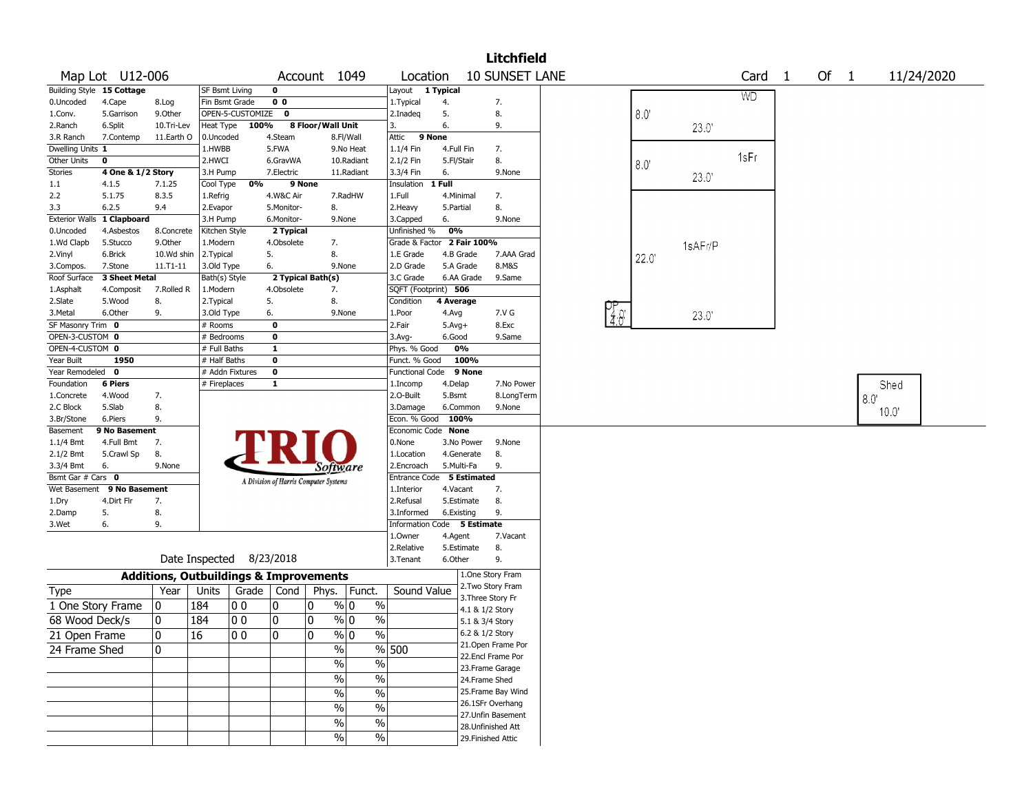|                                    |                   |            |                            |                  |                |                                                   |            |                               |            |                                      | <b>Litchfield</b>  |                  |             |         |           |              |        |     |            |  |
|------------------------------------|-------------------|------------|----------------------------|------------------|----------------|---------------------------------------------------|------------|-------------------------------|------------|--------------------------------------|--------------------|------------------|-------------|---------|-----------|--------------|--------|-----|------------|--|
|                                    | Map Lot U12-006   |            |                            |                  |                | Account 1049                                      |            | Location                      |            |                                      | 10 SUNSET LANE     |                  |             |         | Card      | $\mathbf{1}$ | Of $1$ |     | 11/24/2020 |  |
| Building Style 15 Cottage          |                   |            | SF Bsmt Living             |                  | 0              |                                                   |            | Layout 1 Typical              |            |                                      |                    |                  |             |         | <b>WD</b> |              |        |     |            |  |
| 0.Uncoded                          | 4.Cape            | 8.Log      | Fin Bsmt Grade             |                  | 0 <sub>0</sub> |                                                   |            | 1. Typical                    | 4.         |                                      | 7.                 |                  |             |         |           |              |        |     |            |  |
| 1.Conv.                            | 5.Garrison        | 9.0ther    |                            | OPEN-5-CUSTOMIZE | $\mathbf 0$    |                                                   |            | 2.Inadeg                      | 5.         |                                      | 8.                 |                  | $8.0^\circ$ |         |           |              |        |     |            |  |
| 2.Ranch                            | 6.Split           | 10.Tri-Lev | Heat Type                  | 100%             |                | 8 Floor/Wall Unit                                 |            | 3.                            | 6.         |                                      | 9.                 |                  |             | 23.0'   |           |              |        |     |            |  |
| 3.R Ranch                          | 7.Contemp         | 11.Earth O | 0.Uncoded                  |                  | 4.Steam        |                                                   | 8.Fl/Wall  | 9 None<br>Attic               |            |                                      |                    |                  |             |         |           |              |        |     |            |  |
| Dwelling Units 1                   |                   |            | 1.HWBB                     |                  | 5.FWA          |                                                   | 9.No Heat  | 1.1/4 Fin                     | 4.Full Fin |                                      | 7.                 |                  |             |         | 1sFr      |              |        |     |            |  |
| <b>Other Units</b>                 | 0                 |            | 2.HWCI                     |                  | 6.GravWA       |                                                   | 10.Radiant | 2.1/2 Fin                     | 5.Fl/Stair |                                      | 8.                 |                  | 8.0         |         |           |              |        |     |            |  |
| <b>Stories</b>                     | 4 One & 1/2 Story |            | 3.H Pump                   |                  | 7.Electric     |                                                   | 11.Radiant | 3.3/4 Fin                     | 6.         |                                      | 9.None             |                  |             | 23.0'   |           |              |        |     |            |  |
| 1.1                                | 4.1.5             | 7.1.25     | Cool Type                  | 0%               | 9 None         |                                                   |            | Insulation                    | 1 Full     |                                      |                    |                  |             |         |           |              |        |     |            |  |
| 2.2                                | 5.1.75            | 8.3.5      | 1.Refrig                   |                  | 4.W&C Air      |                                                   | 7.RadHW    | 1.Full                        | 4.Minimal  |                                      | 7.                 |                  |             |         |           |              |        |     |            |  |
| 3.3                                | 6.2.5             | 9.4        | 2.Evapor                   |                  | 5.Monitor-     | 8.                                                |            | 2. Heavy                      | 5.Partial  |                                      | 8.                 |                  |             |         |           |              |        |     |            |  |
| <b>Exterior Walls</b>              | 1 Clapboard       |            | 3.H Pump                   |                  | 6.Monitor-     | 9.None                                            |            | 3.Capped                      | 6.         |                                      | 9.None             |                  |             |         |           |              |        |     |            |  |
| 0.Uncoded                          | 4.Asbestos        | 8.Concrete | Kitchen Style              |                  | 2 Typical      |                                                   |            | Unfinished %                  | 0%         |                                      |                    |                  |             |         |           |              |        |     |            |  |
| 1.Wd Clapb                         | 5.Stucco          | 9.0ther    | 1.Modern                   |                  | 4.Obsolete     | 7.                                                |            | Grade & Factor                |            | 2 Fair 100%                          |                    |                  |             | 1sAFr/P |           |              |        |     |            |  |
| 2.Vinyl                            | 6.Brick           | 10.Wd shin | 2.Typical                  |                  | 5.             | 8.                                                |            | 1.E Grade                     |            | 4.B Grade                            | 7.AAA Grad         |                  | 22.0        |         |           |              |        |     |            |  |
| 3.Compos.                          | 7.Stone           | 11.T1-11   | 3.Old Type                 |                  | 6.             | 9.None                                            |            | 2.D Grade                     |            | 5.A Grade                            | 8.M&S              |                  |             |         |           |              |        |     |            |  |
| Roof Surface                       | 3 Sheet Metal     |            | Bath(s) Style              |                  |                | 2 Typical Bath(s)                                 |            | 3.C Grade                     |            | 6.AA Grade                           | 9.Same             |                  |             |         |           |              |        |     |            |  |
| 1.Asphalt                          | 4.Composit        | 7.Rolled R | 1.Modern                   |                  | 4.Obsolete     | 7.                                                |            | SQFT (Footprint) 506          |            |                                      |                    |                  |             |         |           |              |        |     |            |  |
| 2.Slate                            | 5.Wood            | 8.         | 2. Typical                 |                  | 5.             | 8.                                                |            | Condition                     | 4 Average  |                                      |                    |                  |             |         |           |              |        |     |            |  |
| 3.Metal                            | 6.Other           | 9.         | 3.Old Type                 |                  | 6.             | 9.None                                            |            | 1.Poor                        | 4.Avg      |                                      | 7.V G              | $\frac{97}{4.6}$ |             | 23.0'   |           |              |        |     |            |  |
| SF Masonry Trim 0                  |                   |            | # Rooms                    |                  | $\mathbf 0$    |                                                   |            | 2.Fair                        | $5.Avg+$   |                                      | 8.Exc              |                  |             |         |           |              |        |     |            |  |
| OPEN-3-CUSTOM 0<br>OPEN-4-CUSTOM 0 |                   |            | # Bedrooms<br># Full Baths |                  | 0<br>1         |                                                   |            | $3.$ Avg-                     | 6.Good     | 0%                                   | 9.Same             |                  |             |         |           |              |        |     |            |  |
| Year Built                         | 1950              |            | # Half Baths               |                  | 0              |                                                   |            | Phys. % Good<br>Funct. % Good |            | 100%                                 |                    |                  |             |         |           |              |        |     |            |  |
| Year Remodeled                     | $\mathbf 0$       |            |                            | # Addn Fixtures  | 0              |                                                   |            | Functional Code               |            | 9 None                               |                    |                  |             |         |           |              |        |     |            |  |
| Foundation                         | <b>6 Piers</b>    |            | # Fireplaces               |                  | 1              |                                                   |            | 1.Incomp                      | 4.Delap    |                                      | 7.No Power         |                  |             |         |           |              |        |     | Shed       |  |
| 1.Concrete                         | 4.Wood            | 7.         |                            |                  |                |                                                   |            | 2.0-Built                     | 5.Bsmt     |                                      | 8.LongTerm         |                  |             |         |           |              |        |     |            |  |
| 2.C Block                          | 5.Slab            | 8.         |                            |                  |                |                                                   |            | 3.Damage                      |            | 6.Common                             | 9.None             |                  |             |         |           |              |        | 8.0 |            |  |
| 3.Br/Stone                         | 6.Piers           | 9.         |                            |                  |                |                                                   |            | Econ. % Good                  | 100%       |                                      |                    |                  |             |         |           |              |        |     | 10.0"      |  |
| Basement                           | 9 No Basement     |            |                            |                  |                |                                                   |            | Economic Code None            |            |                                      |                    |                  |             |         |           |              |        |     |            |  |
| 1.1/4 Bmt                          | 4.Full Bmt        | 7.         |                            |                  |                |                                                   |            | 0.None                        |            | 3.No Power                           | 9.None             |                  |             |         |           |              |        |     |            |  |
| 2.1/2 Bmt                          | 5.Crawl Sp        | 8.         |                            |                  |                |                                                   |            | 1.Location                    |            | 4.Generate                           | 8.                 |                  |             |         |           |              |        |     |            |  |
| 3.3/4 Bmt                          | 6.                | 9.None     |                            |                  |                | Software                                          |            | 2.Encroach                    |            | 5.Multi-Fa                           | 9.                 |                  |             |         |           |              |        |     |            |  |
| Bsmt Gar # Cars 0                  |                   |            |                            |                  |                | A Division of Harris Computer Systems             |            | Entrance Code 5 Estimated     |            |                                      |                    |                  |             |         |           |              |        |     |            |  |
| Wet Basement                       | 9 No Basement     |            |                            |                  |                |                                                   |            | 1.Interior                    | 4.Vacant   |                                      | 7.                 |                  |             |         |           |              |        |     |            |  |
| 1.Dry                              | 4.Dirt Flr        | 7.         |                            |                  |                |                                                   |            | 2.Refusal                     |            | 5.Estimate                           | 8.                 |                  |             |         |           |              |        |     |            |  |
| 2.Damp                             | 5.                | 8.         |                            |                  |                |                                                   |            | 3.Informed                    | 6.Existing |                                      | 9.                 |                  |             |         |           |              |        |     |            |  |
| 3.Wet                              | 6.                | 9.         |                            |                  |                |                                                   |            | Information Code 5 Estimate   |            |                                      |                    |                  |             |         |           |              |        |     |            |  |
|                                    |                   |            |                            |                  |                |                                                   |            | 1.0wner                       | 4.Agent    |                                      | 7.Vacant           |                  |             |         |           |              |        |     |            |  |
|                                    |                   |            |                            |                  |                |                                                   |            | 2.Relative                    |            | 5.Estimate                           | 8.                 |                  |             |         |           |              |        |     |            |  |
|                                    |                   |            | Date Inspected 8/23/2018   |                  |                |                                                   |            | 3.Tenant                      | 6.Other    |                                      | 9.                 |                  |             |         |           |              |        |     |            |  |
|                                    |                   |            |                            |                  |                | <b>Additions, Outbuildings &amp; Improvements</b> |            |                               |            |                                      | 1.One Story Fram   |                  |             |         |           |              |        |     |            |  |
| Type                               |                   | Year       | Units                      | Grade            | Cond           | Phys.                                             | Funct.     | Sound Value                   |            |                                      | 2. Two Story Fram  |                  |             |         |           |              |        |     |            |  |
| 1 One Story Frame                  |                   | 0          | 184                        | 00               | 0              | % 0<br>0                                          | $\%$       |                               |            | 3. Three Story Fr<br>4.1 & 1/2 Story |                    |                  |             |         |           |              |        |     |            |  |
| 68 Wood Deck/s                     |                   | 0          | 184                        | O O              | 0              | 0<br>% 0                                          | %          |                               |            | 5.1 & 3/4 Story                      |                    |                  |             |         |           |              |        |     |            |  |
|                                    |                   | 10         | 16                         | 00               | 0              | l0<br>% 0                                         | $\%$       |                               |            | 6.2 & 1/2 Story                      |                    |                  |             |         |           |              |        |     |            |  |
| 21 Open Frame                      |                   |            |                            |                  |                |                                                   |            |                               |            |                                      | 21. Open Frame Por |                  |             |         |           |              |        |     |            |  |
| 24 Frame Shed                      |                   | 10         |                            |                  |                | $\%$                                              |            | % 500                         |            |                                      | 22.Encl Frame Por  |                  |             |         |           |              |        |     |            |  |
|                                    |                   |            |                            |                  |                | $\sqrt{9/6}$                                      | $\%$       |                               |            |                                      | 23. Frame Garage   |                  |             |         |           |              |        |     |            |  |
|                                    |                   |            |                            |                  |                | $\frac{1}{2}$                                     | $\%$       |                               |            | 24.Frame Shed                        |                    |                  |             |         |           |              |        |     |            |  |
|                                    |                   |            |                            |                  |                | $\frac{0}{6}$                                     | $\%$       |                               |            |                                      | 25. Frame Bay Wind |                  |             |         |           |              |        |     |            |  |
|                                    |                   |            |                            |                  |                | $\frac{1}{2}$                                     | $\%$       |                               |            |                                      | 26.1SFr Overhang   |                  |             |         |           |              |        |     |            |  |
|                                    |                   |            |                            |                  |                |                                                   |            |                               |            |                                      | 27. Unfin Basement |                  |             |         |           |              |        |     |            |  |
|                                    |                   |            |                            |                  |                | $\%$                                              | $\%$       |                               |            |                                      | 28. Unfinished Att |                  |             |         |           |              |        |     |            |  |
|                                    |                   |            |                            |                  |                | $\frac{1}{2}$                                     | $\%$       |                               |            |                                      | 29. Finished Attic |                  |             |         |           |              |        |     |            |  |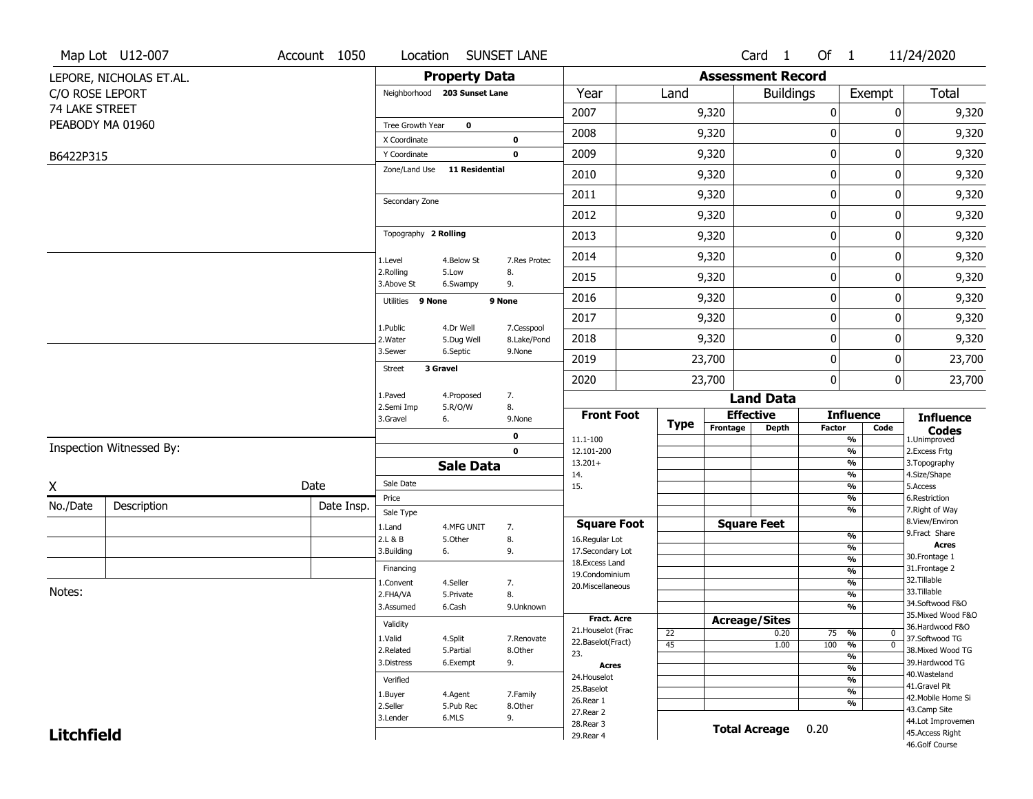|                   | Map Lot U12-007          | Account 1050 |                              |                              | Location SUNSET LANE      |                                         |             |                          | Card <sub>1</sub> | Of $1$        |                                | 11/24/2020                            |
|-------------------|--------------------------|--------------|------------------------------|------------------------------|---------------------------|-----------------------------------------|-------------|--------------------------|-------------------|---------------|--------------------------------|---------------------------------------|
|                   | LEPORE, NICHOLAS ET.AL.  |              |                              | <b>Property Data</b>         |                           |                                         |             | <b>Assessment Record</b> |                   |               |                                |                                       |
| C/O ROSE LEPORT   |                          |              |                              | Neighborhood 203 Sunset Lane |                           | Year                                    | Land        |                          | <b>Buildings</b>  |               | Exempt                         | <b>Total</b>                          |
| 74 LAKE STREET    |                          |              |                              |                              |                           | 2007                                    |             | 9,320                    |                   | $\pmb{0}$     | 0                              | 9,320                                 |
|                   | PEABODY MA 01960         |              | Tree Growth Year             | $\mathbf 0$                  |                           | 2008                                    |             | 9,320                    |                   | 0             | 0                              | 9,320                                 |
|                   |                          |              | X Coordinate<br>Y Coordinate |                              | 0<br>$\mathbf 0$          | 2009                                    |             | 9,320                    |                   | 0             | 0                              | 9,320                                 |
| B6422P315         |                          |              | Zone/Land Use                | <b>11 Residential</b>        |                           |                                         |             |                          |                   |               |                                |                                       |
|                   |                          |              |                              |                              |                           | 2010                                    |             | 9,320                    |                   | $\pmb{0}$     | 0                              | 9,320                                 |
|                   |                          |              | Secondary Zone               |                              |                           | 2011                                    |             | 9,320                    |                   | $\pmb{0}$     | 0                              | 9,320                                 |
|                   |                          |              |                              |                              |                           | 2012                                    |             | 9,320                    |                   | 0             | 0                              | 9,320                                 |
|                   |                          |              | Topography 2 Rolling         |                              |                           | 2013                                    |             | 9,320                    |                   | 0             | 0                              | 9,320                                 |
|                   |                          |              | 1.Level                      | 4.Below St                   | 7.Res Protec              | 2014                                    |             | 9,320                    |                   | $\pmb{0}$     | 0                              | 9,320                                 |
|                   |                          |              | 2.Rolling<br>3.Above St      | 5.Low<br>6.Swampy            | 8.<br>9.                  | 2015                                    |             | 9,320                    |                   | 0             | 0                              | 9,320                                 |
|                   |                          |              | 9 None<br>Utilities          |                              | 9 None                    | 2016                                    |             | 9,320                    |                   | 0             | 0                              | 9,320                                 |
|                   |                          |              |                              |                              |                           | 2017                                    |             | 9,320                    |                   | 0             | 0                              | 9,320                                 |
|                   |                          |              | 1.Public<br>2. Water         | 4.Dr Well<br>5.Dug Well      | 7.Cesspool<br>8.Lake/Pond | 2018                                    |             | 9,320                    |                   | $\mathbf 0$   | 0                              | 9,320                                 |
|                   |                          |              | 3.Sewer                      | 6.Septic                     | 9.None                    | 2019                                    |             | 23,700                   |                   | $\pmb{0}$     | 0                              | 23,700                                |
|                   |                          |              | <b>Street</b>                | 3 Gravel                     |                           | 2020                                    |             | 23,700                   |                   | $\mathbf{0}$  | 0                              | 23,700                                |
|                   |                          |              | 1.Paved                      | 4.Proposed                   | 7.                        |                                         |             |                          | <b>Land Data</b>  |               |                                |                                       |
|                   |                          |              | 2.Semi Imp<br>3.Gravel       | 5.R/O/W<br>6.                | 8.<br>9.None              | <b>Front Foot</b>                       |             | <b>Effective</b>         |                   |               | <b>Influence</b>               | <b>Influence</b>                      |
|                   |                          |              |                              |                              | 0                         | 11.1-100                                | <b>Type</b> | Frontage                 | <b>Depth</b>      | <b>Factor</b> | Code<br>%                      | <b>Codes</b><br>1.Unimproved          |
|                   | Inspection Witnessed By: |              |                              |                              | $\mathbf 0$               | 12.101-200                              |             |                          |                   |               | $\frac{9}{6}$                  | 2. Excess Frtg                        |
|                   |                          |              |                              | <b>Sale Data</b>             |                           | $13.201+$<br>14.                        |             |                          |                   |               | $\frac{9}{6}$<br>$\frac{9}{6}$ | 3. Topography<br>4.Size/Shape         |
| Χ                 |                          | Date         | Sale Date                    |                              |                           | 15.                                     |             |                          |                   |               | $\frac{9}{6}$                  | 5.Access                              |
| No./Date          | Description              | Date Insp.   | Price                        |                              |                           |                                         |             |                          |                   |               | %<br>%                         | 6.Restriction<br>7. Right of Way      |
|                   |                          |              | Sale Type<br>1.Land          | 4.MFG UNIT                   | 7.                        | <b>Square Foot</b>                      |             | <b>Square Feet</b>       |                   |               |                                | 8.View/Environ                        |
|                   |                          |              | 2.L & B                      | 5.Other                      | 8.                        | 16.Regular Lot                          |             |                          |                   |               | $\frac{9}{6}$                  | 9. Fract Share                        |
|                   |                          |              | 3.Building                   | 6.                           | 9.                        | 17.Secondary Lot                        |             |                          |                   |               | $\frac{9}{6}$<br>$\frac{9}{6}$ | <b>Acres</b><br>30. Frontage 1        |
|                   |                          |              | Financing                    |                              |                           | 18.Excess Land<br>19.Condominium        |             |                          |                   |               | $\frac{9}{6}$                  | 31. Frontage 2                        |
|                   |                          |              | 1.Convent                    | 4.Seller                     | 7.                        | 20.Miscellaneous                        |             |                          |                   |               | $\frac{9}{6}$                  | 32.Tillable                           |
| Notes:            |                          |              | 2.FHA/VA                     | 5.Private                    | 8.                        |                                         |             |                          |                   |               | $\frac{9}{6}$                  | 33.Tillable                           |
|                   |                          |              | 3.Assumed                    | 6.Cash                       | 9.Unknown                 |                                         |             |                          |                   |               | $\overline{\frac{9}{6}}$       | 34.Softwood F&O<br>35. Mixed Wood F&O |
|                   |                          |              | Validity                     |                              |                           | <b>Fract. Acre</b>                      |             | <b>Acreage/Sites</b>     |                   |               |                                | 36.Hardwood F&O                       |
|                   |                          |              | 1.Valid                      | 4.Split                      | 7.Renovate                | 21. Houselot (Frac<br>22.Baselot(Fract) | 22          |                          | 0.20              | 75            | %<br>$\bf{0}$                  | 37.Softwood TG                        |
|                   |                          |              | 2.Related                    | 5.Partial                    | 8.Other                   | 23.                                     | 45          |                          | 1.00              | 100           | %<br>$\mathbf 0$               | 38. Mixed Wood TG                     |
|                   |                          |              | 3.Distress                   | 6.Exempt                     | 9.                        | Acres                                   |             |                          |                   |               | %<br>$\frac{9}{6}$             | 39.Hardwood TG                        |
|                   |                          |              | Verified                     |                              |                           | 24. Houselot                            |             |                          |                   |               | %                              | 40. Wasteland                         |
|                   |                          |              | 1.Buyer                      | 4.Agent                      | 7.Family                  | 25.Baselot                              |             |                          |                   |               | %                              | 41.Gravel Pit                         |
|                   |                          |              | 2.Seller                     | 5.Pub Rec                    | 8.Other                   | 26.Rear 1                               |             |                          |                   |               | %                              | 42. Mobile Home Si<br>43.Camp Site    |
|                   |                          |              | 3.Lender                     | 6.MLS                        | 9.                        | 27. Rear 2                              |             |                          |                   |               |                                | 44.Lot Improvemen                     |
| <b>Litchfield</b> |                          |              |                              |                              |                           | 28. Rear 3<br>29. Rear 4                |             | <b>Total Acreage</b>     |                   | 0.20          |                                | 45.Access Right                       |
|                   |                          |              |                              |                              |                           |                                         |             |                          |                   |               |                                | 46.Golf Course                        |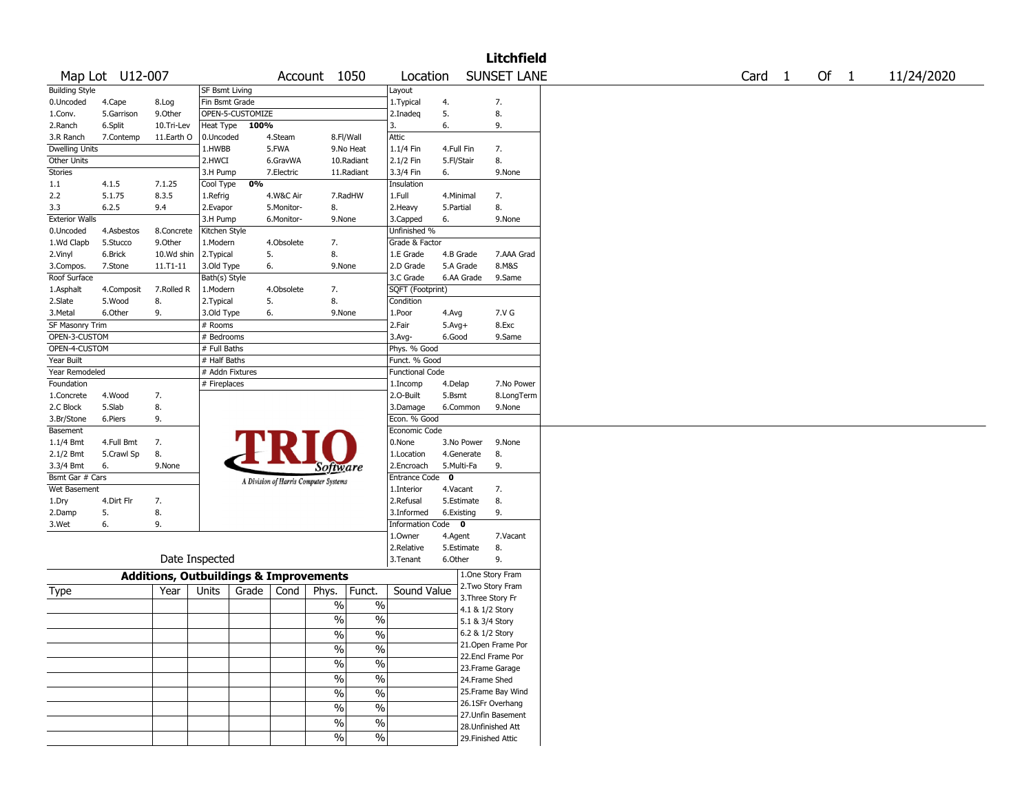|                       |                 |                |                       |                                                   |                          |                          |                        |             |                    | <b>Litchfield</b>  |        |        |            |
|-----------------------|-----------------|----------------|-----------------------|---------------------------------------------------|--------------------------|--------------------------|------------------------|-------------|--------------------|--------------------|--------|--------|------------|
|                       | Map Lot U12-007 |                |                       |                                                   | Account 1050             |                          | Location               |             |                    | <b>SUNSET LANE</b> | Card 1 | Of $1$ | 11/24/2020 |
| <b>Building Style</b> |                 |                | <b>SF Bsmt Living</b> |                                                   |                          |                          | Layout                 |             |                    |                    |        |        |            |
| 0.Uncoded             | 4.Cape          | 8.Log          | Fin Bsmt Grade        |                                                   |                          |                          | 1. Typical             | 4.          | 7.                 |                    |        |        |            |
| 1.Conv.               | 5.Garrison      | 9.0ther        | OPEN-5-CUSTOMIZE      |                                                   |                          |                          | 2.Inadeq               | 5.          | 8.                 |                    |        |        |            |
| 2.Ranch               | 6.Split         | 10.Tri-Lev     | Heat Type             | 100%                                              |                          |                          | 3.                     | 6.          | 9.                 |                    |        |        |            |
| 3.R Ranch             | 7.Contemp       | 11.Earth O     | 0.Uncoded             | 4.Steam                                           | 8.Fl/Wall                |                          | Attic                  |             |                    |                    |        |        |            |
| Dwelling Units        |                 |                | 1.HWBB                | 5.FWA                                             |                          | 9.No Heat                | 1.1/4 Fin              | 4.Full Fin  | 7.                 |                    |        |        |            |
| Other Units           |                 |                | 2.HWCI                | 6.GravWA                                          |                          | 10.Radiant               | 2.1/2 Fin              | 5.Fl/Stair  | 8.                 |                    |        |        |            |
| <b>Stories</b>        |                 |                | 3.H Pump              | 7.Electric                                        |                          | 11.Radiant               | 3.3/4 Fin              | 6.          |                    | 9.None             |        |        |            |
| 1.1                   | 4.1.5           | 7.1.25         | Cool Type             | 0%                                                |                          |                          | Insulation             |             |                    |                    |        |        |            |
| 2.2                   | 5.1.75          | 8.3.5          | 1.Refrig              | 4.W&C Air                                         |                          | 7.RadHW                  | 1.Full                 | 4.Minimal   | 7.                 |                    |        |        |            |
| 3.3                   | 6.2.5           | 9.4            | 2.Evapor              | 5.Monitor-                                        | 8.                       |                          | 2. Heavy               | 5.Partial   | 8.                 |                    |        |        |            |
| <b>Exterior Walls</b> |                 |                | 3.H Pump              | 6.Monitor-                                        | 9.None                   |                          | 3.Capped               | 6.          |                    | 9.None             |        |        |            |
| 0.Uncoded             | 4.Asbestos      | 8.Concrete     | Kitchen Style         |                                                   |                          |                          | Unfinished %           |             |                    |                    |        |        |            |
| 1.Wd Clapb            | 5.Stucco        | 9.Other        | 1.Modern              | 4.Obsolete                                        | 7.                       |                          | Grade & Factor         |             |                    |                    |        |        |            |
| 2.Vinyl               | 6.Brick         | 10.Wd shin     | 2.Typical             | 5.                                                | 8.                       |                          | 1.E Grade              | 4.B Grade   |                    | 7.AAA Grad         |        |        |            |
| 3.Compos.             | 7.Stone         | 11.T1-11       | 3.Old Type            | 6.                                                | 9.None                   |                          | 2.D Grade              | 5.A Grade   |                    | 8.M&S              |        |        |            |
| Roof Surface          |                 |                |                       |                                                   |                          |                          | 3.C Grade              |             |                    |                    |        |        |            |
|                       |                 |                | Bath(s) Style         |                                                   |                          |                          |                        | 6.AA Grade  |                    | 9.Same             |        |        |            |
| 1.Asphalt             | 4.Composit      | 7.Rolled R     | 1.Modern              | 4.Obsolete                                        | 7.                       |                          | SQFT (Footprint)       |             |                    |                    |        |        |            |
| 2.Slate               | 5.Wood          | 8.             | 2. Typical            | 5.                                                | 8.                       |                          | Condition              |             |                    |                    |        |        |            |
| 3.Metal               | 6.Other         | 9.             | 3.Old Type            | 6.                                                | 9.None                   |                          | 1.Poor                 | 4.Avg       |                    | 7.V G              |        |        |            |
| SF Masonry Trim       |                 |                | # Rooms               |                                                   |                          |                          | 2.Fair                 | $5.Avg+$    |                    | 8.Exc              |        |        |            |
| OPEN-3-CUSTOM         |                 |                | # Bedrooms            |                                                   |                          |                          | 3.Avg-                 | 6.Good      |                    | 9.Same             |        |        |            |
| OPEN-4-CUSTOM         |                 |                | # Full Baths          |                                                   |                          |                          | Phys. % Good           |             |                    |                    |        |        |            |
| Year Built            |                 |                | # Half Baths          |                                                   |                          |                          | Funct. % Good          |             |                    |                    |        |        |            |
| Year Remodeled        |                 |                | # Addn Fixtures       |                                                   |                          |                          | <b>Functional Code</b> |             |                    |                    |        |        |            |
| Foundation            |                 |                | # Fireplaces          |                                                   |                          |                          | 1.Incomp               | 4.Delap     |                    | 7.No Power         |        |        |            |
| 1.Concrete            | 4.Wood          | 7.             |                       |                                                   |                          |                          | 2.0-Built              | 5.Bsmt      |                    | 8.LongTerm         |        |        |            |
| 2.C Block             | 5.Slab          | 8.             |                       |                                                   |                          |                          | 3.Damage               | 6.Common    |                    | 9.None             |        |        |            |
| 3.Br/Stone            | 6.Piers         | 9.             |                       |                                                   |                          |                          | Econ. % Good           |             |                    |                    |        |        |            |
| Basement              |                 |                |                       |                                                   |                          |                          | Economic Code          |             |                    |                    |        |        |            |
| 1.1/4 Bmt             | 4.Full Bmt      | 7.             |                       |                                                   |                          |                          | 0.None                 | 3.No Power  |                    | 9.None             |        |        |            |
| 2.1/2 Bmt             | 5.Crawl Sp      | 8.             |                       |                                                   |                          |                          | 1.Location             | 4.Generate  | 8.                 |                    |        |        |            |
| 3.3/4 Bmt             | 6.              | 9.None         |                       |                                                   | Software                 |                          | 2.Encroach             | 5.Multi-Fa  | 9.                 |                    |        |        |            |
| Bsmt Gar # Cars       |                 |                |                       | A Division of Harris Computer Systems             |                          |                          | <b>Entrance Code</b>   | $\mathbf 0$ |                    |                    |        |        |            |
| Wet Basement          |                 |                |                       |                                                   |                          |                          | 1.Interior             | 4.Vacant    | 7.                 |                    |        |        |            |
| 1.Dry                 | 4.Dirt Flr      | 7.             |                       |                                                   |                          |                          | 2.Refusal              | 5.Estimate  | 8.                 |                    |        |        |            |
| 2.Damp                | 5.              | 8.             |                       |                                                   |                          |                          | 3.Informed             | 6.Existing  | 9.                 |                    |        |        |            |
| 3.Wet                 | 6.              | 9.             |                       |                                                   |                          |                          | Information Code 0     |             |                    |                    |        |        |            |
|                       |                 |                |                       |                                                   |                          |                          | 1.Owner                | 4.Agent     |                    | 7.Vacant           |        |        |            |
|                       |                 |                |                       |                                                   |                          |                          | 2.Relative             | 5.Estimate  | 8.                 |                    |        |        |            |
|                       |                 | Date Inspected |                       |                                                   |                          |                          | 3. Tenant              | 6.Other     | 9.                 |                    |        |        |            |
|                       |                 |                |                       |                                                   |                          |                          |                        |             | 1.One Story Fram   |                    |        |        |            |
|                       |                 |                |                       | <b>Additions, Outbuildings &amp; Improvements</b> |                          |                          |                        |             | 2.Two Story Fram   |                    |        |        |            |
| Type                  |                 | Year           | Units                 | Grade<br>Cond                                     | Phys.                    | Funct.                   | Sound Value            |             | 3. Three Story Fr  |                    |        |        |            |
|                       |                 |                |                       |                                                   | $\%$                     | $\%$                     |                        |             | 4.1 & 1/2 Story    |                    |        |        |            |
|                       |                 |                |                       |                                                   | $\%$                     | $\%$                     |                        |             |                    |                    |        |        |            |
|                       |                 |                |                       |                                                   |                          |                          |                        |             | 5.1 & 3/4 Story    |                    |        |        |            |
|                       |                 |                |                       |                                                   | $\sqrt{6}$               | $\frac{1}{2}$            |                        |             | 6.2 & 1/2 Story    |                    |        |        |            |
|                       |                 |                |                       |                                                   | $\sqrt{6}$               | $\overline{\frac{0}{0}}$ |                        |             | 21.Open Frame Por  |                    |        |        |            |
|                       |                 |                |                       |                                                   | $\sqrt{6}$               | $\frac{0}{6}$            |                        |             | 22.Encl Frame Por  |                    |        |        |            |
|                       |                 |                |                       |                                                   |                          |                          |                        |             | 23. Frame Garage   |                    |        |        |            |
|                       |                 |                |                       |                                                   | $\overline{\frac{0}{0}}$ | $\frac{0}{6}$            |                        |             | 24.Frame Shed      |                    |        |        |            |
|                       |                 |                |                       |                                                   | $\frac{0}{6}$            | $\frac{0}{6}$            |                        |             | 25. Frame Bay Wind |                    |        |        |            |
|                       |                 |                |                       |                                                   | $\sqrt{6}$               | $\frac{1}{2}$            |                        |             | 26.1SFr Overhang   |                    |        |        |            |
|                       |                 |                |                       |                                                   | $\sqrt{6}$               | $\frac{1}{2}$            |                        |             | 27. Unfin Basement |                    |        |        |            |
|                       |                 |                |                       |                                                   |                          |                          |                        |             | 28. Unfinished Att |                    |        |        |            |
|                       |                 |                |                       |                                                   | $\frac{1}{2}$            | $\frac{1}{2}$            |                        |             | 29. Finished Attic |                    |        |        |            |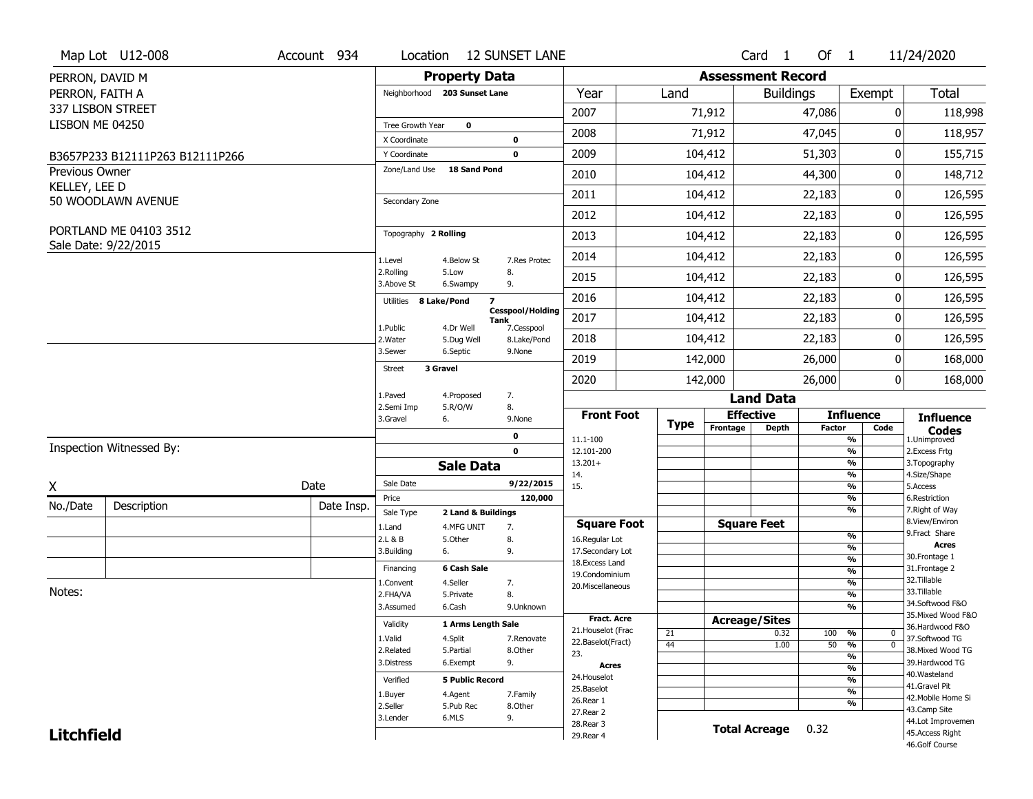|                       | Map Lot U12-008                                | Account 934 | Location                |                              | <b>12 SUNSET LANE</b>                         |                                    |             |                          | Card <sub>1</sub>    | Of $1$        |                                 | 11/24/2020                          |
|-----------------------|------------------------------------------------|-------------|-------------------------|------------------------------|-----------------------------------------------|------------------------------------|-------------|--------------------------|----------------------|---------------|---------------------------------|-------------------------------------|
| PERRON, DAVID M       |                                                |             |                         | <b>Property Data</b>         |                                               |                                    |             | <b>Assessment Record</b> |                      |               |                                 |                                     |
| PERRON, FAITH A       |                                                |             |                         | Neighborhood 203 Sunset Lane |                                               | Year                               | Land        |                          | <b>Buildings</b>     |               | Exempt                          | <b>Total</b>                        |
|                       | 337 LISBON STREET                              |             |                         |                              |                                               | 2007                               |             | 71,912                   |                      | 47,086        | 0                               | 118,998                             |
| LISBON ME 04250       |                                                |             | Tree Growth Year        | $\mathbf 0$                  |                                               |                                    |             |                          |                      |               |                                 |                                     |
|                       |                                                |             | X Coordinate            |                              | $\mathbf 0$                                   | 2008                               |             | 71,912                   |                      | 47,045        | $\mathbf{0}$                    | 118,957                             |
|                       | B3657P233 B12111P263 B12111P266                |             | Y Coordinate            |                              | $\mathbf 0$                                   | 2009                               |             | 104,412                  |                      | 51,303        | $\pmb{0}$                       | 155,715                             |
| <b>Previous Owner</b> |                                                |             | Zone/Land Use           | <b>18 Sand Pond</b>          |                                               | 2010                               |             | 104,412                  |                      | 44,300        | 0                               | 148,712                             |
| KELLEY, LEE D         | 50 WOODLAWN AVENUE                             |             | Secondary Zone          |                              |                                               | 2011                               |             | 104,412                  |                      | 22,183        | 0                               | 126,595                             |
|                       |                                                |             |                         |                              |                                               | 2012                               |             | 104,412                  |                      | 22,183        | 0                               | 126,595                             |
|                       | PORTLAND ME 04103 3512<br>Sale Date: 9/22/2015 |             | Topography 2 Rolling    |                              |                                               | 2013                               |             | 104,412                  |                      | 22,183        | 0                               | 126,595                             |
|                       |                                                |             | 1.Level                 | 4.Below St                   | 7.Res Protec                                  | 2014                               |             | 104,412                  |                      | 22,183        | 0                               | 126,595                             |
|                       |                                                |             | 2.Rolling<br>3.Above St | 5.Low<br>6.Swampy            | 8.<br>9.                                      | 2015                               |             | 104,412                  |                      | 22,183        | 0                               | 126,595                             |
|                       |                                                |             | Utilities               | 8 Lake/Pond                  | $\overline{\mathbf{z}}$                       | 2016                               |             | 104,412                  |                      | 22,183        | 0                               | 126,595                             |
|                       |                                                |             | 1.Public                | 4.Dr Well                    | <b>Cesspool/Holding</b><br>Tank<br>7.Cesspool | 2017                               |             | 104,412                  |                      | 22,183        | 0                               | 126,595                             |
|                       |                                                |             | 2. Water                | 5.Dug Well                   | 8.Lake/Pond                                   | 2018                               |             | 104,412                  |                      | 22,183        | 0                               | 126,595                             |
|                       |                                                |             | 3.Sewer                 | 6.Septic<br>3 Gravel         | 9.None                                        | 2019                               |             | 142,000                  |                      | 26,000        | 0                               | 168,000                             |
|                       |                                                |             | Street                  |                              |                                               | 2020                               |             | 142,000                  |                      | 26,000        | 0                               | 168,000                             |
|                       |                                                |             | 1.Paved                 | 4.Proposed                   | 7.                                            |                                    |             |                          | <b>Land Data</b>     |               |                                 |                                     |
|                       |                                                |             | 2.Semi Imp<br>3.Gravel  | 5.R/O/W<br>6.                | 8.<br>9.None                                  | <b>Front Foot</b>                  |             |                          | <b>Effective</b>     |               | <b>Influence</b>                | <b>Influence</b>                    |
|                       |                                                |             |                         |                              | $\mathbf 0$                                   | 11.1-100                           | <b>Type</b> | Frontage                 | <b>Depth</b>         | <b>Factor</b> | Code<br>%                       | <b>Codes</b><br>1.Unimproved        |
|                       | Inspection Witnessed By:                       |             |                         |                              | $\mathbf 0$                                   | 12.101-200                         |             |                          |                      |               | $\frac{9}{6}$                   | 2.Excess Frtg                       |
|                       |                                                |             |                         | <b>Sale Data</b>             |                                               | $13.201+$                          |             |                          |                      |               | %<br>%                          | 3. Topography<br>4.Size/Shape       |
| X                     |                                                | Date        | Sale Date               |                              | 9/22/2015                                     | 14.<br>15.                         |             |                          |                      |               | $\frac{9}{6}$                   | 5.Access                            |
| No./Date              | Description                                    | Date Insp.  | Price                   |                              | 120,000                                       |                                    |             |                          |                      |               | %                               | 6.Restriction                       |
|                       |                                                |             | Sale Type               | 2 Land & Buildings           |                                               |                                    |             |                          |                      |               | %                               | 7. Right of Way<br>8.View/Environ   |
|                       |                                                |             | 1.Land                  | 4.MFG UNIT                   | 7.                                            | <b>Square Foot</b>                 |             |                          | <b>Square Feet</b>   |               | $\frac{9}{6}$                   | 9. Fract Share                      |
|                       |                                                |             | 2.L & B<br>3.Building   | 5.Other<br>6.                | 8.<br>9.                                      | 16.Regular Lot<br>17.Secondary Lot |             |                          |                      |               | $\frac{9}{6}$                   | <b>Acres</b>                        |
|                       |                                                |             | Financing               | 6 Cash Sale                  |                                               | 18.Excess Land                     |             |                          |                      |               | $\frac{9}{6}$                   | 30. Frontage 1<br>31. Frontage 2    |
|                       |                                                |             |                         | 4.Seller                     |                                               | 19.Condominium                     |             |                          |                      |               | $\frac{9}{6}$<br>$\frac{9}{6}$  | 32. Tillable                        |
| Notes:                |                                                |             | 1.Convent<br>2.FHA/VA   | 5.Private                    | 7.<br>8.                                      | 20.Miscellaneous                   |             |                          |                      |               | $\frac{9}{6}$                   | 33.Tillable                         |
|                       |                                                |             | 3.Assumed               | 6.Cash                       | 9.Unknown                                     |                                    |             |                          |                      |               | $\overline{\frac{9}{6}}$        | 34.Softwood F&O                     |
|                       |                                                |             | Validity                |                              |                                               | <b>Fract. Acre</b>                 |             |                          | <b>Acreage/Sites</b> |               |                                 | 35. Mixed Wood F&O                  |
|                       |                                                |             |                         | 1 Arms Length Sale           |                                               | 21. Houselot (Frac                 | 21          |                          | 0.32                 | 100           | %<br>0                          | 36.Hardwood F&O                     |
|                       |                                                |             | 1.Valid<br>2.Related    | 4.Split<br>5.Partial         | 7.Renovate<br>8.Other                         | 22.Baselot(Fract)                  | 44          |                          | 1.00                 | 50            | $\overline{0}$<br>$\frac{9}{6}$ | 37.Softwood TG<br>38. Mixed Wood TG |
|                       |                                                |             | 3.Distress              | 6.Exempt                     | 9.                                            | 23.                                |             |                          |                      |               | $\overline{\frac{9}{6}}$        | 39.Hardwood TG                      |
|                       |                                                |             |                         |                              |                                               | <b>Acres</b><br>24. Houselot       |             |                          |                      |               | $\frac{9}{6}$                   | 40. Wasteland                       |
|                       |                                                |             | Verified                | <b>5 Public Record</b>       |                                               | 25.Baselot                         |             |                          |                      |               | $\frac{9}{6}$<br>$\frac{9}{6}$  | 41.Gravel Pit                       |
|                       |                                                |             | 1.Buyer                 | 4.Agent                      | 7.Family                                      | 26.Rear 1                          |             |                          |                      |               | %                               | 42. Mobile Home Si                  |
|                       |                                                |             | 2.Seller                | 5.Pub Rec<br>6.MLS           | 8.0ther                                       | 27.Rear 2                          |             |                          |                      |               |                                 | 43.Camp Site                        |
|                       |                                                |             | 3.Lender                |                              | 9.                                            | 28. Rear 3                         |             |                          | <b>Total Acreage</b> | 0.32          |                                 | 44.Lot Improvemen                   |
| <b>Litchfield</b>     |                                                |             |                         |                              |                                               | 29. Rear 4                         |             |                          |                      |               |                                 | 45.Access Right<br>46.Golf Course   |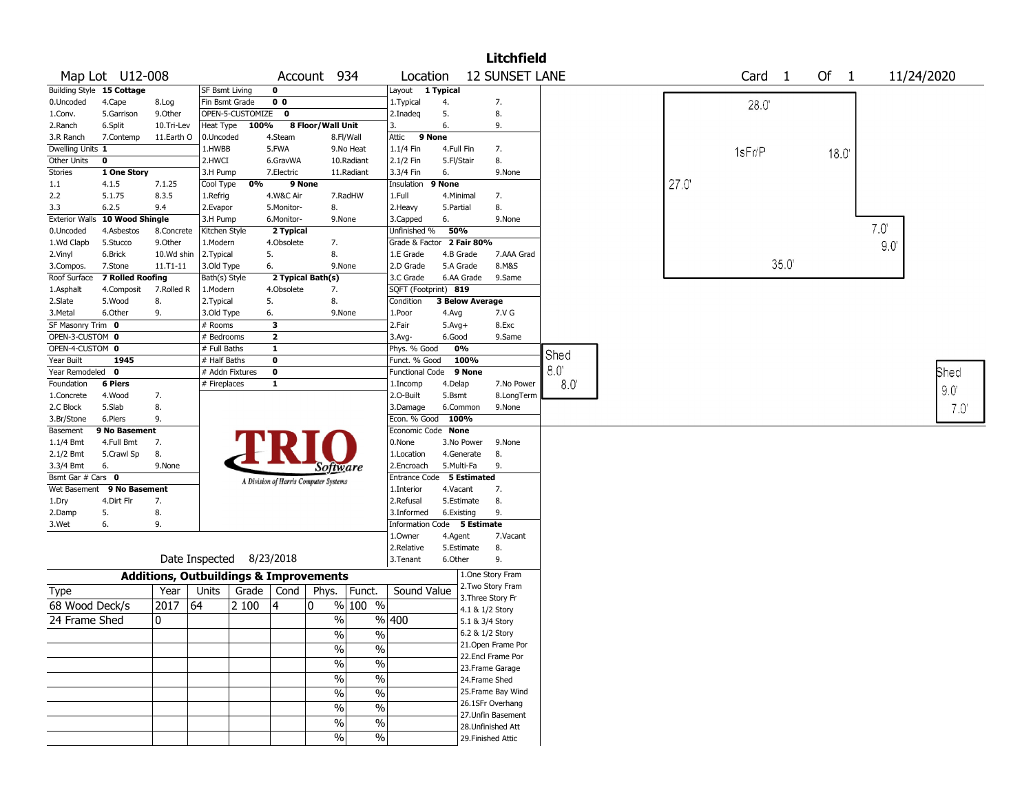|                       |                                  |              |                                                   |                  |                |                                       |                          |                             |            |                        | Litchfield            |               |      |                   |      |      |      |               |
|-----------------------|----------------------------------|--------------|---------------------------------------------------|------------------|----------------|---------------------------------------|--------------------------|-----------------------------|------------|------------------------|-----------------------|---------------|------|-------------------|------|------|------|---------------|
|                       | Map Lot U12-008                  |              |                                                   |                  |                | Account 934                           |                          | Location                    |            |                        | <b>12 SUNSET LANE</b> |               |      | Card <sub>1</sub> |      | Of 1 |      | 11/24/2020    |
|                       | <b>Building Style 15 Cottage</b> |              | SF Bsmt Living                                    |                  | $\mathbf 0$    |                                       |                          | Layout                      | 1 Typical  |                        |                       |               |      |                   |      |      |      |               |
| 0.Uncoded             | 4.Cape                           | 8.Log        | Fin Bsmt Grade                                    |                  | 0 <sub>0</sub> |                                       |                          | 1. Typical                  | 4.         |                        | 7.                    |               |      | 28.0              |      |      |      |               |
| 1.Conv.               | 5.Garrison                       | 9.0ther      |                                                   | OPEN-5-CUSTOMIZE | $\mathbf 0$    |                                       |                          | 2.Inadeq                    | 5.         |                        | 8.                    |               |      |                   |      |      |      |               |
| 2.Ranch               | 6.Split                          | 10.Tri-Lev   | Heat Type                                         | 100%             |                | 8 Floor/Wall Unit                     |                          | 3.                          | 6.         |                        | 9.                    |               |      |                   |      |      |      |               |
| 3.R Ranch             | 7.Contemp                        | 11.Earth O   | 0.Uncoded                                         |                  | 4.Steam        |                                       | 8.Fl/Wall                | 9 None<br>Attic             |            |                        |                       |               |      |                   |      |      |      |               |
| Dwelling Units 1      |                                  |              | 1.HWBB                                            |                  | 5.FWA          |                                       | 9.No Heat                | 1.1/4 Fin                   |            | 4.Full Fin             | 7.                    |               |      | 1sFr/P            |      | 18.0 |      |               |
| Other Units           | $\mathbf 0$                      |              | 2.HWCI                                            |                  | 6.GravWA       |                                       | 10.Radiant               | 2.1/2 Fin                   | 5.Fl/Stair |                        | 8.                    |               |      |                   |      |      |      |               |
| Stories               | 1 One Story                      |              | 3.H Pump                                          |                  | 7.Electric     |                                       | 11.Radiant               | 3.3/4 Fin                   | 6.         |                        | 9.None                |               |      |                   |      |      |      |               |
| 1.1                   | 4.1.5                            | 7.1.25       | Cool Type                                         | 0%               |                | 9 None                                |                          | Insulation                  | 9 None     |                        |                       |               | 27.0 |                   |      |      |      |               |
| 2.2                   | 5.1.75                           | 8.3.5        | 1.Refrig                                          |                  | 4.W&C Air      |                                       | 7.RadHW                  | 1.Full                      |            | 4.Minimal              | 7.                    |               |      |                   |      |      |      |               |
| 3.3                   | 6.2.5                            | 9.4          | 2.Evapor                                          |                  | 5.Monitor-     | 8.                                    |                          | 2. Heavy                    | 5.Partial  |                        | 8.                    |               |      |                   |      |      |      |               |
| <b>Exterior Walls</b> | 10 Wood Shingle                  |              | 3.H Pump                                          |                  | 6.Monitor-     |                                       | 9.None                   | 3.Capped                    | 6.         |                        | 9.None                |               |      |                   |      |      |      |               |
| 0.Uncoded             | 4.Asbestos                       | 8.Concrete   | Kitchen Style                                     |                  | 2 Typical      |                                       |                          | Unfinished %                | 50%        |                        |                       |               |      |                   |      |      | 7.0' |               |
| 1.Wd Clapb            | 5.Stucco                         | 9.Other      | 1.Modern                                          |                  | 4.Obsolete     | 7.                                    |                          | Grade & Factor              |            | 2 Fair 80%             |                       |               |      |                   |      |      | 9.0  |               |
| 2.Vinyl               | 6.Brick                          | 10.Wd shin   | 2. Typical                                        |                  | 5.             | 8.                                    |                          | 1.E Grade                   |            | 4.B Grade              | 7.AAA Grad            |               |      |                   |      |      |      |               |
| 3.Compos.             | 7.Stone                          | $11.71 - 11$ | 3.Old Type                                        |                  | 6.             |                                       | 9.None                   | 2.D Grade                   |            | 5.A Grade              | 8.M&S                 |               |      |                   | 35.0 |      |      |               |
| Roof Surface          | <b>7 Rolled Roofing</b>          |              | Bath(s) Style                                     |                  |                | 2 Typical Bath(s)                     |                          | 3.C Grade                   |            | 6.AA Grade             | 9.Same                |               |      |                   |      |      |      |               |
| 1.Asphalt             | 4.Composit                       | 7.Rolled R   | 1.Modern                                          |                  | 4.Obsolete     | 7.                                    |                          | SQFT (Footprint) 819        |            |                        |                       |               |      |                   |      |      |      |               |
| 2.Slate               | 5.Wood                           | 8.           | 2.Typical                                         |                  | 5.             | 8.                                    |                          | Condition                   |            | <b>3 Below Average</b> |                       |               |      |                   |      |      |      |               |
| 3.Metal               | 6.Other                          | 9.           | 3.Old Type                                        |                  | 6.             |                                       | 9.None                   | 1.Poor                      | 4.Avg      |                        | 7.V G                 |               |      |                   |      |      |      |               |
| SF Masonry Trim 0     |                                  |              | # Rooms                                           |                  | 3              |                                       |                          | 2.Fair                      | $5.Avg+$   |                        | 8.Exc                 |               |      |                   |      |      |      |               |
| OPEN-3-CUSTOM 0       |                                  |              | # Bedrooms                                        |                  | $\mathbf{2}$   |                                       |                          | 3.Avg-                      | 6.Good     |                        | 9.Same                |               |      |                   |      |      |      |               |
| OPEN-4-CUSTOM 0       |                                  |              | # Full Baths                                      |                  | 1              |                                       |                          | Phys. % Good                |            | 0%                     |                       |               |      |                   |      |      |      |               |
| Year Built            | 1945                             |              | # Half Baths                                      |                  | $\bf o$        |                                       |                          | Funct. % Good               |            | 100%                   |                       | Shed          |      |                   |      |      |      |               |
| Year Remodeled        | 0                                |              |                                                   | # Addn Fixtures  | $\mathbf 0$    |                                       |                          | <b>Functional Code</b>      |            | 9 None                 |                       | $8.0^{\circ}$ |      |                   |      |      |      | Shed          |
| Foundation            | <b>6 Piers</b>                   |              | # Fireplaces                                      |                  | 1              |                                       |                          | 1.Incomp                    | 4.Delap    |                        | 7.No Power            | 8.0           |      |                   |      |      |      |               |
| 1.Concrete            | 4.Wood                           | 7.           |                                                   |                  |                |                                       |                          | 2.0-Built                   | 5.Bsmt     |                        | 8.LongTerm            |               |      |                   |      |      |      | 9.0           |
| 2.C Block             | 5.Slab                           | 8.           |                                                   |                  |                |                                       |                          | 3.Damage                    |            | 6.Common               | 9.None                |               |      |                   |      |      |      | $7.0^{\circ}$ |
| 3.Br/Stone            | 6.Piers                          | 9.           |                                                   |                  |                |                                       |                          | Econ. % Good                |            | 100%                   |                       |               |      |                   |      |      |      |               |
| Basement              | 9 No Basement                    |              |                                                   |                  |                |                                       |                          | Economic Code None          |            |                        |                       |               |      |                   |      |      |      |               |
| $1.1/4$ Bmt           | 4.Full Bmt                       | 7.           |                                                   |                  |                |                                       |                          | 0.None                      |            | 3.No Power             | 9.None                |               |      |                   |      |      |      |               |
| $2.1/2$ Bmt           | 5.Crawl Sp                       | 8.           |                                                   |                  |                |                                       |                          | 1.Location                  |            | 4.Generate             | 8.                    |               |      |                   |      |      |      |               |
| 3.3/4 Bmt             | 6.                               | 9.None       |                                                   |                  |                | Software                              |                          | 2.Encroach                  |            | 5.Multi-Fa             | 9.                    |               |      |                   |      |      |      |               |
| Bsmt Gar $#$ Cars $0$ |                                  |              |                                                   |                  |                |                                       |                          | Entrance Code               |            | <b>5 Estimated</b>     |                       |               |      |                   |      |      |      |               |
| Wet Basement          | 9 No Basement                    |              |                                                   |                  |                | A Division of Harris Computer Systems |                          | 1.Interior                  | 4.Vacant   |                        | 7.                    |               |      |                   |      |      |      |               |
| 1.Dry                 | 4.Dirt Flr                       | 7.           |                                                   |                  |                |                                       |                          | 2.Refusal                   |            | 5.Estimate             | 8.                    |               |      |                   |      |      |      |               |
| 2.Damp                | 5.                               | 8.           |                                                   |                  |                |                                       |                          | 3.Informed                  |            | 6.Existing             | 9.                    |               |      |                   |      |      |      |               |
| 3.Wet                 | 6.                               | 9.           |                                                   |                  |                |                                       |                          | Information Code 5 Estimate |            |                        |                       |               |      |                   |      |      |      |               |
|                       |                                  |              |                                                   |                  |                |                                       |                          | 1.0wner                     | 4.Agent    |                        | 7.Vacant              |               |      |                   |      |      |      |               |
|                       |                                  |              |                                                   |                  |                |                                       |                          | 2.Relative                  |            | 5.Estimate             | 8.                    |               |      |                   |      |      |      |               |
|                       |                                  |              | Date Inspected 8/23/2018                          |                  |                |                                       |                          | 3.Tenant                    | 6.Other    |                        | 9.                    |               |      |                   |      |      |      |               |
|                       |                                  |              | <b>Additions, Outbuildings &amp; Improvements</b> |                  |                |                                       |                          |                             |            |                        | 1.One Story Fram      |               |      |                   |      |      |      |               |
| Type                  |                                  | Year         | Units                                             | Grade            | Cond           | Phys.                                 | Funct.                   | Sound Value                 |            |                        | 2. Two Story Fram     |               |      |                   |      |      |      |               |
| 68 Wood Deck/s        |                                  | 2017         | 64                                                | 2 100            | 14             | 0                                     | $%100$ %                 |                             |            |                        | 3. Three Story Fr     |               |      |                   |      |      |      |               |
|                       |                                  |              |                                                   |                  |                |                                       |                          |                             |            |                        | 4.1 & 1/2 Story       |               |      |                   |      |      |      |               |
| 24 Frame Shed         |                                  | 0            |                                                   |                  |                | %                                     |                          | %  400                      |            |                        | 5.1 & 3/4 Story       |               |      |                   |      |      |      |               |
|                       |                                  |              |                                                   |                  |                | $\frac{0}{0}$                         | $\%$                     |                             |            |                        | 6.2 & 1/2 Story       |               |      |                   |      |      |      |               |
|                       |                                  |              |                                                   |                  |                | $\%$                                  | $\%$                     |                             |            |                        | 21.Open Frame Por     |               |      |                   |      |      |      |               |
|                       |                                  |              |                                                   |                  |                | $\%$                                  | $\overline{\frac{0}{6}}$ |                             |            |                        | 22.Encl Frame Por     |               |      |                   |      |      |      |               |
|                       |                                  |              |                                                   |                  |                |                                       |                          |                             |            |                        | 23. Frame Garage      |               |      |                   |      |      |      |               |
|                       |                                  |              |                                                   |                  |                | $\%$                                  | $\overline{\frac{0}{6}}$ |                             |            |                        | 24.Frame Shed         |               |      |                   |      |      |      |               |
|                       |                                  |              |                                                   |                  |                | $\%$                                  | $\overline{\frac{0}{6}}$ |                             |            |                        | 25. Frame Bay Wind    |               |      |                   |      |      |      |               |
|                       |                                  |              |                                                   |                  |                | $\%$                                  | $\%$                     |                             |            |                        | 26.1SFr Overhang      |               |      |                   |      |      |      |               |
|                       |                                  |              |                                                   |                  |                |                                       |                          |                             |            |                        | 27. Unfin Basement    |               |      |                   |      |      |      |               |
|                       |                                  |              |                                                   |                  |                | %                                     | $\%$                     |                             |            |                        | 28.Unfinished Att     |               |      |                   |      |      |      |               |
|                       |                                  |              |                                                   |                  |                | $\%$                                  | $\sqrt{6}$               |                             |            |                        | 29. Finished Attic    |               |      |                   |      |      |      |               |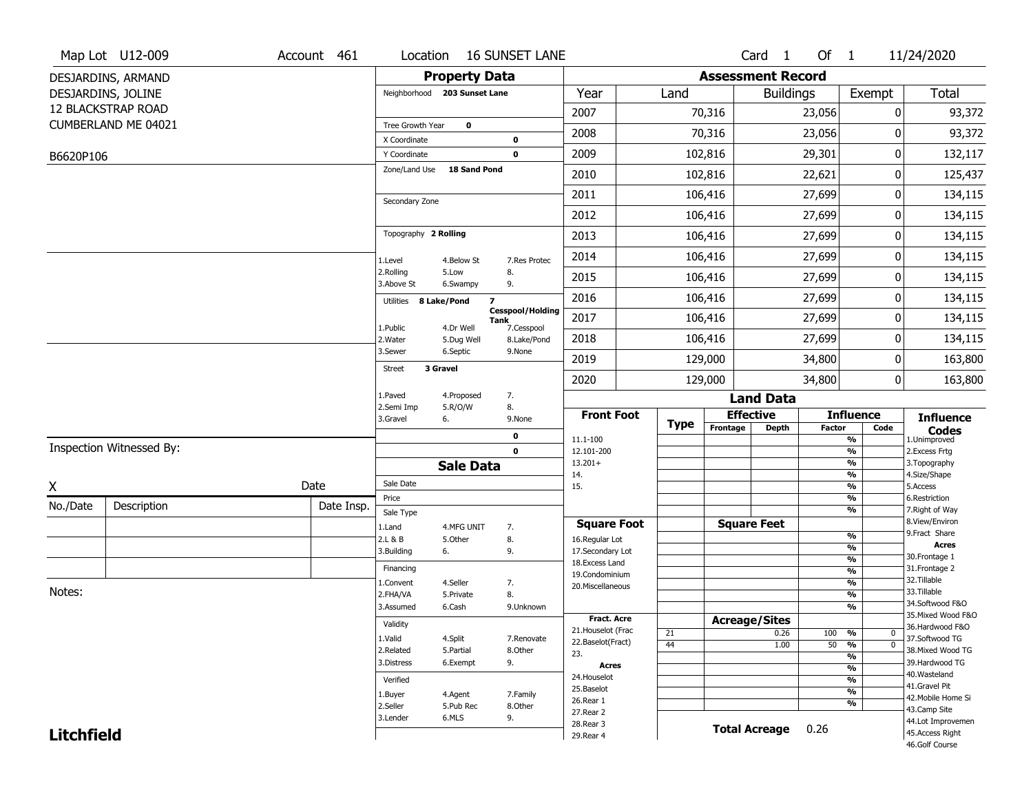|                   | Map Lot U12-009           | Account 461 | Location                      |                               | <b>16 SUNSET LANE</b>                         |                                  |             |                          | Card <sub>1</sub>    | Of $1$        |                                | 11/24/2020                            |
|-------------------|---------------------------|-------------|-------------------------------|-------------------------------|-----------------------------------------------|----------------------------------|-------------|--------------------------|----------------------|---------------|--------------------------------|---------------------------------------|
|                   | DESJARDINS, ARMAND        |             |                               | <b>Property Data</b>          |                                               |                                  |             | <b>Assessment Record</b> |                      |               |                                |                                       |
|                   | DESJARDINS, JOLINE        |             |                               | Neighborhood 203 Sunset Lane  |                                               | Year                             | Land        |                          | <b>Buildings</b>     |               | Exempt                         | Total                                 |
|                   | <b>12 BLACKSTRAP ROAD</b> |             |                               |                               |                                               | 2007                             |             | 70,316                   |                      | 23,056        | 0                              | 93,372                                |
|                   | CUMBERLAND ME 04021       |             | Tree Growth Year              | $\mathbf 0$                   |                                               | 2008                             |             | 70,316                   |                      | 23,056        | 0                              | 93,372                                |
|                   |                           |             | X Coordinate                  |                               | $\mathbf 0$                                   |                                  |             |                          |                      |               |                                |                                       |
| B6620P106         |                           |             | Y Coordinate<br>Zone/Land Use | <b>18 Sand Pond</b>           | $\mathbf 0$                                   | 2009                             |             | 102,816                  |                      | 29,301        | 0                              | 132,117                               |
|                   |                           |             |                               |                               |                                               | 2010                             |             | 102,816                  |                      | 22,621        | 0                              | 125,437                               |
|                   |                           |             | Secondary Zone                |                               |                                               | 2011                             |             | 106,416                  |                      | 27,699        | 0                              | 134,115                               |
|                   |                           |             |                               |                               |                                               | 2012                             |             | 106,416                  |                      | 27,699        | 0                              | 134,115                               |
|                   |                           |             | Topography 2 Rolling          |                               |                                               | 2013                             |             | 106,416                  |                      | 27,699        | 0                              | 134,115                               |
|                   |                           |             | 1.Level                       | 4.Below St                    | 7.Res Protec                                  | 2014                             |             | 106,416                  |                      | 27,699        | 0                              | 134,115                               |
|                   |                           |             | 2.Rolling<br>3.Above St       | 5.Low<br>6.Swampy             | 8.<br>9.                                      | 2015                             |             | 106,416                  |                      | 27,699        | 0                              | 134,115                               |
|                   |                           |             | Utilities                     | $\overline{z}$<br>8 Lake/Pond |                                               | 2016                             |             | 106,416                  |                      | 27,699        | 0                              | 134,115                               |
|                   |                           |             |                               |                               | <b>Cesspool/Holding</b><br>Tank<br>7.Cesspool | 2017                             |             | 106,416                  |                      | 27,699        | 0                              | 134,115                               |
|                   |                           |             | 1.Public<br>2. Water          | 4.Dr Well<br>5.Dug Well       | 8.Lake/Pond                                   | 2018                             |             | 106,416                  |                      | 27,699        | 0                              | 134,115                               |
|                   |                           |             | 3.Sewer                       | 6.Septic                      | 9.None                                        | 2019                             |             | 129,000                  |                      | 34,800        | 0                              | 163,800                               |
|                   |                           |             | <b>Street</b>                 | 3 Gravel                      |                                               | 2020                             |             | 129,000                  |                      | 34,800        | 0                              | 163,800                               |
|                   |                           |             | 1.Paved                       | 4.Proposed                    | 7.                                            |                                  |             |                          | <b>Land Data</b>     |               |                                |                                       |
|                   |                           |             | 2.Semi Imp<br>3.Gravel        | 5.R/O/W<br>6.                 | 8.<br>9.None                                  | <b>Front Foot</b>                |             | <b>Effective</b>         |                      |               | <b>Influence</b>               | <b>Influence</b>                      |
|                   |                           |             |                               |                               | $\mathbf 0$                                   | 11.1-100                         | <b>Type</b> | Frontage                 | <b>Depth</b>         | <b>Factor</b> | Code<br>$\frac{9}{6}$          | <b>Codes</b><br>1.Unimproved          |
|                   | Inspection Witnessed By:  |             |                               |                               | $\mathbf 0$                                   | 12.101-200                       |             |                          |                      |               | $\frac{9}{6}$                  | 2.Excess Frtg                         |
|                   |                           |             |                               | <b>Sale Data</b>              |                                               | $13.201+$<br>14.                 |             |                          |                      |               | $\frac{9}{6}$<br>$\frac{9}{6}$ | 3. Topography<br>4.Size/Shape         |
| Χ                 |                           | Date        | Sale Date                     |                               |                                               | 15.                              |             |                          |                      |               | $\frac{9}{6}$                  | 5.Access                              |
| No./Date          | Description               | Date Insp.  | Price                         |                               |                                               |                                  |             |                          |                      |               | $\frac{9}{6}$<br>$\frac{9}{6}$ | 6.Restriction                         |
|                   |                           |             | Sale Type<br>1.Land           | 4.MFG UNIT                    |                                               | <b>Square Foot</b>               |             | <b>Square Feet</b>       |                      |               |                                | 7. Right of Way<br>8.View/Environ     |
|                   |                           |             | 2.L & B                       | 5.0ther                       | 7.<br>8.                                      | 16.Regular Lot                   |             |                          |                      |               | $\frac{9}{6}$                  | 9.Fract Share                         |
|                   |                           |             | 3.Building                    | 6.                            | 9.                                            | 17.Secondary Lot                 |             |                          |                      |               | %                              | <b>Acres</b><br>30.Frontage 1         |
|                   |                           |             | Financing                     |                               |                                               | 18.Excess Land<br>19.Condominium |             |                          |                      |               | $\frac{9}{6}$<br>$\frac{9}{6}$ | 31. Frontage 2                        |
|                   |                           |             | 1.Convent                     | 4.Seller                      | 7.                                            | 20.Miscellaneous                 |             |                          |                      |               | $\frac{9}{6}$                  | 32.Tillable                           |
| Notes:            |                           |             | 2.FHA/VA                      | 5.Private                     | 8.                                            |                                  |             |                          |                      |               | $\frac{9}{6}$                  | 33.Tillable                           |
|                   |                           |             | 3.Assumed                     | 6.Cash                        | 9.Unknown                                     |                                  |             |                          |                      |               | $\frac{9}{6}$                  | 34.Softwood F&O<br>35. Mixed Wood F&O |
|                   |                           |             |                               |                               |                                               |                                  |             |                          |                      |               |                                |                                       |
|                   |                           |             | Validity                      |                               |                                               | <b>Fract. Acre</b>               |             | <b>Acreage/Sites</b>     |                      |               |                                | 36.Hardwood F&O                       |
|                   |                           |             | 1.Valid                       | 4.Split                       | 7.Renovate                                    | 21. Houselot (Frac               | 21          |                          | 0.26                 | 100           | %<br>0                         | 37.Softwood TG                        |
|                   |                           |             | 2.Related                     | 5.Partial                     | 8.Other                                       | 22.Baselot(Fract)<br>23.         | 44          |                          | 1.00                 | $50 - 96$     | $\overline{0}$                 | 38. Mixed Wood TG                     |
|                   |                           |             | 3.Distress                    | 6.Exempt                      | 9.                                            | Acres                            |             |                          |                      |               | $\frac{9}{6}$<br>$\frac{9}{6}$ | 39.Hardwood TG                        |
|                   |                           |             | Verified                      |                               |                                               | 24. Houselot                     |             |                          |                      |               | $\frac{9}{6}$                  | 40. Wasteland                         |
|                   |                           |             | 1.Buyer                       | 4.Agent                       | 7.Family                                      | 25.Baselot                       |             |                          |                      |               | $\frac{9}{6}$                  | 41.Gravel Pit<br>42. Mobile Home Si   |
|                   |                           |             | 2.Seller                      | 5.Pub Rec                     | 8.Other                                       | 26.Rear 1<br>27. Rear 2          |             |                          |                      |               | $\frac{9}{6}$                  | 43.Camp Site                          |
| <b>Litchfield</b> |                           |             | 3.Lender                      | 6.MLS                         | 9.                                            | 28. Rear 3<br>29. Rear 4         |             |                          | <b>Total Acreage</b> | 0.26          |                                | 44.Lot Improvemen<br>45.Access Right  |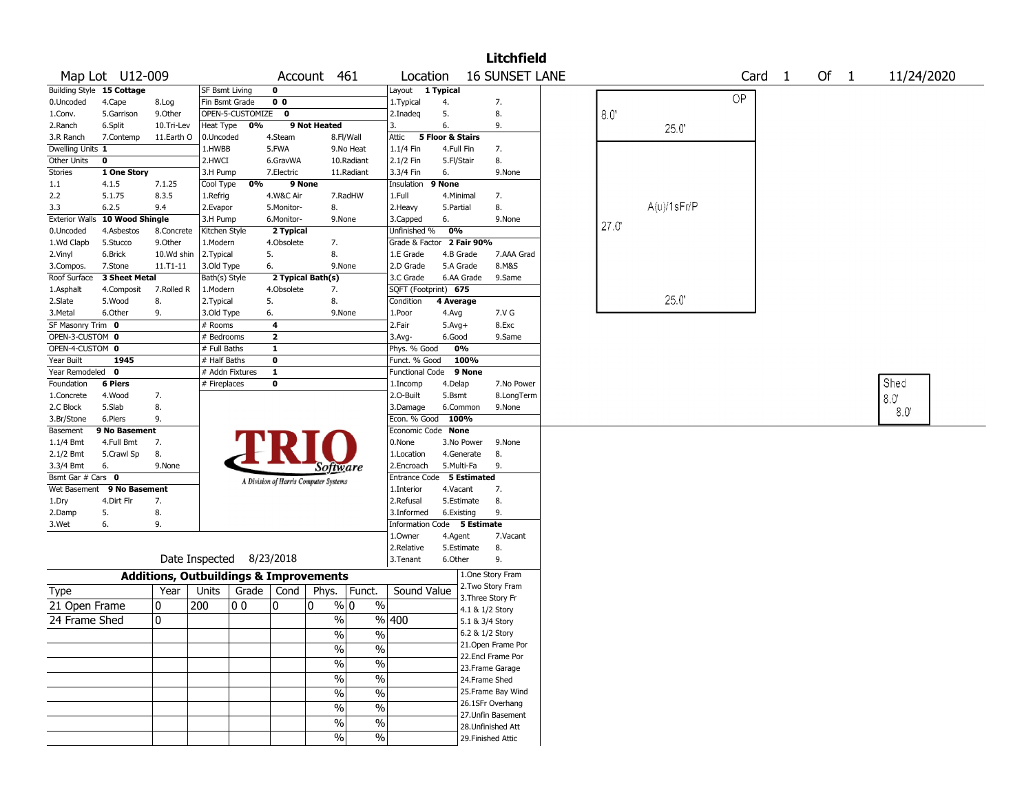|                           |                   |                                                   |                          |                  |                                       |                   |                             |                             |                  |                  | <b>Litchfield</b>                  |       |                   |                   |        |             |  |
|---------------------------|-------------------|---------------------------------------------------|--------------------------|------------------|---------------------------------------|-------------------|-----------------------------|-----------------------------|------------------|------------------|------------------------------------|-------|-------------------|-------------------|--------|-------------|--|
|                           | Map Lot U12-009   |                                                   |                          |                  |                                       | Account 461       |                             | Location                    |                  |                  | <b>16 SUNSET LANE</b>              |       |                   | Card <sub>1</sub> | Of $1$ | 11/24/2020  |  |
| Building Style 15 Cottage |                   |                                                   | SF Bsmt Living           |                  | 0                                     |                   |                             | Layout 1 Typical            |                  |                  |                                    |       |                   |                   |        |             |  |
| 0.Uncoded                 | 4.Cape            | 8.Log                                             | Fin Bsmt Grade           |                  | 0 <sub>0</sub>                        |                   |                             | 1. Typical                  | 4.               |                  | 7.                                 |       |                   | OP                |        |             |  |
| 1.Conv.                   | 5.Garrison        | 9.Other                                           |                          | OPEN-5-CUSTOMIZE | $\mathbf{0}$                          |                   |                             | 2.Inadeq                    | 5.               |                  | 8.                                 | 8.0   |                   |                   |        |             |  |
| 2.Ranch                   | 6.Split           | 10.Tri-Lev                                        | Heat Type                | 0%               |                                       | 9 Not Heated      |                             | 3.                          | 6.               |                  | 9.                                 |       | 25.0'             |                   |        |             |  |
| 3.R Ranch                 | 7.Contemp         | 11.Earth O                                        | 0.Uncoded                |                  | 4.Steam                               |                   | 8.Fl/Wall                   | Attic                       | 5 Floor & Stairs |                  |                                    |       |                   |                   |        |             |  |
| Dwelling Units 1          |                   |                                                   | 1.HWBB                   |                  | 5.FWA                                 |                   | 9.No Heat                   | $1.1/4$ Fin                 | 4.Full Fin       |                  | 7.                                 |       |                   |                   |        |             |  |
| Other Units               | $\mathbf 0$       |                                                   | 2.HWCI                   |                  | 6.GravWA                              |                   | 10.Radiant                  | 2.1/2 Fin                   | 5.Fl/Stair       |                  | 8.                                 |       |                   |                   |        |             |  |
| Stories                   | 1 One Story       |                                                   | 3.H Pump                 |                  | 7.Electric                            |                   | 11.Radiant                  | 3.3/4 Fin                   | 6.               |                  | 9.None                             |       |                   |                   |        |             |  |
| 1.1                       | 4.1.5             | 7.1.25                                            | Cool Type                | 0%               | 9 None                                |                   |                             | Insulation                  | 9 None           |                  |                                    |       |                   |                   |        |             |  |
| 2.2                       | 5.1.75            | 8.3.5                                             | 1.Refrig                 |                  | 4.W&C Air                             |                   | 7.RadHW                     | 1.Full                      |                  | 4.Minimal        | 7.                                 |       |                   |                   |        |             |  |
| 3.3                       | 6.2.5             | 9.4                                               | 2.Evapor                 |                  | 5.Monitor-                            | 8.                |                             | 2.Heavy                     | 5.Partial        |                  | 8.                                 |       | $A(u)/1$ s $Fr/P$ |                   |        |             |  |
| <b>Exterior Walls</b>     | 10 Wood Shingle   |                                                   | 3.H Pump                 |                  | 6.Monitor-                            |                   | 9.None                      | 3.Capped                    | 6.               |                  | 9.None                             | 27.0' |                   |                   |        |             |  |
| 0.Uncoded                 | 4.Asbestos        | 8.Concrete                                        | Kitchen Style            |                  | 2 Typical                             |                   |                             | Unfinished %                | 0%               |                  |                                    |       |                   |                   |        |             |  |
| 1.Wd Clapb                | 5.Stucco          | 9.0ther                                           | 1.Modern                 |                  | 4.Obsolete                            | 7.                |                             | Grade & Factor 2 Fair 90%   |                  |                  |                                    |       |                   |                   |        |             |  |
| 2.Vinyl                   | 6.Brick           | 10.Wd shin                                        | 2. Typical               |                  | 5.                                    | 8.                |                             | 1.E Grade                   |                  | 4.B Grade        | 7.AAA Grad                         |       |                   |                   |        |             |  |
| 3.Compos.                 | 7.Stone           | 11.T1-11                                          | 3.Old Type               |                  | 6.                                    |                   | 9.None                      | 2.D Grade                   |                  | 5.A Grade        | 8.M&S                              |       |                   |                   |        |             |  |
| Roof Surface              | 3 Sheet Metal     |                                                   | Bath(s) Style            |                  |                                       | 2 Typical Bath(s) |                             | 3.C Grade                   |                  | 6.AA Grade       | 9.Same                             |       |                   |                   |        |             |  |
| 1.Asphalt                 | 4.Composit        | 7.Rolled R                                        | 1.Modern                 |                  | 4.Obsolete                            | 7.                |                             | SQFT (Footprint) 675        |                  |                  |                                    |       |                   |                   |        |             |  |
| 2.Slate                   | 5.Wood            | 8.                                                | 2. Typical               |                  | 5.                                    | 8.                |                             | Condition                   | 4 Average        |                  |                                    |       | 25.0'             |                   |        |             |  |
| 3.Metal                   | 6.Other           | 9.                                                | 3.Old Type               |                  | 6.                                    |                   | 9.None                      | 1.Poor                      | 4.Avg            |                  | 7.V G                              |       |                   |                   |        |             |  |
| SF Masonry Trim 0         |                   |                                                   | # Rooms                  |                  | 4                                     |                   |                             | 2.Fair                      | $5.$ Avg $+$     |                  | 8.Exc                              |       |                   |                   |        |             |  |
| OPEN-3-CUSTOM 0           |                   |                                                   | # Bedrooms               |                  | $\mathbf{2}$                          |                   |                             | $3.$ Avg-                   | 6.Good           |                  | 9.Same                             |       |                   |                   |        |             |  |
| OPEN-4-CUSTOM 0           |                   |                                                   | # Full Baths             |                  | 1                                     |                   |                             | Phys. % Good                |                  | 0%               |                                    |       |                   |                   |        |             |  |
| Year Built                | 1945              |                                                   | # Half Baths             |                  | $\mathbf 0$                           |                   |                             | Funct. % Good               |                  | 100%             |                                    |       |                   |                   |        |             |  |
| Year Remodeled 0          |                   |                                                   | # Addn Fixtures          |                  | 1                                     |                   |                             | <b>Functional Code</b>      |                  | 9 None           |                                    |       |                   |                   |        | Shed        |  |
| Foundation                | <b>6 Piers</b>    |                                                   | # Fireplaces             |                  | 0                                     |                   |                             | 1.Incomp<br>2.O-Built       | 4.Delap          |                  | 7.No Power                         |       |                   |                   |        |             |  |
| 1.Concrete                | 4.Wood            | 7.<br>8.                                          |                          |                  |                                       |                   |                             |                             | 5.Bsmt           |                  | 8.LongTerm                         |       |                   |                   |        | 8.0         |  |
| 2.C Block<br>3.Br/Stone   | 5.Slab<br>6.Piers | 9.                                                |                          |                  |                                       |                   |                             | 3.Damage<br>Econ. % Good    |                  | 6.Common<br>100% | 9.None                             |       |                   |                   |        | $8.0^\circ$ |  |
| Basement                  | 9 No Basement     |                                                   |                          |                  |                                       |                   |                             | Economic Code None          |                  |                  |                                    |       |                   |                   |        |             |  |
| 1.1/4 Bmt                 | 4.Full Bmt        | 7.                                                |                          |                  |                                       |                   |                             | 0.None                      |                  | 3.No Power       | 9.None                             |       |                   |                   |        |             |  |
| $2.1/2$ Bmt               | 5.Crawl Sp        | 8.                                                |                          |                  |                                       |                   |                             | 1.Location                  |                  | 4.Generate       | 8.                                 |       |                   |                   |        |             |  |
| 3.3/4 Bmt                 | 6.                | 9.None                                            |                          |                  |                                       |                   |                             | 2.Encroach                  |                  | 5.Multi-Fa       | 9.                                 |       |                   |                   |        |             |  |
| Bsmt Gar # Cars 0         |                   |                                                   |                          |                  |                                       | Software          |                             | <b>Entrance Code</b>        |                  | 5 Estimated      |                                    |       |                   |                   |        |             |  |
| Wet Basement              | 9 No Basement     |                                                   |                          |                  | A Division of Harris Computer Systems |                   |                             | 1.Interior                  | 4.Vacant         |                  | 7.                                 |       |                   |                   |        |             |  |
| 1.Dry                     | 4.Dirt Flr        | 7.                                                |                          |                  |                                       |                   |                             | 2.Refusal                   |                  | 5.Estimate       | 8.                                 |       |                   |                   |        |             |  |
| 2.Damp                    | 5.                | 8.                                                |                          |                  |                                       |                   |                             | 3.Informed                  |                  | 6.Existing       | 9.                                 |       |                   |                   |        |             |  |
| 3.Wet                     | 6.                | 9.                                                |                          |                  |                                       |                   |                             | Information Code 5 Estimate |                  |                  |                                    |       |                   |                   |        |             |  |
|                           |                   |                                                   |                          |                  |                                       |                   |                             | 1.0wner                     | 4.Agent          |                  | 7.Vacant                           |       |                   |                   |        |             |  |
|                           |                   |                                                   |                          |                  |                                       |                   |                             | 2.Relative                  |                  | 5.Estimate       | 8.                                 |       |                   |                   |        |             |  |
|                           |                   |                                                   | Date Inspected 8/23/2018 |                  |                                       |                   |                             | 3.Tenant                    | 6.Other          |                  | 9.                                 |       |                   |                   |        |             |  |
|                           |                   | <b>Additions, Outbuildings &amp; Improvements</b> |                          |                  |                                       |                   |                             |                             |                  |                  | 1.One Story Fram                   |       |                   |                   |        |             |  |
| Type                      |                   | Year                                              | Units                    | Grade            | Cond                                  | Phys.             | Funct.                      | Sound Value                 |                  |                  | 2. Two Story Fram                  |       |                   |                   |        |             |  |
| 21 Open Frame             |                   | 0                                                 | 200                      | 00               | 0                                     | 10                | $\frac{0}{0}$<br>% 0        |                             |                  |                  | 3. Three Story Fr                  |       |                   |                   |        |             |  |
| 24 Frame Shed             |                   | $\mathbf 0$                                       |                          |                  |                                       |                   | $\%$                        | %  400                      |                  |                  | 4.1 & 1/2 Story                    |       |                   |                   |        |             |  |
|                           |                   |                                                   |                          |                  |                                       |                   |                             |                             |                  |                  | 5.1 & 3/4 Story<br>6.2 & 1/2 Story |       |                   |                   |        |             |  |
|                           |                   |                                                   |                          |                  |                                       |                   | $\%$<br>%                   |                             |                  |                  | 21.Open Frame Por                  |       |                   |                   |        |             |  |
|                           |                   |                                                   |                          |                  |                                       | $\%$              | $\sqrt{6}$                  |                             |                  |                  | 22.Encl Frame Por                  |       |                   |                   |        |             |  |
|                           |                   |                                                   |                          |                  |                                       | $\%$              | $\frac{9}{6}$               |                             |                  |                  | 23. Frame Garage                   |       |                   |                   |        |             |  |
|                           |                   |                                                   |                          |                  |                                       | $\%$              | $\sqrt{6}$                  |                             |                  |                  | 24.Frame Shed                      |       |                   |                   |        |             |  |
|                           |                   |                                                   |                          |                  |                                       | $\%$              | $\sqrt{6}$                  |                             |                  |                  | 25. Frame Bay Wind                 |       |                   |                   |        |             |  |
|                           |                   |                                                   |                          |                  |                                       |                   |                             |                             |                  |                  | 26.1SFr Overhang                   |       |                   |                   |        |             |  |
|                           |                   |                                                   |                          |                  |                                       | $\%$              | $\sqrt{6}$                  |                             |                  |                  | 27. Unfin Basement                 |       |                   |                   |        |             |  |
|                           |                   |                                                   |                          |                  |                                       |                   | $\frac{0}{0}$<br>$\sqrt{6}$ |                             |                  |                  | 28. Unfinished Att                 |       |                   |                   |        |             |  |
|                           |                   |                                                   |                          |                  |                                       | $\%$              | $\sqrt{6}$                  |                             |                  |                  | 29. Finished Attic                 |       |                   |                   |        |             |  |
|                           |                   |                                                   |                          |                  |                                       |                   |                             |                             |                  |                  |                                    |       |                   |                   |        |             |  |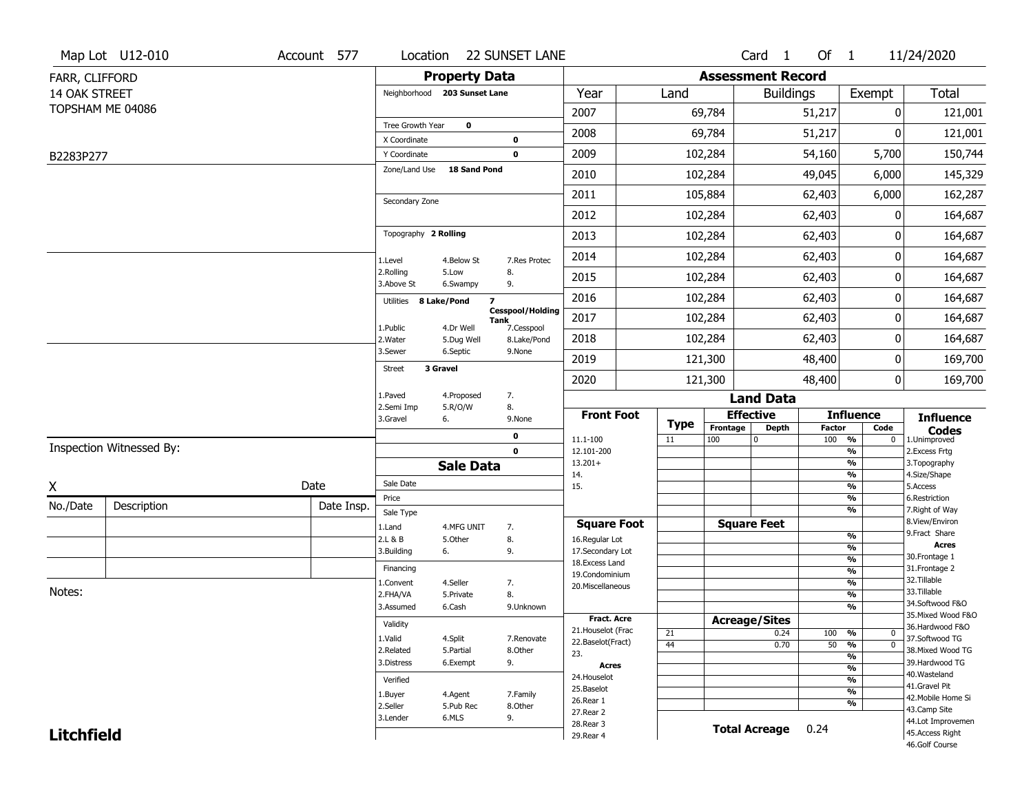|                   | Map Lot U12-010          | Account 577 | Location                     |                      | <b>22 SUNSET LANE</b>                         |                                     |                   |                          | Card <sub>1</sub>    | Of $1$                 |                                                      | 11/24/2020                           |
|-------------------|--------------------------|-------------|------------------------------|----------------------|-----------------------------------------------|-------------------------------------|-------------------|--------------------------|----------------------|------------------------|------------------------------------------------------|--------------------------------------|
| FARR, CLIFFORD    |                          |             |                              | <b>Property Data</b> |                                               |                                     |                   | <b>Assessment Record</b> |                      |                        |                                                      |                                      |
| 14 OAK STREET     |                          |             | Neighborhood 203 Sunset Lane |                      |                                               | Year                                | Land              |                          | <b>Buildings</b>     |                        | Exempt                                               | Total                                |
|                   | TOPSHAM ME 04086         |             |                              |                      |                                               | 2007                                |                   | 69,784                   |                      | 51,217                 | 0                                                    | 121,001                              |
|                   |                          |             | Tree Growth Year             | $\mathbf 0$          |                                               | 2008                                |                   | 69,784                   |                      | 51,217                 | ŋ                                                    | 121,001                              |
|                   |                          |             | X Coordinate<br>Y Coordinate |                      | 0<br>$\mathbf 0$                              | 2009                                |                   | 102,284                  |                      | 54,160                 | 5,700                                                | 150,744                              |
| B2283P277         |                          |             | Zone/Land Use                | 18 Sand Pond         |                                               |                                     |                   |                          |                      |                        |                                                      |                                      |
|                   |                          |             |                              |                      |                                               | 2010                                |                   | 102,284                  |                      | 49,045                 | 6,000                                                | 145,329                              |
|                   |                          |             | Secondary Zone               |                      |                                               | 2011                                |                   | 105,884                  |                      | 62,403                 | 6,000                                                | 162,287                              |
|                   |                          |             |                              |                      |                                               | 2012                                |                   | 102,284                  |                      | 62,403                 | 0                                                    | 164,687                              |
|                   |                          |             | Topography 2 Rolling         |                      |                                               | 2013                                |                   | 102,284                  |                      | 62,403                 | 0                                                    | 164,687                              |
|                   |                          |             | 1.Level                      | 4.Below St           | 7.Res Protec                                  | 2014                                |                   | 102,284                  |                      | 62,403                 | 0                                                    | 164,687                              |
|                   |                          |             | 2.Rolling<br>3.Above St      | 5.Low<br>6.Swampy    | 8.<br>9.                                      | 2015                                |                   | 102,284                  |                      | 62,403                 | 0                                                    | 164,687                              |
|                   |                          |             | Utilities                    | 8 Lake/Pond          | $\overline{\mathbf{z}}$                       | 2016                                |                   | 102,284                  |                      | 62,403                 | 0                                                    | 164,687                              |
|                   |                          |             | 1.Public                     | 4.Dr Well            | <b>Cesspool/Holding</b><br>Tank<br>7.Cesspool | 2017                                |                   | 102,284                  |                      | 62,403                 | 0                                                    | 164,687                              |
|                   |                          |             | 2. Water                     | 5.Dug Well           | 8.Lake/Pond                                   | 2018                                |                   | 102,284                  |                      | 62,403                 | 0                                                    | 164,687                              |
|                   |                          |             | 3.Sewer                      | 6.Septic             | 9.None                                        | 2019                                |                   | 121,300                  |                      | 48,400                 | 0                                                    | 169,700                              |
|                   |                          |             | <b>Street</b>                | 3 Gravel             |                                               | 2020                                |                   | 121,300                  |                      | 48,400                 | 0                                                    | 169,700                              |
|                   |                          |             | 1.Paved                      | 4.Proposed           | 7.                                            |                                     |                   |                          | <b>Land Data</b>     |                        |                                                      |                                      |
|                   |                          |             | 2.Semi Imp<br>3.Gravel       | 5.R/O/W<br>6.        | 8.<br>9.None                                  | <b>Front Foot</b>                   |                   |                          | <b>Effective</b>     |                        | <b>Influence</b>                                     | <b>Influence</b>                     |
|                   |                          |             |                              |                      | 0                                             | 11.1-100                            | <b>Type</b><br>11 | Frontage<br>100          | Depth<br>0           | <b>Factor</b><br>100 % | Code<br>0                                            | <b>Codes</b><br>1.Unimproved         |
|                   | Inspection Witnessed By: |             |                              |                      | $\mathbf 0$                                   | 12.101-200                          |                   |                          |                      |                        | $\overline{\frac{9}{6}}$                             | 2. Excess Frtg                       |
|                   |                          |             |                              | <b>Sale Data</b>     |                                               | $13.201+$<br>14.                    |                   |                          |                      |                        | $\overline{\frac{9}{6}}$<br>$\overline{\frac{9}{6}}$ | 3. Topography<br>4.Size/Shape        |
| X                 |                          | Date        | Sale Date                    |                      |                                               | 15.                                 |                   |                          |                      |                        | $\overline{\frac{9}{6}}$                             | 5.Access                             |
| No./Date          | Description              | Date Insp.  | Price<br>Sale Type           |                      |                                               |                                     |                   |                          |                      |                        | %<br>%                                               | 6.Restriction<br>7. Right of Way     |
|                   |                          |             | 1.Land                       | 4.MFG UNIT           | 7.                                            | <b>Square Foot</b>                  |                   |                          | <b>Square Feet</b>   |                        |                                                      | 8.View/Environ                       |
|                   |                          |             | 2.L & B                      | 5.0ther              | 8.                                            | 16.Regular Lot                      |                   |                          |                      |                        | $\frac{9}{6}$<br>%                                   | 9.Fract Share<br><b>Acres</b>        |
|                   |                          |             | 3.Building                   | 6.                   | 9.                                            | 17.Secondary Lot<br>18. Excess Land |                   |                          |                      |                        | $\frac{9}{6}$                                        | 30. Frontage 1                       |
|                   |                          |             | Financing                    |                      |                                               | 19.Condominium                      |                   |                          |                      |                        | $\overline{\frac{9}{6}}$                             | 31. Frontage 2                       |
| Notes:            |                          |             | 1.Convent                    | 4.Seller             | 7.                                            | 20.Miscellaneous                    |                   |                          |                      |                        | $\frac{9}{6}$                                        | 32.Tillable<br>33.Tillable           |
|                   |                          |             | 2.FHA/VA                     | 5.Private<br>6.Cash  | 8.                                            |                                     |                   |                          |                      |                        | %<br>%                                               | 34.Softwood F&O                      |
|                   |                          |             | 3.Assumed                    |                      | 9.Unknown                                     | Fract. Acre                         |                   |                          | <b>Acreage/Sites</b> |                        |                                                      | 35. Mixed Wood F&O                   |
|                   |                          |             | Validity                     |                      |                                               | 21. Houselot (Frac                  | 21                |                          | 0.24                 | 100                    | %<br>0                                               | 36.Hardwood F&O                      |
|                   |                          |             | 1.Valid                      | 4.Split              | 7.Renovate                                    | 22.Baselot(Fract)                   | 44                |                          | 0.70                 | $50 - 9$               | $\overline{\mathfrak{o}}$                            | 37.Softwood TG                       |
|                   |                          |             | 2.Related                    | 5.Partial            | 8.Other                                       | 23.                                 |                   |                          |                      |                        | $\overline{\frac{9}{6}}$                             | 38. Mixed Wood TG                    |
|                   |                          |             | 3.Distress                   | 6.Exempt             | 9.                                            | Acres                               |                   |                          |                      |                        | $\overline{\frac{9}{6}}$                             | 39.Hardwood TG<br>40. Wasteland      |
|                   |                          |             | Verified                     |                      |                                               | 24. Houselot<br>25.Baselot          |                   |                          |                      |                        | $\frac{9}{6}$                                        | 41.Gravel Pit                        |
|                   |                          |             | 1.Buyer                      | 4.Agent              | 7.Family                                      | 26.Rear 1                           |                   |                          |                      |                        | $\overline{\frac{9}{6}}$<br>%                        | 42. Mobile Home Si                   |
|                   |                          |             | 2.Seller                     | 5.Pub Rec            | 8.Other                                       |                                     |                   |                          |                      |                        |                                                      | 43.Camp Site                         |
|                   |                          |             |                              |                      |                                               | 27. Rear 2                          |                   |                          |                      |                        |                                                      |                                      |
| <b>Litchfield</b> |                          |             | 3.Lender                     | 6.MLS                | 9.                                            | 28.Rear 3<br>29. Rear 4             |                   |                          | <b>Total Acreage</b> | 0.24                   |                                                      | 44.Lot Improvemen<br>45.Access Right |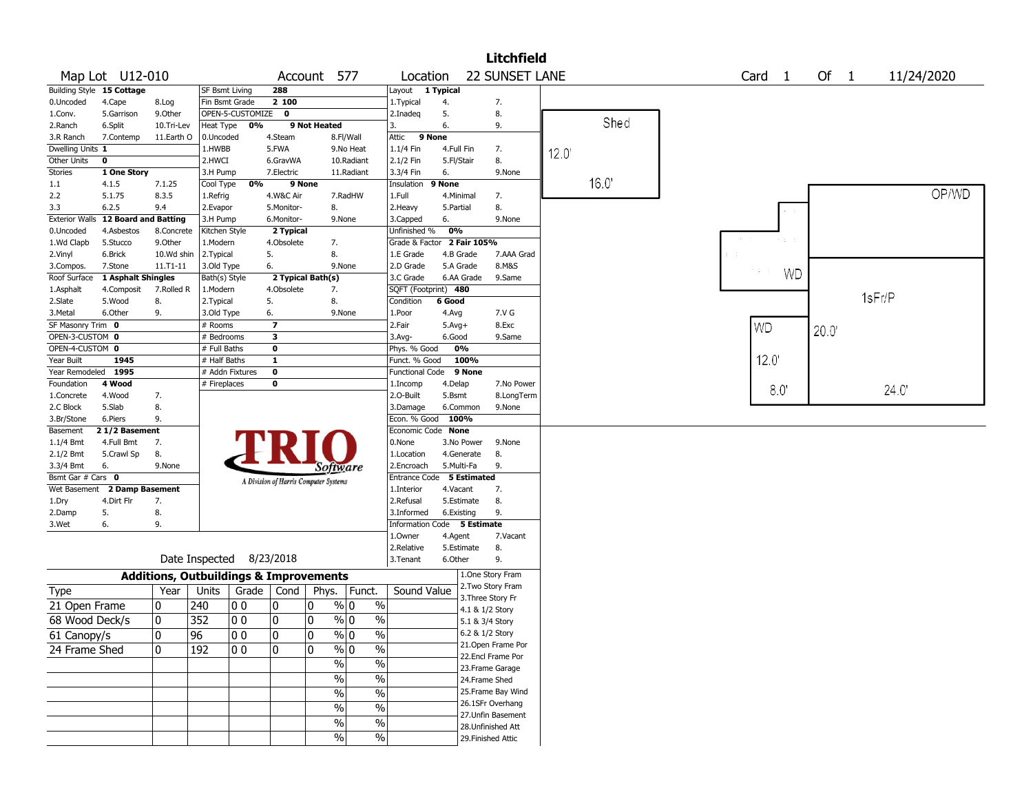|                         |                                       |                                                   |                       |                  |                                       |                   |                          |                                    |              |                 | <b>Litchfield</b>  |      |      |                   |           |        |            |  |
|-------------------------|---------------------------------------|---------------------------------------------------|-----------------------|------------------|---------------------------------------|-------------------|--------------------------|------------------------------------|--------------|-----------------|--------------------|------|------|-------------------|-----------|--------|------------|--|
|                         | Map Lot U12-010                       |                                                   |                       |                  |                                       | Account 577       |                          | Location                           |              |                 | 22 SUNSET LANE     |      |      | Card <sub>1</sub> |           | Of $1$ | 11/24/2020 |  |
|                         | Building Style 15 Cottage             |                                                   | <b>SF Bsmt Living</b> |                  | 288                                   |                   |                          | Layout 1 Typical                   |              |                 |                    |      |      |                   |           |        |            |  |
| 0.Uncoded               | 4.Cape                                | 8.Log                                             | Fin Bsmt Grade        |                  | 2 100                                 |                   |                          | 1.Typical                          | 4.           |                 | 7.                 |      |      |                   |           |        |            |  |
| 1.Conv.                 | 5.Garrison                            | 9.Other                                           |                       | OPEN-5-CUSTOMIZE | $\mathbf 0$                           |                   |                          | 2.Inadeg                           | 5.           |                 | 8.                 |      | Shed |                   |           |        |            |  |
| 2.Ranch                 | 6.Split                               | 10.Tri-Lev                                        | Heat Type             | 0%               |                                       | 9 Not Heated      |                          | 3.                                 | 6.           |                 | 9.                 |      |      |                   |           |        |            |  |
| 3.R Ranch               | 7.Contemp                             | 11.Earth O                                        | 0.Uncoded             |                  | 4.Steam                               |                   | 8.Fl/Wall                | Attic                              | 9 None       |                 |                    |      |      |                   |           |        |            |  |
| Dwelling Units 1        |                                       |                                                   | 1.HWBB                |                  | 5.FWA                                 |                   | 9.No Heat                | 1.1/4 Fin                          | 4.Full Fin   |                 | 7.                 | 12.0 |      |                   |           |        |            |  |
| Other Units<br>Stories  | 0<br>1 One Story                      |                                                   | 2.HWCI                |                  | 6.GravWA<br>7.Electric                |                   | 10.Radiant<br>11.Radiant | 2.1/2 Fin                          | 5.Fl/Stair   |                 | 8.<br>9.None       |      |      |                   |           |        |            |  |
| 1.1                     | 4.1.5                                 | 7.1.25                                            | 3.H Pump<br>Cool Type | 0%               |                                       | 9 None            |                          | 3.3/4 Fin<br>Insulation            | 6.<br>9 None |                 |                    |      | 16.0 |                   |           |        |            |  |
| 2.2                     | 5.1.75                                | 8.3.5                                             | 1.Refrig              |                  | 4.W&C Air                             |                   | 7.RadHW                  | 1.Full                             | 4.Minimal    |                 | 7.                 |      |      |                   |           |        | OP/WD      |  |
| 3.3                     | 6.2.5                                 | 9.4                                               | 2.Evapor              |                  | 5.Monitor-                            | 8.                |                          | 2. Heavy                           | 5.Partial    |                 | 8.                 |      |      |                   |           |        |            |  |
| <b>Exterior Walls</b>   | <b>12 Board and Batting</b>           |                                                   | 3.H Pump              |                  | 6.Monitor-                            |                   | 9.None                   | 3.Capped                           | 6.           |                 | 9.None             |      |      |                   |           |        |            |  |
| 0.Uncoded               | 4.Asbestos                            | 8.Concrete                                        | Kitchen Style         |                  | 2 Typical                             |                   |                          | Unfinished %                       | 0%           |                 |                    |      |      |                   |           |        |            |  |
| 1.Wd Clapb              | 5.Stucco                              | 9.0ther                                           | 1.Modern              |                  | 4.Obsolete                            | 7.                |                          | Grade & Factor 2 Fair 105%         |              |                 |                    |      |      |                   |           |        |            |  |
| 2.Vinyl                 | 6.Brick                               | 10.Wd shin                                        | 2.Typical             |                  | 5.                                    | 8.                |                          | 1.E Grade                          |              | 4.B Grade       | 7.AAA Grad         |      |      |                   |           |        |            |  |
| 3.Compos.               | 7.Stone                               | 11.T1-11                                          | 3.Old Type            |                  | 6.                                    |                   | 9.None                   | 2.D Grade                          |              | 5.A Grade       | 8.M&S              |      |      |                   |           |        |            |  |
| Roof Surface            | 1 Asphalt Shingles                    |                                                   | Bath(s) Style         |                  |                                       | 2 Typical Bath(s) |                          | 3.C Grade                          |              | 6.AA Grade      | 9.Same             |      |      |                   | <b>WD</b> |        |            |  |
| 1.Asphalt               | 4.Composit                            | 7.Rolled R                                        | 1.Modern              |                  | 4.Obsolete                            | 7.                |                          | SQFT (Footprint) 480               |              |                 |                    |      |      |                   |           |        |            |  |
| 2.Slate                 | 5.Wood                                | 8.                                                | 2.Typical             |                  | 5.                                    | 8.                |                          | Condition                          | 6 Good       |                 |                    |      |      |                   |           |        | 1sFr/P     |  |
| 3.Metal                 | 6.Other                               | 9.                                                | 3.Old Type            |                  | 6.                                    |                   | 9.None                   | 1.Poor                             | 4.Avg        |                 | 7.V G              |      |      |                   |           |        |            |  |
| SF Masonry Trim 0       |                                       |                                                   | $#$ Rooms             |                  | $\overline{\mathbf{z}}$               |                   |                          | 2.Fair                             | $5.Avg+$     |                 | 8.Exc              |      |      | <b>WD</b>         |           | 20.0'  |            |  |
| OPEN-3-CUSTOM 0         |                                       |                                                   | # Bedrooms            |                  | 3                                     |                   |                          | 3.Avg-                             | 6.Good       |                 | 9.Same             |      |      |                   |           |        |            |  |
| OPEN-4-CUSTOM 0         |                                       |                                                   | # Full Baths          |                  | $\mathbf 0$                           |                   |                          | Phys. % Good                       |              | 0%              |                    |      |      |                   |           |        |            |  |
| Year Built              | 1945                                  |                                                   | # Half Baths          |                  | $\mathbf{1}$                          |                   |                          | Funct. % Good                      |              | 100%            |                    |      |      | 12.0              |           |        |            |  |
| Year Remodeled 1995     |                                       |                                                   |                       | # Addn Fixtures  | $\mathbf 0$                           |                   |                          | <b>Functional Code</b>             |              | 9 None          |                    |      |      |                   |           |        |            |  |
| Foundation              | 4 Wood                                |                                                   | # Fireplaces          |                  | 0                                     |                   |                          | 1.Incomp                           | 4.Delap      |                 | 7.No Power         |      |      |                   | 8.0       |        | 24.0       |  |
| 1.Concrete              | 4.Wood                                | 7.                                                |                       |                  |                                       |                   |                          | 2.O-Built                          | 5.Bsmt       |                 | 8.LongTerm         |      |      |                   |           |        |            |  |
| 2.C Block               | 5.Slab                                | 8.                                                |                       |                  |                                       |                   |                          | 3.Damage                           |              | 6.Common        | 9.None             |      |      |                   |           |        |            |  |
| 3.Br/Stone              | 6.Piers<br>$\overline{21/2}$ Basement | 9.                                                |                       |                  |                                       |                   |                          | Econ. % Good<br>Economic Code None | 100%         |                 |                    |      |      |                   |           |        |            |  |
| Basement<br>$1.1/4$ Bmt | 4.Full Bmt                            | 7.                                                |                       |                  |                                       |                   |                          | 0.None                             |              | 3.No Power      | 9.None             |      |      |                   |           |        |            |  |
| 2.1/2 Bmt               | 5.Crawl Sp                            | 8.                                                |                       |                  |                                       |                   |                          | 1.Location                         |              | 4.Generate      | 8.                 |      |      |                   |           |        |            |  |
| 3.3/4 Bmt               | 6.                                    | 9.None                                            |                       |                  |                                       |                   |                          | 2.Encroach                         |              | 5.Multi-Fa      | 9.                 |      |      |                   |           |        |            |  |
| Bsmt Gar # Cars 0       |                                       |                                                   |                       |                  |                                       |                   | Sottware                 | Entrance Code 5 Estimated          |              |                 |                    |      |      |                   |           |        |            |  |
| Wet Basement            | 2 Damp Basement                       |                                                   |                       |                  | A Division of Harris Computer Systems |                   |                          | 1.Interior                         | 4.Vacant     |                 | 7.                 |      |      |                   |           |        |            |  |
| 1.Dry                   | 4.Dirt Flr                            | 7.                                                |                       |                  |                                       |                   |                          | 2.Refusal                          |              | 5.Estimate      | 8.                 |      |      |                   |           |        |            |  |
| 2.Damp                  | 5.                                    | 8.                                                |                       |                  |                                       |                   |                          | 3.Informed                         |              | 6.Existing      | 9.                 |      |      |                   |           |        |            |  |
| 3.Wet                   | 6.                                    | 9.                                                |                       |                  |                                       |                   |                          | Information Code 5 Estimate        |              |                 |                    |      |      |                   |           |        |            |  |
|                         |                                       |                                                   |                       |                  |                                       |                   |                          | 1.Owner                            | 4.Agent      |                 | 7.Vacant           |      |      |                   |           |        |            |  |
|                         |                                       |                                                   |                       |                  |                                       |                   |                          | 2.Relative                         |              | 5.Estimate      | 8.                 |      |      |                   |           |        |            |  |
|                         |                                       |                                                   | Date Inspected        |                  | 8/23/2018                             |                   |                          | 3. Tenant                          | 6.Other      |                 | 9.                 |      |      |                   |           |        |            |  |
|                         |                                       | <b>Additions, Outbuildings &amp; Improvements</b> |                       |                  |                                       |                   |                          |                                    |              |                 | 1.One Story Fram   |      |      |                   |           |        |            |  |
| <b>Type</b>             |                                       | Year                                              | Units                 | Grade   Cond     |                                       | Phys.             | Funct.                   | Sound Value                        |              |                 | 2. Two Story Fram  |      |      |                   |           |        |            |  |
| 21 Open Frame           |                                       | 0                                                 | 240                   | 00               | 10                                    | 0                 | % 0<br>$\%$              |                                    |              |                 | 3. Three Story Fr  |      |      |                   |           |        |            |  |
|                         |                                       | 0                                                 |                       |                  |                                       | 0                 | $\frac{9}{0}$ 0          |                                    |              | 4.1 & 1/2 Story |                    |      |      |                   |           |        |            |  |
| 68 Wood Deck/s          |                                       |                                                   | 352                   | 00               | 10                                    |                   | $\frac{0}{0}$            |                                    |              | 5.1 & 3/4 Story |                    |      |      |                   |           |        |            |  |
| 61 Canopy/s             |                                       | 0                                                 | $\overline{96}$       | 00               | ١o                                    | 0                 | $\frac{0}{0}$<br>$\%$ 0  |                                    |              | 6.2 & 1/2 Story |                    |      |      |                   |           |        |            |  |
| 24 Frame Shed           |                                       | 0                                                 | 192                   | 00               | 10                                    | 0                 | % 0<br>$\%$              |                                    |              |                 | 21. Open Frame Por |      |      |                   |           |        |            |  |
|                         |                                       |                                                   |                       |                  |                                       |                   | $\frac{1}{2}$<br>$\%$    |                                    |              |                 | 22.Encl Frame Por  |      |      |                   |           |        |            |  |
|                         |                                       |                                                   |                       |                  |                                       |                   | $\frac{1}{2}$<br>$\%$    |                                    |              |                 | 23. Frame Garage   |      |      |                   |           |        |            |  |
|                         |                                       |                                                   |                       |                  |                                       |                   |                          |                                    |              | 24.Frame Shed   | 25. Frame Bay Wind |      |      |                   |           |        |            |  |
|                         |                                       |                                                   |                       |                  |                                       |                   | $\%$<br>$\frac{0}{0}$    |                                    |              |                 | 26.1SFr Overhang   |      |      |                   |           |        |            |  |
|                         |                                       |                                                   |                       |                  |                                       |                   | $\%$<br>$\%$             |                                    |              |                 | 27.Unfin Basement  |      |      |                   |           |        |            |  |
|                         |                                       |                                                   |                       |                  |                                       |                   | $\%$<br>$\%$             |                                    |              |                 | 28. Unfinished Att |      |      |                   |           |        |            |  |
|                         |                                       |                                                   |                       |                  |                                       |                   | $\%$<br>$\%$             |                                    |              |                 | 29. Finished Attic |      |      |                   |           |        |            |  |
|                         |                                       |                                                   |                       |                  |                                       |                   |                          |                                    |              |                 |                    |      |      |                   |           |        |            |  |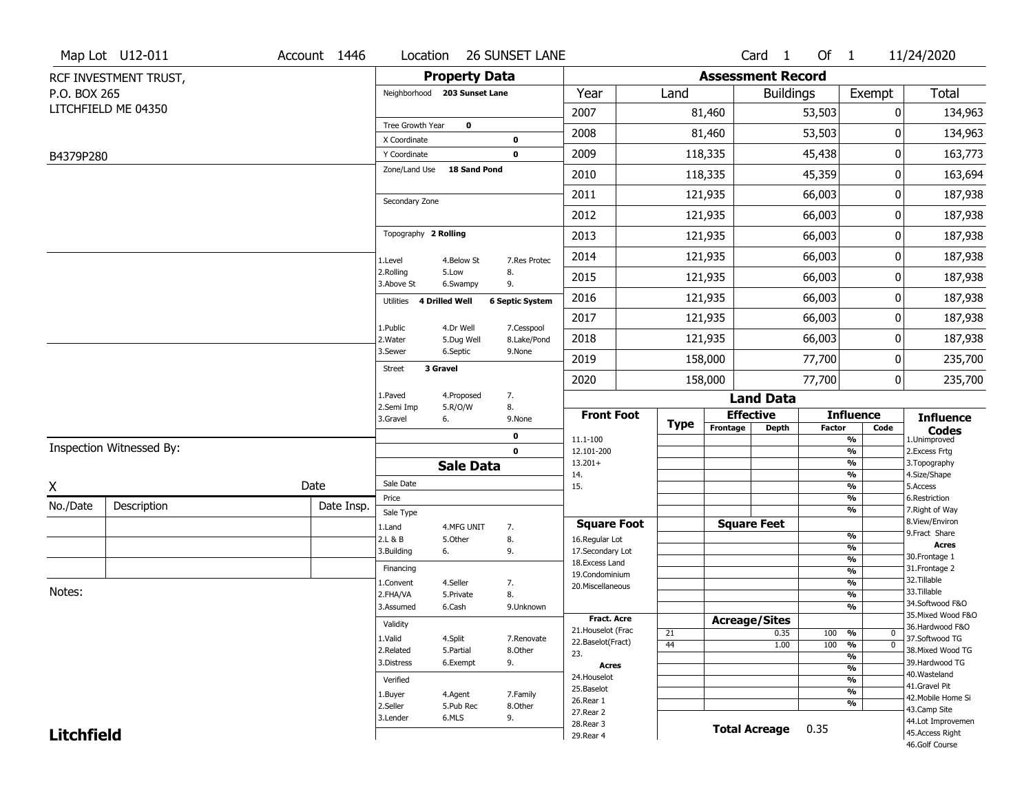|                   | Map Lot U12-011          | Account 1446 | Location                     |                         | <b>26 SUNSET LANE</b>     |                                     |             |                          | Card <sub>1</sub>    | Of $1$        |                                           | 11/24/2020                           |
|-------------------|--------------------------|--------------|------------------------------|-------------------------|---------------------------|-------------------------------------|-------------|--------------------------|----------------------|---------------|-------------------------------------------|--------------------------------------|
|                   | RCF INVESTMENT TRUST,    |              |                              | <b>Property Data</b>    |                           |                                     |             | <b>Assessment Record</b> |                      |               |                                           |                                      |
| P.O. BOX 265      |                          |              | Neighborhood 203 Sunset Lane |                         |                           | Year                                | Land        |                          | <b>Buildings</b>     |               | Exempt                                    | <b>Total</b>                         |
|                   | LITCHFIELD ME 04350      |              |                              |                         |                           | 2007                                |             | 81,460                   |                      | 53,503        | 0                                         | 134,963                              |
|                   |                          |              | Tree Growth Year             | $\mathbf 0$             |                           | 2008                                |             | 81,460                   |                      | 53,503        | 0                                         | 134,963                              |
| B4379P280         |                          |              | X Coordinate<br>Y Coordinate |                         | 0<br>$\mathbf 0$          | 2009                                |             | 118,335                  |                      | 45,438        | 0                                         | 163,773                              |
|                   |                          |              | Zone/Land Use                | <b>18 Sand Pond</b>     |                           | 2010                                |             | 118,335                  |                      | 45,359        | 0                                         | 163,694                              |
|                   |                          |              |                              |                         |                           |                                     |             |                          |                      |               | 0                                         |                                      |
|                   |                          |              | Secondary Zone               |                         |                           | 2011                                |             | 121,935                  |                      | 66,003        |                                           | 187,938                              |
|                   |                          |              |                              |                         |                           | 2012                                |             | 121,935                  |                      | 66,003        | 0                                         | 187,938                              |
|                   |                          |              | Topography 2 Rolling         |                         |                           | 2013                                |             | 121,935                  |                      | 66,003        | 0                                         | 187,938                              |
|                   |                          |              | 1.Level                      | 4.Below St              | 7.Res Protec              | 2014                                |             | 121,935                  |                      | 66,003        | 0                                         | 187,938                              |
|                   |                          |              | 2.Rolling<br>3.Above St      | 5.Low<br>6.Swampy       | 8.<br>9.                  | 2015                                |             | 121,935                  |                      | 66,003        | 0                                         | 187,938                              |
|                   |                          |              | 4 Drilled Well<br>Utilities  |                         | <b>6 Septic System</b>    | 2016                                |             | 121,935                  |                      | 66,003        | 0                                         | 187,938                              |
|                   |                          |              |                              |                         |                           | 2017                                |             | 121,935                  |                      | 66,003        | 0                                         | 187,938                              |
|                   |                          |              | 1.Public<br>2. Water         | 4.Dr Well<br>5.Dug Well | 7.Cesspool<br>8.Lake/Pond | 2018                                |             | 121,935                  |                      | 66,003        | 0                                         | 187,938                              |
|                   |                          |              | 3.Sewer                      | 6.Septic                | 9.None                    | 2019                                |             | 158,000                  |                      | 77,700        | 0                                         | 235,700                              |
|                   |                          |              | 3 Gravel<br><b>Street</b>    |                         |                           | 2020                                |             | 158,000                  |                      | 77,700        | 0                                         | 235,700                              |
|                   |                          |              | 1.Paved                      | 4.Proposed              | 7.                        |                                     |             |                          | <b>Land Data</b>     |               |                                           |                                      |
|                   |                          |              | 2.Semi Imp<br>3.Gravel<br>6. | 5.R/O/W                 | 8.<br>9.None              | <b>Front Foot</b>                   |             | <b>Effective</b>         |                      |               | <b>Influence</b>                          | <b>Influence</b>                     |
|                   |                          |              |                              |                         | 0                         | 11.1-100                            | <b>Type</b> | Frontage                 | <b>Depth</b>         | <b>Factor</b> | Code<br>$\frac{9}{6}$                     | <b>Codes</b><br>1.Unimproved         |
|                   | Inspection Witnessed By: |              |                              |                         | $\mathbf{0}$              | 12.101-200                          |             |                          |                      |               | $\frac{9}{6}$                             | 2. Excess Frtg                       |
|                   |                          |              |                              | <b>Sale Data</b>        |                           | $13.201+$<br>14.                    |             |                          |                      |               | $\overline{\frac{9}{6}}$<br>$\frac{9}{6}$ | 3. Topography<br>4.Size/Shape        |
| X                 |                          | Date         | Sale Date                    |                         |                           | 15.                                 |             |                          |                      |               | $\frac{9}{6}$                             | 5.Access                             |
| No./Date          | Description              | Date Insp.   | Price<br>Sale Type           |                         |                           |                                     |             |                          |                      |               | $\frac{9}{6}$<br>$\frac{9}{6}$            | 6.Restriction<br>7. Right of Way     |
|                   |                          |              | 1.Land                       | 4.MFG UNIT              | 7.                        | <b>Square Foot</b>                  |             | <b>Square Feet</b>       |                      |               |                                           | 8.View/Environ                       |
|                   |                          |              | 2.L & B                      | 5.Other                 | 8.                        | 16.Regular Lot                      |             |                          |                      |               | $\frac{9}{6}$                             | 9.Fract Share<br>Acres               |
|                   |                          |              | 3.Building<br>6.             |                         | 9.                        | 17.Secondary Lot<br>18. Excess Land |             |                          |                      |               | %<br>$\frac{9}{6}$                        | 30. Frontage 1                       |
|                   |                          |              | Financing                    |                         |                           | 19.Condominium                      |             |                          |                      |               | $\frac{9}{6}$                             | 31. Frontage 2                       |
| Notes:            |                          |              | 1.Convent                    | 4.Seller                | 7.                        | 20.Miscellaneous                    |             |                          |                      |               | $\frac{9}{6}$                             | 32.Tillable<br>33.Tillable           |
|                   |                          |              | 2.FHA/VA<br>3.Assumed        | 5.Private<br>6.Cash     | 8.                        |                                     |             |                          |                      |               | $\frac{9}{6}$<br>$\frac{9}{6}$            | 34.Softwood F&O                      |
|                   |                          |              |                              |                         | 9.Unknown                 | <b>Fract. Acre</b>                  |             | <b>Acreage/Sites</b>     |                      |               |                                           | 35. Mixed Wood F&O                   |
|                   |                          |              | Validity                     |                         |                           | 21. Houselot (Frac                  | 21          |                          | 0.35                 | 100           | %<br>0                                    | 36.Hardwood F&O                      |
|                   |                          |              | 1.Valid                      | 4.Split                 | 7.Renovate                | 22.Baselot(Fract)                   | 44          |                          | 1.00                 | 100           | $\overline{0}$<br>%                       | 37.Softwood TG                       |
|                   |                          |              | 2.Related<br>3.Distress      | 5.Partial<br>6.Exempt   | 8.Other<br>9.             | 23.                                 |             |                          |                      |               | $\overline{\frac{9}{6}}$                  | 38. Mixed Wood TG<br>39.Hardwood TG  |
|                   |                          |              |                              |                         |                           | Acres                               |             |                          |                      |               | $\frac{9}{6}$                             | 40. Wasteland                        |
|                   |                          |              | Verified                     |                         |                           | 24. Houselot                        |             |                          |                      |               | $\frac{9}{6}$                             | 41.Gravel Pit                        |
|                   |                          |              |                              |                         |                           |                                     |             |                          |                      |               |                                           |                                      |
|                   |                          |              | 1.Buyer                      | 4.Agent                 | 7.Family                  | 25.Baselot<br>26.Rear 1             |             |                          |                      |               | $\overline{\frac{9}{6}}$                  | 42. Mobile Home Si                   |
|                   |                          |              | 2.Seller                     | 5.Pub Rec               | 8.Other                   | 27. Rear 2                          |             |                          |                      |               | $\frac{9}{6}$                             | 43.Camp Site                         |
| <b>Litchfield</b> |                          |              | 3.Lender                     | 6.MLS                   | 9.                        | 28. Rear 3<br>29. Rear 4            |             |                          | <b>Total Acreage</b> | 0.35          |                                           | 44.Lot Improvemen<br>45.Access Right |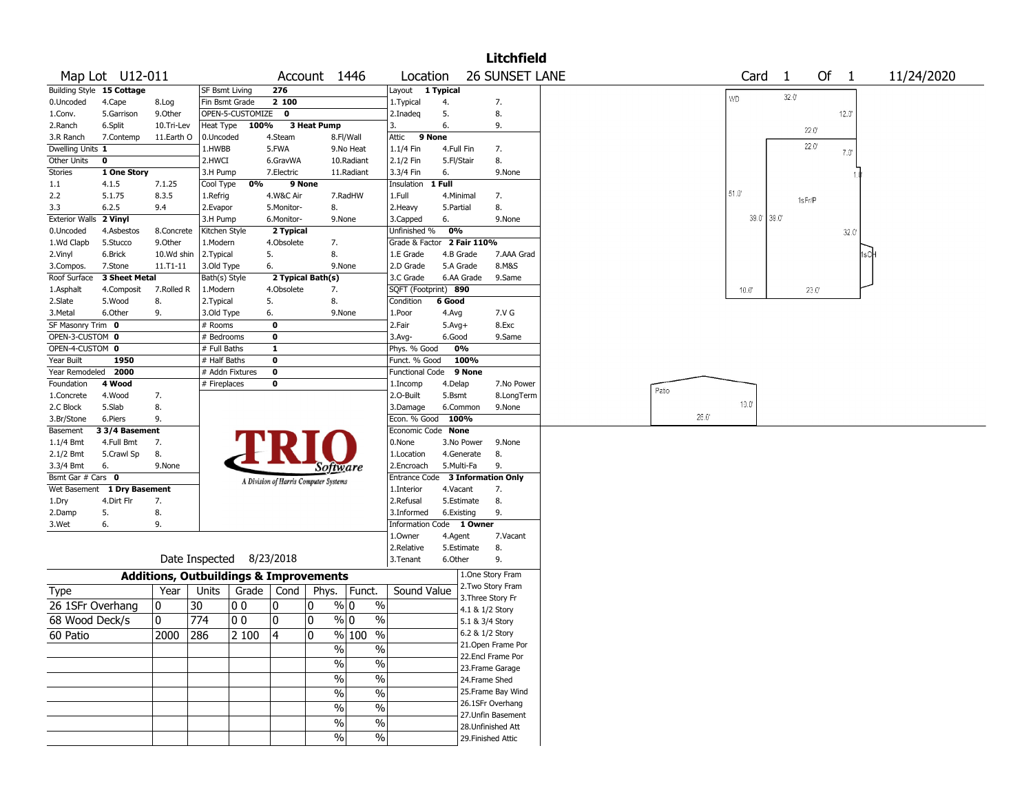|                                  |                 |              |                                                   |                                       |                                    |                      |                            | <b>Litchfield</b>                    |       |      |                |                |                |                |            |  |
|----------------------------------|-----------------|--------------|---------------------------------------------------|---------------------------------------|------------------------------------|----------------------|----------------------------|--------------------------------------|-------|------|----------------|----------------|----------------|----------------|------------|--|
|                                  | Map Lot U12-011 |              |                                                   |                                       | Account 1446                       | Location             |                            | <b>26 SUNSET LANE</b>                |       |      | Card           | -1             | Of 1           |                | 11/24/2020 |  |
| <b>Building Style 15 Cottage</b> |                 |              | <b>SF Bsmt Living</b>                             | 276                                   |                                    | Layout 1 Typical     |                            |                                      |       |      |                | $32.0^{\circ}$ |                |                |            |  |
| 0.Uncoded                        | 4.Cape          | 8.Log        | Fin Bsmt Grade                                    | 2 100                                 |                                    | 1. Typical           | 4.                         | 7.                                   |       |      | <b>WD</b>      |                |                |                |            |  |
| 1.Conv.                          | 5.Garrison      | 9.Other      | OPEN-5-CUSTOMIZE                                  | 0                                     |                                    | 2.Inadeg             | 5.                         | 8.                                   |       |      |                |                |                | $12.0^{\circ}$ |            |  |
| 2.Ranch                          | 6.Split         | 10.Tri-Lev   | 100%<br>Heat Type                                 |                                       | 3 Heat Pump                        | 3.                   | 6.                         | 9.                                   |       |      |                |                | $22.0^{\circ}$ |                |            |  |
| 3.R Ranch                        | 7.Contemp       | 11.Earth O   | 0.Uncoded                                         | 4.Steam                               | 8.Fl/Wall                          | Attic                | 9 None                     |                                      |       |      |                |                |                |                |            |  |
| Dwelling Units 1                 |                 |              | 1.HWBB                                            | 5.FWA                                 | 9.No Heat                          | 1.1/4 Fin            | 4.Full Fin                 | 7.                                   |       |      |                |                | $22.0^{\circ}$ | $7.0^{\circ}$  |            |  |
| Other Units                      | $\mathbf 0$     |              | 2.HWCI                                            | 6.GravWA                              | 10.Radiant                         | 2.1/2 Fin            | 5.Fl/Stair                 | 8.                                   |       |      |                |                |                |                |            |  |
| Stories                          | 1 One Story     |              | 3.H Pump                                          | 7.Electric                            | 11.Radiant                         | 3.3/4 Fin            | 6.                         | 9.None                               |       |      |                |                |                |                |            |  |
| 1.1                              | 4.1.5           | 7.1.25       | 0%<br>Cool Type                                   | 9 None                                |                                    | Insulation           | 1 Full                     |                                      |       |      |                |                |                |                |            |  |
| 2.2                              | 5.1.75          | 8.3.5        | 1.Refrig                                          | 4.W&C Air                             | 7.RadHW                            | 1.Full               | 4.Minimal                  | 7.                                   |       |      | $51.0^{\circ}$ |                | 1sFr/P         |                |            |  |
| 3.3                              | 6.2.5           | 9.4          | 2.Evapor                                          | 5.Monitor-                            | 8.                                 | 2. Heavy             | 5.Partial                  | 8.                                   |       |      |                |                |                |                |            |  |
| <b>Exterior Walls</b>            | 2 Vinyl         |              | 3.H Pump                                          | 6.Monitor-                            | 9.None                             | 3.Capped             | 6.                         | 9.None                               |       |      | 39.0' 39.0'    |                |                |                |            |  |
| 0.Uncoded                        | 4.Asbestos      | 8.Concrete   | Kitchen Style                                     | 2 Typical                             |                                    | Unfinished %         | 0%                         |                                      |       |      |                |                |                | $32.0^{\circ}$ |            |  |
| 1.Wd Clapb                       | 5.Stucco        | 9.0ther      | 1.Modern                                          | 4.Obsolete                            | 7.                                 |                      | Grade & Factor 2 Fair 110% |                                      |       |      |                |                |                |                |            |  |
| 2.Vinyl                          | 6.Brick         | 10.Wd shin   | 2. Typical                                        | 5.                                    | 8.                                 | 1.E Grade            | 4.B Grade                  | 7.AAA Grad                           |       |      |                |                |                |                |            |  |
| 3.Compos.                        | 7.Stone         | $11.71 - 11$ | 3.Old Type                                        | 6.                                    | 9.None                             | 2.D Grade            | 5.A Grade                  | 8.M&S                                |       |      |                |                |                |                |            |  |
| Roof Surface                     | 3 Sheet Metal   |              | Bath(s) Style                                     | 2 Typical Bath(s)                     |                                    | 3.C Grade            | 6.AA Grade                 | 9.Same                               |       |      |                |                |                |                |            |  |
| 1.Asphalt                        | 4.Composit      | 7.Rolled R   | 1.Modern                                          | 4.Obsolete                            | 7.                                 | SQFT (Footprint) 890 |                            |                                      |       |      | 10.0"          |                | 23.0           |                |            |  |
| 2.Slate                          | 5.Wood          | 8.           | 2. Typical                                        | 5.                                    | 8.                                 | Condition            | 6 Good                     |                                      |       |      |                |                |                |                |            |  |
| 3.Metal                          | 6.Other         | 9.           | 3.Old Type                                        | 6.                                    | 9.None                             | 1.Poor               | 4.Avg                      | 7.V G                                |       |      |                |                |                |                |            |  |
| SF Masonry Trim 0                |                 |              | # Rooms                                           | $\mathbf 0$                           |                                    | 2.Fair               | $5.Avg+$                   | 8.Exc                                |       |      |                |                |                |                |            |  |
| OPEN-3-CUSTOM 0                  |                 |              | # Bedrooms                                        | 0                                     |                                    | 3.Avg-               | 6.Good                     | 9.Same                               |       |      |                |                |                |                |            |  |
| OPEN-4-CUSTOM 0                  |                 |              | # Full Baths                                      | $\mathbf{1}$                          |                                    | Phys. % Good         | 0%                         |                                      |       |      |                |                |                |                |            |  |
| Year Built                       | 1950            |              | # Half Baths                                      | $\mathbf 0$                           |                                    | Funct. % Good        | 100%                       |                                      |       |      |                |                |                |                |            |  |
| Year Remodeled                   | 2000            |              | # Addn Fixtures                                   | $\mathbf 0$                           |                                    | Functional Code      | 9 None                     |                                      |       |      |                |                |                |                |            |  |
| Foundation                       | 4 Wood          |              | # Fireplaces                                      | 0                                     |                                    | 1.Incomp             | 4.Delap                    | 7.No Power                           |       |      |                |                |                |                |            |  |
| 1.Concrete                       | 4.Wood          | 7.           |                                                   |                                       |                                    | 2.O-Built            | 5.Bsmt                     | 8.LongTerm                           | Patio |      |                |                |                |                |            |  |
| 2.C Block                        | 5.Slab          | 8.           |                                                   |                                       |                                    | 3.Damage             | 6.Common                   | 9.None                               |       |      | $10.0^{\circ}$ |                |                |                |            |  |
| 3.Br/Stone                       | 6.Piers         | 9.           |                                                   |                                       |                                    | Econ. % Good 100%    |                            |                                      |       | 26.0 |                |                |                |                |            |  |
| Basement                         | 3 3/4 Basement  |              |                                                   |                                       |                                    | Economic Code None   |                            |                                      |       |      |                |                |                |                |            |  |
| $1.1/4$ Bmt                      | 4.Full Bmt      | 7.           |                                                   |                                       |                                    | 0.None               | 3.No Power                 | 9.None                               |       |      |                |                |                |                |            |  |
| 2.1/2 Bmt                        | 5.Crawl Sp      | 8.           |                                                   |                                       |                                    | 1.Location           | 4.Generate                 | 8.                                   |       |      |                |                |                |                |            |  |
| 3.3/4 Bmt                        | 6.              | 9.None       |                                                   |                                       | Software                           | 2.Encroach           | 5.Multi-Fa                 | 9.                                   |       |      |                |                |                |                |            |  |
| Bsmt Gar # Cars 0                |                 |              |                                                   | A Division of Harris Computer Systems |                                    | Entrance Code        |                            | <b>3 Information Only</b>            |       |      |                |                |                |                |            |  |
| Wet Basement                     | 1 Dry Basement  |              |                                                   |                                       |                                    | 1.Interior           | 4.Vacant                   | 7.                                   |       |      |                |                |                |                |            |  |
| 1.Dry                            | 4.Dirt Flr      | 7.           |                                                   |                                       |                                    | 2.Refusal            | 5.Estimate                 | 8.                                   |       |      |                |                |                |                |            |  |
| 2.Damp                           | 5.              | 8.           |                                                   |                                       |                                    | 3.Informed           | 6.Existing                 | 9.                                   |       |      |                |                |                |                |            |  |
| 3.Wet                            | 6.              | 9.           |                                                   |                                       |                                    |                      | Information Code 1 Owner   |                                      |       |      |                |                |                |                |            |  |
|                                  |                 |              |                                                   |                                       |                                    | 1.0wner              | 4.Agent                    | 7.Vacant                             |       |      |                |                |                |                |            |  |
|                                  |                 |              |                                                   |                                       |                                    | 2.Relative           | 5.Estimate                 | 8.                                   |       |      |                |                |                |                |            |  |
|                                  |                 |              | Date Inspected 8/23/2018                          |                                       |                                    | 3. Tenant            | 6.Other                    | 9.                                   |       |      |                |                |                |                |            |  |
|                                  |                 |              | <b>Additions, Outbuildings &amp; Improvements</b> |                                       |                                    |                      |                            | 1.One Story Fram                     |       |      |                |                |                |                |            |  |
| Type                             |                 | Year         | Units<br>Grade                                    | Cond                                  | Phys.   Funct.                     | Sound Value          |                            | 2. Two Story Fram                    |       |      |                |                |                |                |            |  |
| 26 1SFr Overhang                 |                 | 10           | 30<br>00                                          | 0                                     | $\%$<br>% 0<br>10                  |                      |                            | 3. Three Story Fr<br>4.1 & 1/2 Story |       |      |                |                |                |                |            |  |
| 68 Wood Deck/s                   |                 | 0            | 774<br>00                                         | 10                                    | $\%$ 0<br>$\%$<br>10               |                      |                            | 5.1 & 3/4 Story                      |       |      |                |                |                |                |            |  |
| 60 Patio                         |                 | 2000         | 286<br>2 100                                      | 14                                    | ١o<br>$\sqrt[9]{\frac{100}{90}}$ % |                      |                            | 6.2 & 1/2 Story                      |       |      |                |                |                |                |            |  |
|                                  |                 |              |                                                   |                                       |                                    |                      |                            | 21. Open Frame Por                   |       |      |                |                |                |                |            |  |
|                                  |                 |              |                                                   |                                       | $\%$<br>$\%$                       |                      |                            | 22.Encl Frame Por                    |       |      |                |                |                |                |            |  |
|                                  |                 |              |                                                   |                                       | $\%$<br>$\%$                       |                      |                            | 23. Frame Garage                     |       |      |                |                |                |                |            |  |
|                                  |                 |              |                                                   |                                       | $\frac{0}{6}$<br>$\%$              |                      |                            | 24.Frame Shed                        |       |      |                |                |                |                |            |  |
|                                  |                 |              |                                                   |                                       | $\sqrt{2}$<br>$\%$                 |                      |                            | 25. Frame Bay Wind                   |       |      |                |                |                |                |            |  |
|                                  |                 |              |                                                   |                                       |                                    |                      |                            | 26.1SFr Overhang                     |       |      |                |                |                |                |            |  |
|                                  |                 |              |                                                   |                                       | $\sqrt{2}$<br>$\%$                 |                      |                            | 27. Unfin Basement                   |       |      |                |                |                |                |            |  |
|                                  |                 |              |                                                   |                                       | $\sqrt{6}$<br>$\%$                 |                      |                            | 28. Unfinished Att                   |       |      |                |                |                |                |            |  |
|                                  |                 |              |                                                   |                                       | $\sqrt{6}$<br>$\%$                 |                      |                            | 29. Finished Attic                   |       |      |                |                |                |                |            |  |
|                                  |                 |              |                                                   |                                       |                                    |                      |                            |                                      |       |      |                |                |                |                |            |  |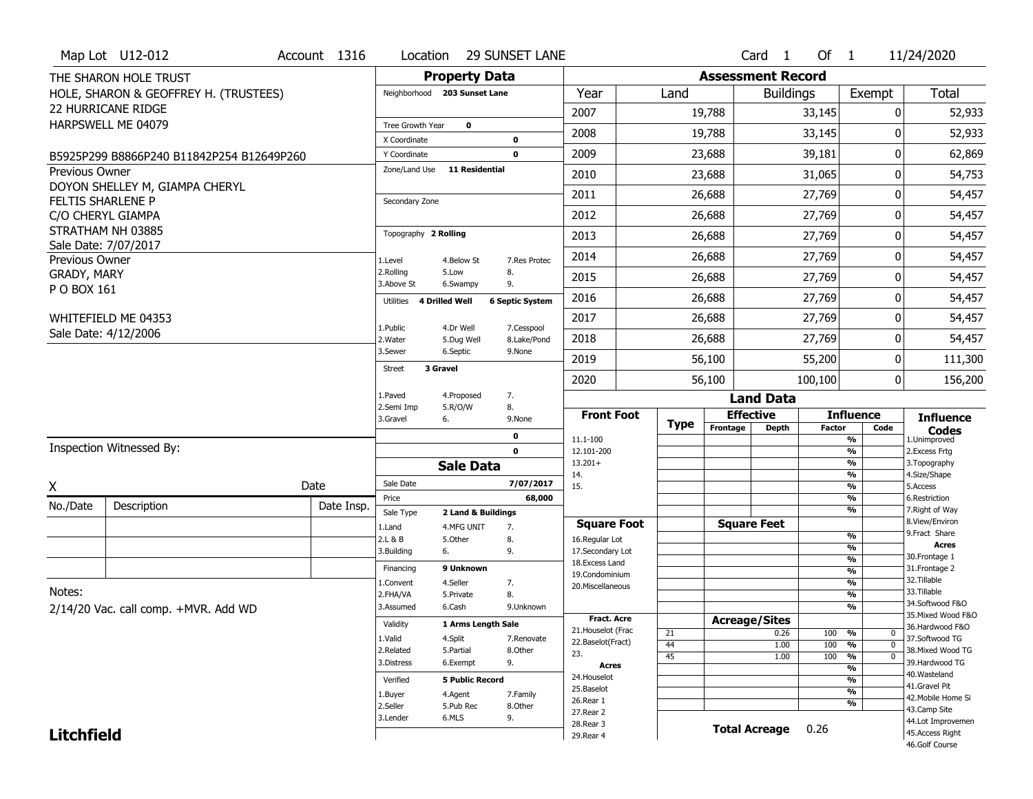|                               | Map Lot U12-012                           | Account 1316 | Location                      |                        | 29 SUNSET LANE         |                                         |          |                          | Card <sub>1</sub> | Of $1$        |                                                      | 11/24/2020                        |
|-------------------------------|-------------------------------------------|--------------|-------------------------------|------------------------|------------------------|-----------------------------------------|----------|--------------------------|-------------------|---------------|------------------------------------------------------|-----------------------------------|
|                               | THE SHARON HOLE TRUST                     |              |                               | <b>Property Data</b>   |                        |                                         |          | <b>Assessment Record</b> |                   |               |                                                      |                                   |
|                               | HOLE, SHARON & GEOFFREY H. (TRUSTEES)     |              | Neighborhood 203 Sunset Lane  |                        |                        | Year                                    | Land     |                          | <b>Buildings</b>  |               | Exempt                                               | <b>Total</b>                      |
|                               | 22 HURRICANE RIDGE                        |              |                               |                        |                        | 2007                                    |          | 19,788                   |                   | 33,145        | 0                                                    | 52,933                            |
|                               | HARPSWELL ME 04079                        |              | Tree Growth Year              | $\mathbf 0$            |                        | 2008                                    |          | 19,788                   |                   | 33,145        | U                                                    | 52,933                            |
|                               |                                           |              | X Coordinate                  |                        | $\mathbf 0$            |                                         |          |                          |                   |               |                                                      |                                   |
|                               | B5925P299 B8866P240 B11842P254 B12649P260 |              | Y Coordinate<br>Zone/Land Use | <b>11 Residential</b>  | $\mathbf 0$            | 2009                                    |          | 23,688                   |                   | 39,181        | 0                                                    | 62,869                            |
| <b>Previous Owner</b>         | DOYON SHELLEY M, GIAMPA CHERYL            |              |                               |                        |                        | 2010                                    |          | 23,688                   |                   | 31,065        | 0                                                    | 54,753                            |
|                               | <b>FELTIS SHARLENE P</b>                  |              | Secondary Zone                |                        |                        | 2011                                    |          | 26,688                   |                   | 27,769        | 0                                                    | 54,457                            |
|                               | C/O CHERYL GIAMPA                         |              |                               |                        |                        | 2012                                    |          | 26,688                   |                   | 27,769        | 0                                                    | 54,457                            |
|                               | STRATHAM NH 03885                         |              | Topography 2 Rolling          |                        |                        | 2013                                    |          | 26,688                   |                   | 27,769        | 0                                                    | 54,457                            |
|                               | Sale Date: 7/07/2017                      |              |                               |                        |                        | 2014                                    |          | 26,688                   |                   | 27,769        | 0                                                    | 54,457                            |
| Previous Owner<br>GRADY, MARY |                                           |              | 1.Level<br>2.Rolling          | 4.Below St<br>5.Low    | 7.Res Protec<br>8.     |                                         |          |                          |                   |               |                                                      |                                   |
| P O BOX 161                   |                                           |              | 3.Above St                    | 6.Swampy               | 9.                     | 2015                                    |          | 26,688                   |                   | 27,769        | 0                                                    | 54,457                            |
|                               |                                           |              | 4 Drilled Well<br>Utilities   |                        | <b>6 Septic System</b> | 2016                                    |          | 26,688                   |                   | 27,769        | 0                                                    | 54,457                            |
|                               | WHITEFIELD ME 04353                       |              | 1.Public                      | 4.Dr Well              | 7.Cesspool             | 2017                                    |          | 26,688                   |                   | 27,769        | 0                                                    | 54,457                            |
|                               | Sale Date: 4/12/2006                      |              | 2. Water                      | 5.Dug Well             | 8.Lake/Pond            | 2018                                    |          | 26,688                   |                   | 27,769        | 0                                                    | 54,457                            |
|                               |                                           |              | 3.Sewer                       | 6.Septic               | 9.None                 | 2019                                    |          | 56,100                   |                   | 55,200        | 0                                                    | 111,300                           |
|                               |                                           |              | <b>Street</b><br>3 Gravel     |                        |                        | 2020                                    |          | 56,100                   |                   | 100,100       | 0                                                    | 156,200                           |
|                               |                                           |              | 1.Paved                       | 4.Proposed             | 7.                     |                                         |          |                          | <b>Land Data</b>  |               |                                                      |                                   |
|                               |                                           |              | 2.Semi Imp                    | 5.R/O/W                | 8.                     | <b>Front Foot</b>                       |          | <b>Effective</b>         |                   |               | <b>Influence</b>                                     |                                   |
|                               |                                           |              | 3.Gravel<br>6.                |                        | 9.None                 |                                         | Type     | Frontage                 | Depth             | <b>Factor</b> | Code                                                 | <b>Influence</b><br><b>Codes</b>  |
|                               | <b>Inspection Witnessed By:</b>           |              |                               |                        | 0<br>$\mathbf 0$       | 11.1-100<br>12.101-200                  |          |                          |                   |               | %<br>$\overline{\frac{9}{6}}$                        | 1.Unimproved<br>2. Excess Frtg    |
|                               |                                           |              |                               | <b>Sale Data</b>       |                        | $13.201+$                               |          |                          |                   |               | $\overline{\frac{9}{6}}$                             | 3. Topography                     |
| X                             |                                           | Date         | Sale Date                     |                        | 7/07/2017              | 14.<br>15.                              |          |                          |                   |               | $\overline{\frac{9}{6}}$<br>$\overline{\frac{9}{6}}$ | 4.Size/Shape<br>5.Access          |
|                               |                                           |              | Price                         |                        | 68,000                 |                                         |          |                          |                   |               | %                                                    | 6.Restriction                     |
| No./Date                      | Description                               | Date Insp.   | Sale Type                     | 2 Land & Buildings     |                        |                                         |          |                          |                   |               | $\overline{\frac{9}{6}}$                             | 7. Right of Way<br>8.View/Environ |
|                               |                                           |              | 1.Land<br>2.L & B             | 4.MFG UNIT<br>5.Other  | 7.<br>8.               | <b>Square Foot</b><br>16.Regular Lot    |          | <b>Square Feet</b>       |                   |               | %                                                    | 9. Fract Share                    |
|                               |                                           |              | 6.<br>3.Building              |                        | 9.                     | 17.Secondary Lot                        |          |                          |                   |               | %                                                    | <b>Acres</b><br>30. Frontage 1    |
|                               |                                           |              | Financing                     | 9 Unknown              |                        | 18. Excess Land<br>19.Condominium       |          |                          |                   |               | %<br>$\overline{\frac{9}{6}}$                        | 31. Frontage 2                    |
| Notes:                        |                                           |              | 1.Convent                     | 4.Seller               | 7.                     | 20.Miscellaneous                        |          |                          |                   |               | $\overline{\frac{9}{6}}$                             | 32.Tillable<br>33.Tillable        |
|                               | 2/14/20 Vac. call comp. +MVR. Add WD      |              | 2.FHA/VA<br>3.Assumed         | 5.Private<br>6.Cash    | 8.<br>9.Unknown        |                                         |          |                          |                   |               | %<br>%                                               | 34.Softwood F&O                   |
|                               |                                           |              | Validity                      | 1 Arms Length Sale     |                        | <b>Fract. Acre</b>                      |          | <b>Acreage/Sites</b>     |                   |               |                                                      | 35. Mixed Wood F&O                |
|                               |                                           |              | 1.Valid                       | 4.Split                | 7.Renovate             | 21. Houselot (Frac<br>22.Baselot(Fract) | 21       |                          | 0.26              | 100           | %<br>0                                               | 36.Hardwood F&O<br>37.Softwood TG |
|                               |                                           |              | 2.Related                     | 5.Partial              | 8.Other                | 23.                                     | 44<br>45 |                          | 1.00<br>1.00      | 100<br>100    | $\overline{0}$<br>%<br>$\overline{0}$<br>%           | 38. Mixed Wood TG                 |
|                               |                                           |              | 3.Distress                    | 6.Exempt               | 9.                     | Acres                                   |          |                          |                   |               | %                                                    | 39.Hardwood TG<br>40.Wasteland    |
|                               |                                           |              | Verified                      | <b>5 Public Record</b> |                        | 24. Houselot<br>25.Baselot              |          |                          |                   |               | %<br>$\overline{\frac{9}{6}}$                        | 41.Gravel Pit                     |
|                               |                                           |              | 1.Buyer<br>2.Seller           | 4.Agent<br>5.Pub Rec   | 7.Family<br>8.Other    | 26.Rear 1                               |          |                          |                   |               | %                                                    | 42. Mobile Home Si                |
|                               |                                           |              |                               |                        |                        |                                         |          |                          |                   |               |                                                      | 43.Camp Site                      |
|                               |                                           |              | 3.Lender                      | 6.MLS                  | 9.                     | 27. Rear 2                              |          |                          |                   |               |                                                      | 44.Lot Improvemen                 |
| <b>Litchfield</b>             |                                           |              |                               |                        |                        | 28. Rear 3<br>29. Rear 4                |          | <b>Total Acreage</b>     |                   | 0.26          |                                                      | 45.Access Right<br>46.Golf Course |